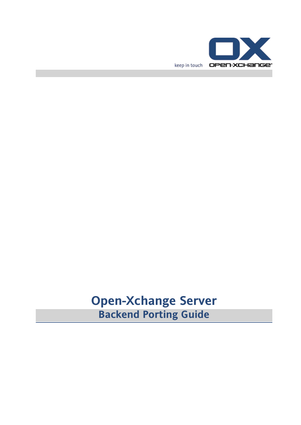

# **Open-Xchange Server Backend Porting Guide**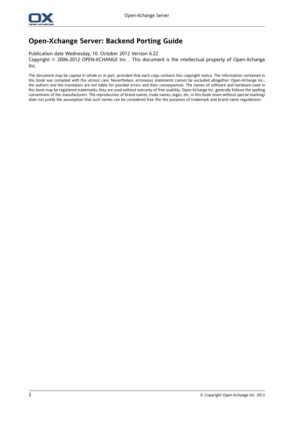

### **Open-Xchange Server: Backend Porting Guide**

Publication date Wednesday, 10. October 2012 Version 6.22

Copyright © 2006-2012 OPEN-XCHANGE Inc. , This document is the intellectual property of Open-Xchange Inc.

The document may be copied in whole or in part, provided that each copy contains this copyright notice. The information contained in this book was compiled with the utmost care. Nevertheless, erroneous statements cannot be excluded altogether. Open-Xchange Inc., the authors and the translators are not liable for possible errors and their consequences. The names of software and hardware used in this book may be registered trademarks; they are used without warranty of free usability. Open-Xchange Inc. generally follows the spelling conventions of the manufacturers. The reproduction of brand names, trade names, logos, etc. in this book (even without special marking) does not justify the assumption that such names can be considered free (for the purposes of trademark and brand name regulations).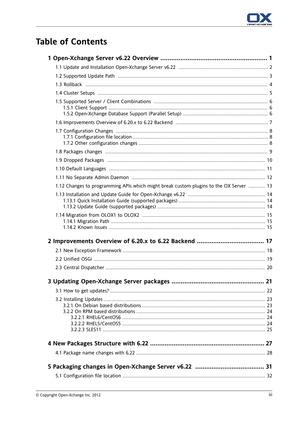

# **Table of Contents**

| 1.12 Changes to programming APIs which might break custom plugins to the OX Server  13 |  |
|----------------------------------------------------------------------------------------|--|
|                                                                                        |  |
|                                                                                        |  |
|                                                                                        |  |
|                                                                                        |  |
|                                                                                        |  |
|                                                                                        |  |
|                                                                                        |  |
|                                                                                        |  |
|                                                                                        |  |
|                                                                                        |  |
|                                                                                        |  |
|                                                                                        |  |
|                                                                                        |  |
|                                                                                        |  |
|                                                                                        |  |
|                                                                                        |  |
|                                                                                        |  |
|                                                                                        |  |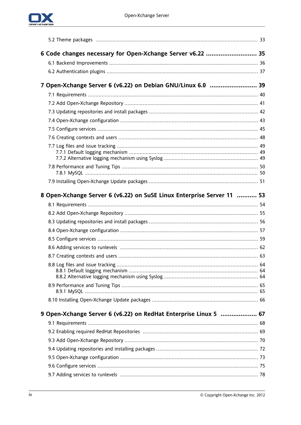

| 6 Code changes necessary for Open-Xchange Server v6.22  35             |  |
|------------------------------------------------------------------------|--|
|                                                                        |  |
|                                                                        |  |
| 7 Open-Xchange Server 6 (v6.22) on Debian GNU/Linux 6.0  39            |  |
|                                                                        |  |
|                                                                        |  |
|                                                                        |  |
|                                                                        |  |
|                                                                        |  |
|                                                                        |  |
|                                                                        |  |
|                                                                        |  |
|                                                                        |  |
|                                                                        |  |
|                                                                        |  |
|                                                                        |  |
| 8 Open-Xchange Server 6 (v6.22) on SuSE Linux Enterprise Server 11  53 |  |
|                                                                        |  |
|                                                                        |  |
|                                                                        |  |
|                                                                        |  |
|                                                                        |  |
|                                                                        |  |
|                                                                        |  |
|                                                                        |  |
|                                                                        |  |
|                                                                        |  |
|                                                                        |  |
|                                                                        |  |
|                                                                        |  |
| 9 Open-Xchange Server 6 (v6.22) on RedHat Enterprise Linux 5  67       |  |
|                                                                        |  |
|                                                                        |  |
|                                                                        |  |
|                                                                        |  |
|                                                                        |  |
|                                                                        |  |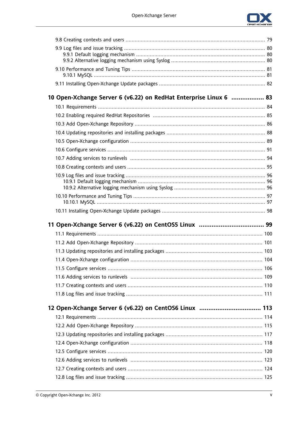

| 10 Open-Xchange Server 6 (v6.22) on RedHat Enterprise Linux 6  83 |  |
|-------------------------------------------------------------------|--|
|                                                                   |  |
|                                                                   |  |
|                                                                   |  |
|                                                                   |  |
|                                                                   |  |
|                                                                   |  |
|                                                                   |  |
|                                                                   |  |
|                                                                   |  |
|                                                                   |  |
|                                                                   |  |
|                                                                   |  |
|                                                                   |  |
|                                                                   |  |
|                                                                   |  |
|                                                                   |  |
|                                                                   |  |
|                                                                   |  |
|                                                                   |  |
|                                                                   |  |
|                                                                   |  |
|                                                                   |  |
|                                                                   |  |
|                                                                   |  |
|                                                                   |  |
|                                                                   |  |
|                                                                   |  |
|                                                                   |  |
|                                                                   |  |
|                                                                   |  |
|                                                                   |  |
|                                                                   |  |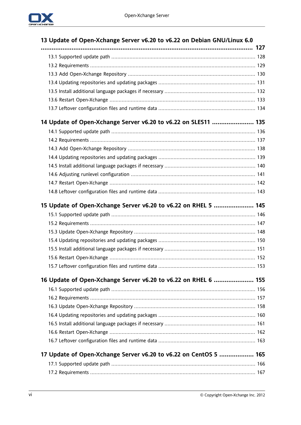

| 13 Update of Open-Xchange Server v6.20 to v6.22 on Debian GNU/Linux 6.0 |  |
|-------------------------------------------------------------------------|--|
|                                                                         |  |
|                                                                         |  |
|                                                                         |  |
|                                                                         |  |
|                                                                         |  |
|                                                                         |  |
|                                                                         |  |
|                                                                         |  |
| 14 Update of Open-Xchange Server v6.20 to v6.22 on SLES11  135          |  |
|                                                                         |  |
|                                                                         |  |
|                                                                         |  |
|                                                                         |  |
|                                                                         |  |
|                                                                         |  |
|                                                                         |  |
|                                                                         |  |
| 15 Update of Open-Xchange Server v6.20 to v6.22 on RHEL 5  145          |  |
|                                                                         |  |
|                                                                         |  |
|                                                                         |  |
|                                                                         |  |
|                                                                         |  |
|                                                                         |  |
|                                                                         |  |
| 16 Update of Open-Xchange Server v6.20 to v6.22 on RHEL 6  155          |  |
|                                                                         |  |
|                                                                         |  |
|                                                                         |  |
|                                                                         |  |
|                                                                         |  |
|                                                                         |  |
|                                                                         |  |
|                                                                         |  |
| 17 Update of Open-Xchange Server v6.20 to v6.22 on CentOS 5  165        |  |
|                                                                         |  |
|                                                                         |  |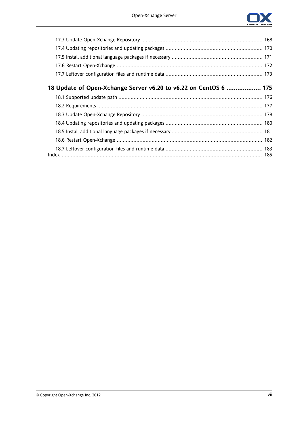

| 18 Update of Open-Xchange Server v6.20 to v6.22 on CentOS 6  175 |  |
|------------------------------------------------------------------|--|
|                                                                  |  |
|                                                                  |  |
|                                                                  |  |
|                                                                  |  |
|                                                                  |  |
|                                                                  |  |
|                                                                  |  |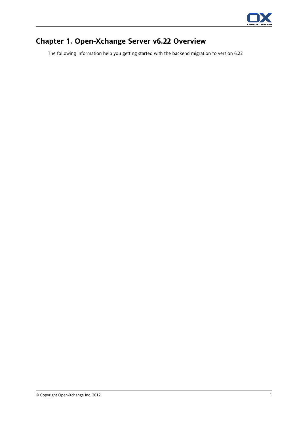

## <span id="page-8-0"></span>**Chapter 1. Open-Xchange Server v6.22 Overview**

The following information help you getting started with the backend migration to version 6.22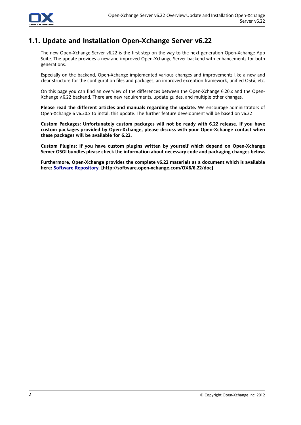

### <span id="page-9-0"></span>**1.1. Update and Installation Open-Xchange Server v6.22**

The new Open-Xchange Server v6.22 is the first step on the way to the next generation Open-Xchange App Suite. The update provides a new and improved Open-Xchange Server backend with enhancements for both generations.

Especially on the backend, Open-Xchange implemented various changes and improvements like a new and clear structure for the configuration files and packages, an improved exception framework, unified OSGi, etc.

On this page you can find an overview of the differences between the Open-Xchange 6.20.x and the Open-Xchange v.6.22 backend. There are new requirements, update guides, and multiple other changes.

**Please read the different articles and manuals regarding the update.** We encourage administrators of Open-Xchange 6 v6.20.x to install this update. The further feature development will be based on v6.22

**Custom Packages: Unfortunately custom packages will not be ready with 6.22 release. If you have custom packages provided by Open-Xchange, please discuss with your Open-Xchange contact when these packages will be available for 6.22.**

**Custom Plugins: If you have custom plugins written by yourself which depend on Open-Xchange Server OSGI bundles please check the information about necessary code and packaging changes below.**

**Furthermore, Open-Xchange provides the complete v6.22 materials as a document which is available here: Software [Repository.](http://software.open-xchange.com/OX6/6.22/doc) [[http://software.open-xchange.com/OX6/6.22/doc\]](http://software.open-xchange.com/OX6/6.22/doc)**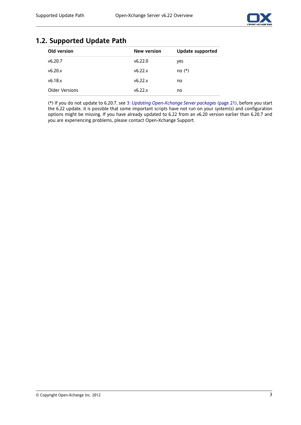

### <span id="page-10-0"></span>**1.2. Supported Update Path**

| Old version           | <b>New version</b> | Update supported |
|-----------------------|--------------------|------------------|
| v6.20.7               | v6.22.0            | yes              |
| v6.20.x               | v6.22.x            | $no(*)$          |
| v6.18x                | v6.22.x            | no               |
| <b>Older Versions</b> | v6.22.x            | no               |

(\*) If you do not update to 6.20.7, see 3: *Updating [Open-Xchange](#page-28-0) Server packages* (page 21), before you start the 6.22 update, it is possible that some important scripts have not run on your system(s) and configuration options might be missing. If you have already updated to 6.22 from an v6.20 version earlier than 6.20.7 and you are experiencing problems, please contact Open-Xchange Support.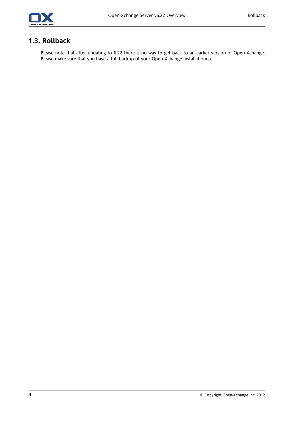

### <span id="page-11-0"></span>**1.3. Rollback**

Please note that after updating to 6.22 there is no way to get back to an earlier version of Open-Xchange. Please make sure that you have a full backup of your Open-Xchange installation(s).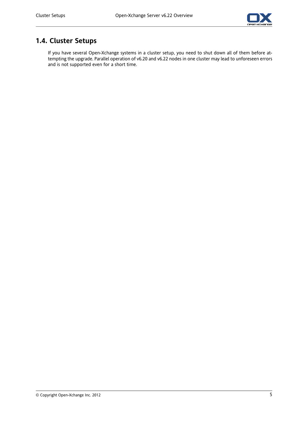

## <span id="page-12-0"></span>**1.4. Cluster Setups**

If you have several Open-Xchange systems in a cluster setup, you need to shut down all of them before attempting the upgrade. Parallel operation of v6.20 and v6.22 nodes in one cluster may lead to unforeseen errors and is not supported even for a short time.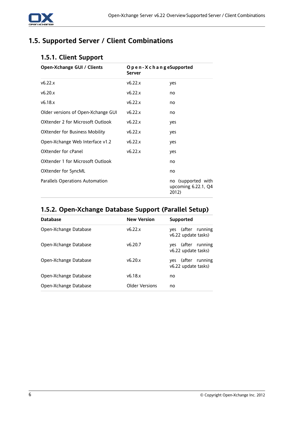

### <span id="page-13-1"></span><span id="page-13-0"></span>**1.5. Supported Server / Client Combinations**

### **1.5.1. Client Support**

| Open-Xchange GUI / Clients            | O p e n - X c h a n g eSupported<br>Server |                                                    |
|---------------------------------------|--------------------------------------------|----------------------------------------------------|
| v6.22.x                               | v6.22.x                                    | yes                                                |
| v6.20.x                               | v6.22.x                                    | no                                                 |
| v6.18.x                               | v6.22.x                                    | no                                                 |
| Older versions of Open-Xchange GUI    | v6.22.x                                    | no                                                 |
| OXtender 2 for Microsoft Outlook      | v6.22.x                                    | yes                                                |
| <b>OXtender for Business Mobility</b> | v6.22.x                                    | yes                                                |
| Open-Xchange Web Interface v1.2       | v6.22.x                                    | yes                                                |
| OXtender for cPanel                   | v6.22.x                                    | yes                                                |
| OXtender 1 for Microsoft Outlook      |                                            | no                                                 |
| OXtender for SyncML                   |                                            | no                                                 |
| Parallels Operations Automation       |                                            | no (supported with<br>upcoming 6.22.1, Q4<br>2012) |

## <span id="page-13-2"></span>**1.5.2. Open-Xchange Database Support (Parallel Setup)**

| <b>Database</b>       | <b>New Version</b> | Supported                                    |
|-----------------------|--------------------|----------------------------------------------|
| Open-Xchange Database | v6.22x             | yes (after running<br>v6.22 update tasks)    |
| Open-Xchange Database | v6.20.7            | yes (after running<br>v6.22 update tasks)    |
| Open-Xchange Database | v6.20x             | ves (after<br>running<br>v6.22 update tasks) |
| Open-Xchange Database | v6.18x             | no                                           |
| Open-Xchange Database | Older Versions     | no                                           |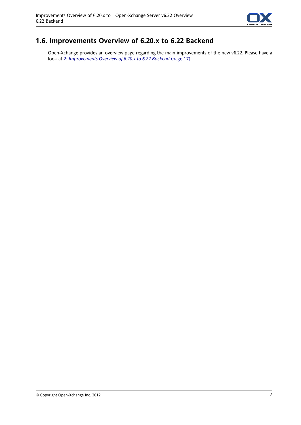

### <span id="page-14-0"></span>**1.6. Improvements Overview of 6.20.x to 6.22 Backend**

Open-Xchange provides an overview page regarding the main improvements of the new v6.22. Please have a look at 2: *[Improvements](#page-24-0) Overview of 6.20.x to 6.22 Backend* (page 17)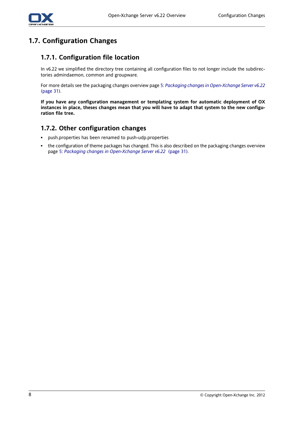

## <span id="page-15-1"></span><span id="page-15-0"></span>**1.7. Configuration Changes**

#### **1.7.1. Configuration file location**

In v6.22 we simplified the directory tree containing all configuration files to not longer include the subdirectories admindaemon, common and groupware.

For more details see the packaging changes overview page 5: *Packaging changes in [Open-Xchange](#page-38-0) Server v6.22* [\(page](#page-38-0) 31).

<span id="page-15-2"></span>**If you have any configuration management or templating system for automatic deployment of OX** instances in place, theses changes mean that you will have to adapt that system to the new configu**ration file tree.**

#### **1.7.2. Other configuration changes**

- push.properties has been renamed to push-udp.properties
- the configuration of theme packages has changed. This is also described on the packaging changes overview page 5: *Packaging changes in [Open-Xchange](#page-38-0) Server v6.22* (page 31).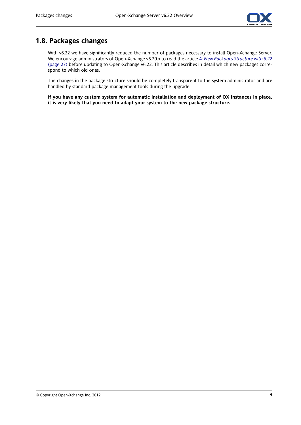

### <span id="page-16-0"></span>**1.8. Packages changes**

With v6.22 we have significantly reduced the number of packages necessary to install Open-Xchange Server. We encourage administrators of Open-Xchange v6.20.x to read the article 4: *New [Packages](#page-34-0) Structure with 6.22* [\(page](#page-34-0) 27) before updating to Open-Xchange v6.22. This article describes in detail which new packages correspond to which old ones.

The changes in the package structure should be completely transparent to the system administrator and are handled by standard package management tools during the upgrade.

**If you have any custom system for automatic installation and deployment of OX instances in place, it is very likely that you need to adapt your system to the new package structure.**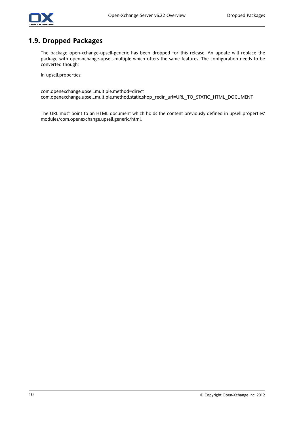

### <span id="page-17-0"></span>**1.9. Dropped Packages**

The package open-xchange-upsell-generic has been dropped for this release. An update will replace the package with open-xchange-upsell-multiple which offers the same features. The configuration needs to be converted though:

In upsell.properties:

com.openexchange.upsell.multiple.method=direct com.openexchange.upsell.multiple.method.static.shop\_redir\_url=URL\_TO\_STATIC\_HTML\_DOCUMENT

The URL must point to an HTML document which holds the content previously defined in upsell.properties' modules/com.openexchange.upsell.generic/html.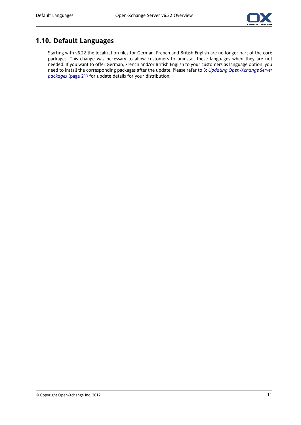

### <span id="page-18-0"></span>**1.10. Default Languages**

Starting with v6.22 the localization files for German, French and British English are no longer part of the core packages. This change was necessary to allow customers to uninstall these languages when they are not needed. If you want to offer German, French and/or British English to your customers as language option, you need to install the corresponding packages after the update. Please refer to 3: *Updating [Open-Xchange](#page-28-0) Server [packages](#page-28-0)* (page 21) for update details for your distribution.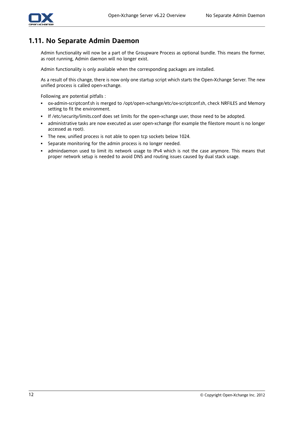

### <span id="page-19-0"></span>**1.11. No Separate Admin Daemon**

Admin functionality will now be a part of the Groupware Process as optional bundle. This means the former, as root running, Admin daemon will no longer exist.

Admin functionality is only available when the corresponding packages are installed.

As a result of this change, there is now only one startup script which starts the Open-Xchange Server. The new unified process is called open-xchange.

Following are potential pitfalls :

- ox-admin-scriptconf.sh is merged to /opt/open-xchange/etc/ox-scriptconf.sh, check NRFILES and Memory setting to fit the environment.
- If /etc/security/limits.conf does set limits for the open-xchange user, those need to be adopted.
- administrative tasks are now executed as user open-xchange (for example the filestore mount is no longer accessed as root).
- The new, unified process is not able to open tcp sockets below 1024.
- Separate monitoring for the admin process is no longer needed.
- admindaemon used to limit its network usage to IPv4 which is not the case anymore. This means that proper network setup is needed to avoid DNS and routing issues caused by dual stack usage.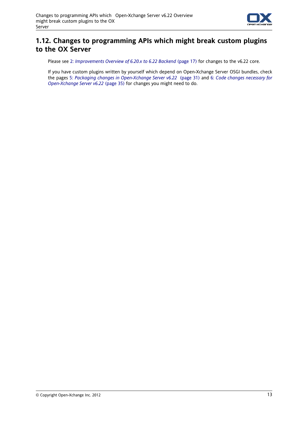

### <span id="page-20-0"></span>**1.12. Changes to programming APIs which might break custom plugins to the OX Server**

Please see 2: *[Improvements](#page-24-0) Overview of 6.20.x to 6.22 Backend* (page 17) for changes to the v6.22 core.

If you have custom plugins written by yourself which depend on Open-Xchange Server OSGI bundles, check the pages 5: *Packaging changes in [Open-Xchange](#page-38-0) Server v6.22* (page 31) and 6: *Code changes [necessary](#page-42-0) for [Open-Xchange](#page-42-0) Server v6.22* (page 35) for changes you might need to do.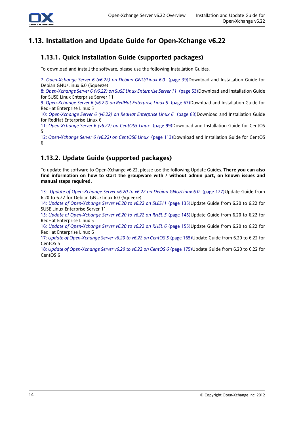

## <span id="page-21-1"></span><span id="page-21-0"></span>**1.13. Installation and Update Guide for Open-Xchange v6.22**

### **1.13.1. Quick Installation Guide (supported packages)**

To download and install the software, please use the following Installation Guides.

7: *[Open-Xchange](#page-46-0) Server 6 (v6.22) on Debian GNU/Linux 6.0* (page 39)Download and Installation Guide for Debian GNU/Linux 6.0 (Squeeze)

8: *[Open-Xchange](#page-60-0) Server 6 (v6.22) on SuSE Linux Enterprise Server 11* (page 53)Download and Installation Guide for SUSE Linux Enterprise Server 11

9: *[Open-Xchange](#page-74-0) Server 6 (v6.22) on RedHat Enterprise Linux 5* (page 67)Download and Installation Guide for RedHat Enterprise Linux 5

10: *[Open-Xchange](#page-90-0) Server 6 (v6.22) on RedHat Enterprise Linux 6* (page 83)Download and Installation Guide for RedHat Enterprise Linux 6

11: *[Open-Xchange](#page-106-0) Server 6 (v6.22) on CentOS5 Linux* (page 99)Download and Installation Guide for CentOS 5

<span id="page-21-2"></span>12: *[Open-Xchange](#page-120-0) Server 6 (v6.22) on CentOS6 Linux* (page 113)Download and Installation Guide for CentOS 6

### **1.13.2. Update Guide (supported packages)**

To update the software to Open-Xchange v6.22, please use the following Update Guides. **There you can also find information on how to start the groupware with / without admin part, on known issues and manual steps required.**

13: *Update of [Open-Xchange](#page-134-0) Server v6.20 to v6.22 on Debian GNU/Linux 6.0* (page 127)Update Guide from 6.20 to 6.22 for Debian GNU/Linux 6.0 (Squeeze)

14: *Update of [Open-Xchange](#page-142-0) Server v6.20 to v6.22 on SLES11* (page 135)Update Guide from 6.20 to 6.22 for SUSE Linux Enterprise Server 11

15: *Update of [Open-Xchange](#page-152-0) Server v6.20 to v6.22 on RHEL 5* (page 145)Update Guide from 6.20 to 6.22 for RedHat Enterprise Linux 5

16: *Update of [Open-Xchange](#page-162-0) Server v6.20 to v6.22 on RHEL 6* (page 155)Update Guide from 6.20 to 6.22 for RedHat Enterprise Linux 6

17: *Update of [Open-Xchange](#page-172-0) Server v6.20 to v6.22 on CentOS 5* (page 165)Update Guide from 6.20 to 6.22 for CentOS 5

18: *Update of [Open-Xchange](#page-182-0) Server v6.20 to v6.22 on CentOS 6* (page 175)Update Guide from 6.20 to 6.22 for CentOS 6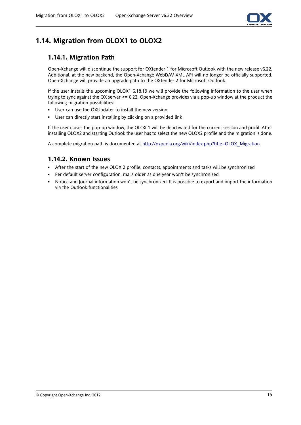

## <span id="page-22-1"></span><span id="page-22-0"></span>**1.14. Migration from OLOX1 to OLOX2**

### **1.14.1. Migration Path**

Open-Xchange will discontinue the support for OXtender 1 for Microsoft Outlook with the new release v6.22. Additional, at the new backend, the Open-Xchange WebDAV XML API will no longer be officially supported. Open-Xchange will provide an upgrade path to the OXtender 2 for Microsoft Outlook.

If the user installs the upcoming OLOX1 6.18.19 we will provide the following information to the user when trying to sync against the OX server >= 6.22. Open-Xchange provides via a pop-up window at the product the following migration possibilities:

- User can use the OXUpdater to install the new version
- User can directly start installing by clicking on a provided link

<span id="page-22-2"></span>If the user closes the pop-up window, the OLOX 1 will be deactivated for the current session and profil. After installing OLOX2 and starting Outlook the user has to select the new OLOX2 profile and the migration is done.

A complete migration path is documented at [http://oxpedia.org/wiki/index.php?title=OLOX\\_Migration](http://oxpedia.org/wiki/index.php?title=OLOX_Migration)

#### **1.14.2. Known Issues**

- After the start of the new OLOX 2 profile, contacts, appointments and tasks will be synchronized
- Per default server configuration, mails older as one year won't be synchronized
- Notice and Journal information won't be synchronized. It is possible to export and import the information via the Outlook functionalities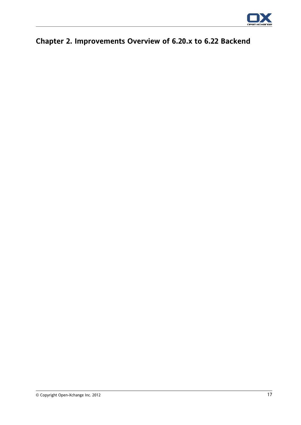

# <span id="page-24-0"></span>**Chapter 2. Improvements Overview of 6.20.x to 6.22 Backend**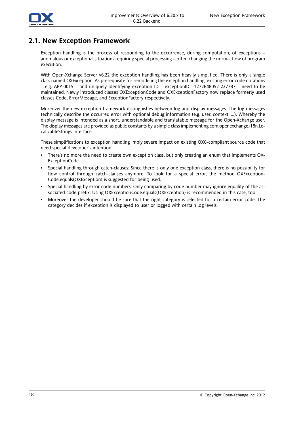

#### <span id="page-25-0"></span>**2.1. New Exception Framework**

Exception handling is the process of responding to the occurrence, during computation, of exceptions – anomalous or exceptional situations requiring special processing – often changing the normal flow of program execution.

With Open-Xchange Server v6.22 the exception handling has been heavily simplified. There is only a single class named OXException. As prerequisite for remodeling the exception handling, existing error code notations – e.g. APP-0015 – and uniquely identifying exception ID – exceptionID=-1272648052-227787 – need to be maintained. Newly introduced classes OXExceptionCode and OXExceptionFactory now replace formerly used classes Code, ErrorMessage, and ExceptionFactory respectively.

Moreover the new exception framework distinguishes between log and display messages. The log messages technically describe the occurred error with optional debug information (e.g. user, context, …). Whereby the display message is intended as a short, understandable and translatable message for the Open-Xchange user. The display messages are provided as public constants by a simple class implementing com.openexchange.i18n.LocalizableStrings interface.

These simplifications to exception handling imply severe impact on existing OX6-compliant source code that need special developer's intention:

- There's no more the need to create own exception class, but only creating an enum that implements OX-ExceptionCode.
- Special handling through catch-clauses: Since there is only one exception class, there is no possibility for flow control through catch-clauses anymore. To look for a special error, the method OXException-Code.equals(OXException) is suggested for being used.
- Special handling by error code numbers: Only comparing by code number may ignore equality of the associated code prefix. Using OXExceptionCode.equals(OXException) is recommended in this case, too.
- Moreover the developer should be sure that the right category is selected for a certain error code. The category decides if exception is displayed to user or logged with certain log levels.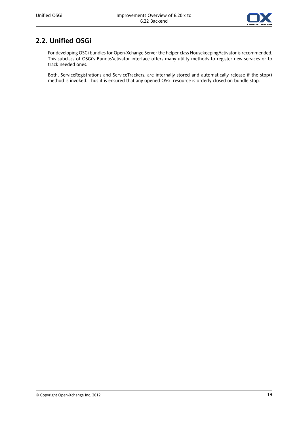

### <span id="page-26-0"></span>**2.2. Unified OSGi**

For developing OSGi bundles for Open-Xchange Server the helper class HousekeepingActivator is recommended. This subclass of OSGi's BundleActivator interface offers many utility methods to register new services or to track needed ones.

Both, ServiceRegistrations and ServiceTrackers, are internally stored and automatically release if the stop() method is invoked. Thus it is ensured that any opened OSGi resource is orderly closed on bundle stop.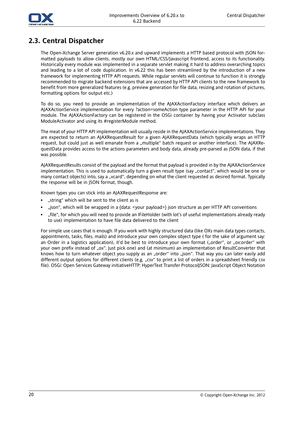



### <span id="page-27-0"></span>**2.3. Central Dispatcher**

The Open-Xchange Server generation v6.20.x and upward implements a HTTP based protocol with JSON formatted payloads to allow clients, mostly our own HTML/CSS/Javascript frontend, access to its functionality. Historically every module was implemented in a separate servlet making it hard to address overarching topics and leading to a lot of code duplication. In v6.22 this has been streamlined by the introduction of a new framework for implementing HTTP API requests. While regular servlets will continue to function it is strongly recommended to migrate backend extensions that are accessed by HTTP API clients to the new framework to benefit from more generalized features (e.g. preview generation for file data, resizing and rotation of pictures, formatting options for output etc.)

To do so, you need to provide an implementation of the AJAXActionFactory interface which delivers an AJAXActionService implementation for every ?action=someAction type parameter in the HTTP API for your module. The AJAXActionFactory can be registered in the OSGi container by having your Activator subclass ModuleActivator and using its #registerModule method.

The meat of your HTTP API implementation will usually reside in the AJAXActionService implementations. They are expected to return an AJAXRequestResult for a given AJAXRequestData (which typically wraps an HTTP request, but could just as well emanate from a "multiple" batch request or another interface). The AJAXRequestData provides access to the actions parameters and body data, already pre-parsed as JSON data, if that was possible.

AJAXRequestResults consist of the payload and the format that payload is provided in by the AJAXActionService implementation. This is used to automatically turn a given result type (say "contact", which would be one or many contact objects) into, say a "vcard", depending on what the client requested as desired format. Typically the response will be in JSON format, though.

Known types you can stick into an AJAXRequestResponse are:

- "string" which will be sent to the client as is
- "json", which will be wrapped in a {data: <your payload>} json structure as per HTTP API conventions
- "file", for which you will need to provide an IFileHolder (with lot's of useful implementations already ready to use) implementation to have file data delivered to the client

For simple use cases that is enough. If you work with highly structured data (like OXs main data types contacts, appointments, tasks, files, mails) and introduce your own complex object type ( for the sake of argument say: an Order in a logistics application), it'd be best to introduce your own format ("order", or "ox:order" with your own prefix instead of .ox". Just pick one) and (at minimum) an implementation of ResultConverter that knows how to turn whatever object you supply as an "order" into "json". That way you can later easily add different output options for different clients (e.g. "csv" to print a list of orders in a spreadsheet friendly csv file). OSGi: Open Services Gateway initiativeHTTP: HyperText Transfer ProtocolJSON: JavaScript Object Notation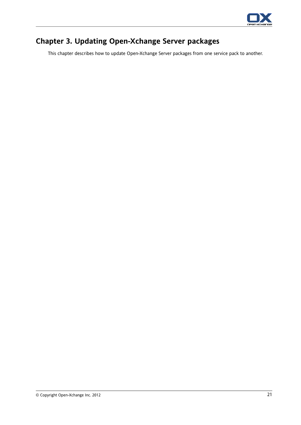

# <span id="page-28-0"></span>**Chapter 3. Updating Open-Xchange Server packages**

This chapter describes how to update Open-Xchange Server packages from one service pack to another.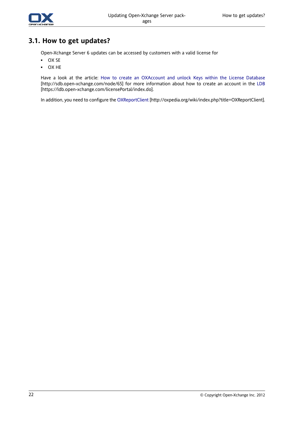

### <span id="page-29-0"></span>**3.1. How to get updates?**

Open-Xchange Server 6 updates can be accessed by customers with a valid license for

- OX SE
- OX HE

Have a look at the article: How to create an [OXAccount](http://sdb.open-xchange.com/node/65) and unlock Keys within the License Database [<http://sdb.open-xchange.com/node/65>] for more information about how to create an account in the [LDB](https://ldb.open-xchange.com/licensePortal/index.do) [<https://ldb.open-xchange.com/licensePortal/index.do>].

In addition, you need to configure the [OXReportClient](http://oxpedia.org/wiki/index.php?title=OXReportClient) [[http://oxpedia.org/wiki/index.php?title=OXReportClient\]](http://oxpedia.org/wiki/index.php?title=OXReportClient).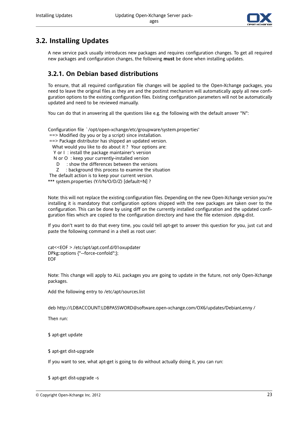

### <span id="page-30-0"></span>**3.2. Installing Updates**

<span id="page-30-1"></span>A new service pack usually introduces new packages and requires configuration changes. To get all required new packages and configuration changes, the following **must** be done when installing updates.

#### **3.2.1. On Debian based distributions**

To ensure, that all required configuration file changes will be applied to the Open-Xchange packages, you need to leave the original files as they are and the postinst mechanism will automatically apply all new configuration options to the existing configuration files. Existing configuration parameters will not be automatically updated and need to be reviewed manually.

You can do that in answering all the questions like e.g. the following with the default answer "N":

Configuration file `/opt/open-xchange/etc/groupware/system.properties' ==> Modified (by you or by a script) since installation. ==> Package distributor has shipped an updated version. What would you like to do about it ? Your options are: Y or I : install the package maintainer's version N or O : keep your currently-installed version D : show the differences between the versions Z : background this process to examine the situation The default action is to keep your current version.

\*\*\* system.properties (Y/I/N/O/D/Z) [default=N] ?

Note: this will not replace the existing configuration files. Depending on the new Open-Xchange version you're installing it is mandatory that configuration options shipped with the new packages are taken over to the configuration. This can be done by using diff on the currently installed configuration and the updated configuration files which are copied to the configuration directory and have the file extension .dpkg-dist.

If you don't want to do that every time, you could tell apt-get to answer this question for you, just cut and paste the following command in a shell as root user:

cat<<EOF > /etc/apt/apt.conf.d/01oxupdater DPkg::options {"--force-confold";}; EOF

Note: This change will apply to ALL packages you are going to update in the future, not only Open-Xchange packages.

Add the following entry to /etc/apt/sources.list

deb http://LDBACCOUNT:LDBPASSWORD@software.open-xchange.com/OX6/updates/DebianLenny /

Then run:

\$ apt-get update

\$ apt-get dist-upgrade

If you want to see, what apt-get is going to do without actually doing it, you can run:

#### \$ apt-get dist-upgrade -s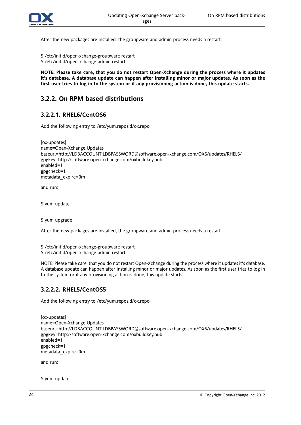

After the new packages are installed, the groupware and admin process needs a restart:

- \$ /etc/init.d/open-xchange-groupware restart
- \$ /etc/init.d/open-xchange-admin restart

<span id="page-31-0"></span>**NOTE: Please take care, that you do not restart Open-Xchange during the process where it updates it's database. A database update can happen after installing minor or major updates. As soon as the** first user tries to log in to the system or if any provisioning action is done, this update starts.

#### <span id="page-31-1"></span>**3.2.2. On RPM based distributions**

#### **3.2.2.1. RHEL6/CentOS6**

Add the following entry to /etc/yum.repos.d/ox.repo:

[ox-updates] name=Open-Xchange Updates baseurl=http://LDBACCOUNT:LDBPASSWORD@software.open-xchange.com/OX6/updates/RHEL6/ gpgkey=http://software.open-xchange.com/oxbuildkey.pub enabled=1 gpgcheck=1 metadata\_expire=0m

and run:

\$ yum update

\$ yum upgrade

After the new packages are installed, the groupware and admin process needs a restart:

\$ /etc/init.d/open-xchange-groupware restart

<span id="page-31-2"></span>\$ /etc/init.d/open-xchange-admin restart

NOTE: Please take care, that you do not restart Open-Xchange during the process where it updates it's database. A database update can happen after installing minor or major updates. As soon as the first user tries to log in to the system or if any provisioning action is done, this update starts.

#### **3.2.2.2. RHEL5/CentOS5**

Add the following entry to /etc/yum.repos.d/ox.repo:

```
[ox-updates]
name=Open-Xchange Updates
baseurl=http://LDBACCOUNT:LDBPASSWORD@software.open-xchange.com/OX6/updates/RHEL5/
gpgkey=http://software.open-xchange.com/oxbuildkey.pub
enabled=1
gpgcheck=1
metadata_expire=0m
```
and run:

\$ yum update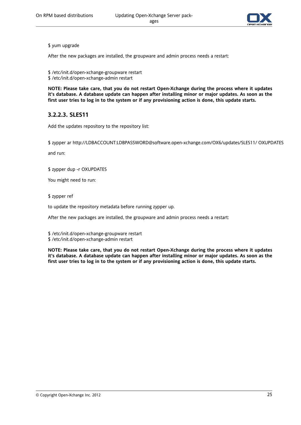

#### \$ yum upgrade

After the new packages are installed, the groupware and admin process needs a restart:

\$ /etc/init.d/open-xchange-groupware restart \$ /etc/init.d/open-xchange-admin restart

<span id="page-32-0"></span>**NOTE: Please take care, that you do not restart Open-Xchange during the process where it updates it's database. A database update can happen after installing minor or major updates. As soon as the** first user tries to log in to the system or if any provisioning action is done, this update starts.

#### **3.2.2.3. SLES11**

Add the updates repository to the repository list:

\$ zypper ar http://LDBACCOUNT:LDBPASSWORD@software.open-xchange.com/OX6/updates/SLES11/ OXUPDATES

and run:

\$ zypper dup -r OXUPDATES

You might need to run:

\$ zypper ref

to update the repository metadata before running zypper up.

After the new packages are installed, the groupware and admin process needs a restart:

\$ /etc/init.d/open-xchange-groupware restart

\$ /etc/init.d/open-xchange-admin restart

**NOTE: Please take care, that you do not restart Open-Xchange during the process where it updates it's database. A database update can happen after installing minor or major updates. As soon as the** first user tries to log in to the system or if any provisioning action is done, this update starts.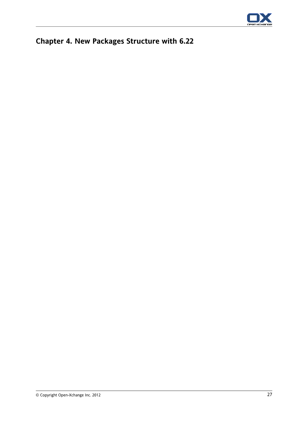

# <span id="page-34-0"></span>**Chapter 4. New Packages Structure with 6.22**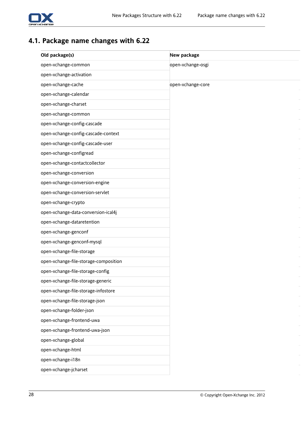

## <span id="page-35-0"></span>**4.1. Package name changes with 6.22**

| Old package(s)                        | New package       |
|---------------------------------------|-------------------|
| open-xchange-common                   | open-xchange-osgi |
| open-xchange-activation               |                   |
| open-xchange-cache                    | open-xchange-core |
| open-xchange-calendar                 |                   |
| open-xchange-charset                  |                   |
| open-xchange-common                   |                   |
| open-xchange-config-cascade           |                   |
| open-xchange-config-cascade-context   |                   |
| open-xchange-config-cascade-user      |                   |
| open-xchange-configread               |                   |
| open-xchange-contactcollector         |                   |
| open-xchange-conversion               |                   |
| open-xchange-conversion-engine        |                   |
| open-xchange-conversion-servlet       |                   |
| open-xchange-crypto                   |                   |
| open-xchange-data-conversion-ical4j   |                   |
| open-xchange-dataretention            |                   |
| open-xchange-genconf                  |                   |
| open-xchange-genconf-mysql            |                   |
| open-xchange-file-storage             |                   |
| open-xchange-file-storage-composition |                   |
| open-xchange-file-storage-config      |                   |
| open-xchange-file-storage-generic     |                   |
| open-xchange-file-storage-infostore   |                   |
| open-xchange-file-storage-json        |                   |
| open-xchange-folder-json              |                   |
| open-xchange-frontend-uwa             |                   |
| open-xchange-frontend-uwa-json        |                   |
| open-xchange-global                   |                   |
| open-xchange-html                     |                   |
| open-xchange-i18n                     |                   |
| open-xchange-jcharset                 |                   |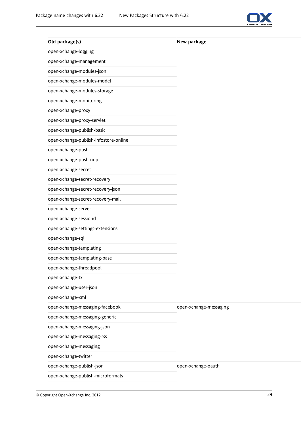

| Old package(s)                        | New package            |
|---------------------------------------|------------------------|
| open-xchange-logging                  |                        |
| open-xchange-management               |                        |
| open-xchange-modules-json             |                        |
| open-xchange-modules-model            |                        |
| open-xchange-modules-storage          |                        |
| open-xchange-monitoring               |                        |
| open-xchange-proxy                    |                        |
| open-xchange-proxy-servlet            |                        |
| open-xchange-publish-basic            |                        |
| open-xchange-publish-infostore-online |                        |
| open-xchange-push                     |                        |
| open-xchange-push-udp                 |                        |
| open-xchange-secret                   |                        |
| open-xchange-secret-recovery          |                        |
| open-xchange-secret-recovery-json     |                        |
| open-xchange-secret-recovery-mail     |                        |
| open-xchange-server                   |                        |
| open-xchange-sessiond                 |                        |
| open-xchange-settings-extensions      |                        |
| open-xchange-sql                      |                        |
| open-xchange-templating               |                        |
| open-xchange-templating-base          |                        |
| open-xchange-threadpool               |                        |
| open-xchange-tx                       |                        |
| open-xchange-user-json                |                        |
| open-xchange-xml                      |                        |
| open-xchange-messaging-facebook       | open-xchange-messaging |
| open-xchange-messaging-generic        |                        |
| open-xchange-messaging-json           |                        |
| open-xchange-messaging-rss            |                        |
| open-xchange-messaging                |                        |
| open-xchange-twitter                  |                        |
| open-xchange-publish-json             | open-xchange-oauth     |
| open-xchange-publish-microformats     |                        |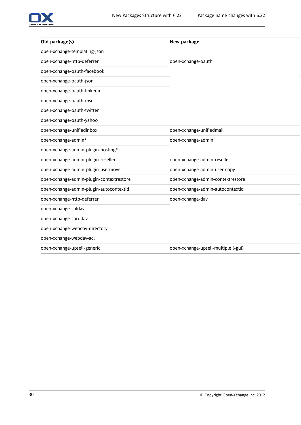

| Old package(s)                           | New package                         |
|------------------------------------------|-------------------------------------|
| open-xchange-templating-json             |                                     |
| open-xchange-http-deferrer               | open-xchange-oauth                  |
| open-xchange-oauth-facebook              |                                     |
| open-xchange-oauth-json                  |                                     |
| open-xchange-oauth-linkedin              |                                     |
| open-xchange-oauth-msn                   |                                     |
| open-xchange-oauth-twitter               |                                     |
| open-xchange-oauth-yahoo                 |                                     |
| open-xchange-unifiedinbox                | open-xchange-unifiedmail            |
| open-xchange-admin*                      | open-xchange-admin                  |
| open-xchange-admin-plugin-hosting*       |                                     |
| open-xchange-admin-plugin-reseller       | open-xchange-admin-reseller         |
| open-xchange-admin-plugin-usermove       | open-xchange-admin-user-copy        |
| open-xchange-admin-plugin-contextrestore | open-xchange-admin-contextrestore   |
| open-xchange-admin-plugin-autocontextid  | open-xchange-admin-autocontextid    |
| open-xchange-http-deferrer               | open-xchange-dav                    |
| open-xchange-caldav                      |                                     |
| open-xchange-carddav                     |                                     |
| open-xchange-webdav-directory            |                                     |
| open-xchange-webdav-acl                  |                                     |
| open-xchange-upsell-generic              | open-xchange-upsell-multiple (-gui) |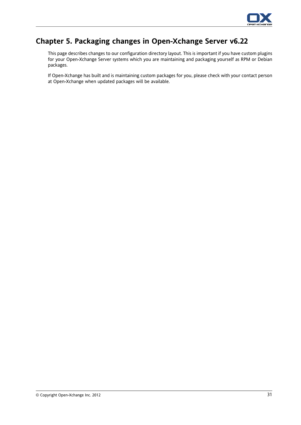

# **Chapter 5. Packaging changes in Open-Xchange Server v6.22**

This page describes changes to our configuration directory layout. This is important if you have custom plugins for your Open-Xchange Server systems which you are maintaining and packaging yourself as RPM or Debian packages.

If Open-Xchange has built and is maintaining custom packages for you, please check with your contact person at Open-Xchange when updated packages will be available.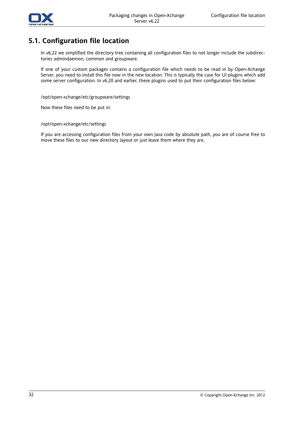

#### **5.1. Configuration file location**

In v6.22 we simplified the directory tree containing all configuration files to not longer include the subdirectories admindaemon, common and groupware.

If one of your custom packages contains a configuration file which needs to be read in by Open-Xchange Server, you need to install this file now in the new location. This is typically the case for UI plugins which add some server configuration. In v6.20 and earlier, these plugins used to put their configuration files below:

/opt/open-xchange/etc/groupware/settings

Now these files need to be put in:

/opt/open-xchange/etc/settings

If you are accessing configuration files from your own Java code by absolute path, you are of course free to move these files to our new directory layout or just leave them where they are.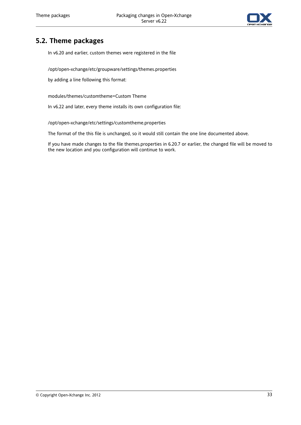

#### **5.2. Theme packages**

In v6.20 and earlier, custom themes were registered in the file

/opt/open-xchange/etc/groupware/settings/themes.properties

by adding a line following this format:

modules/themes/customtheme=Custom Theme

In v6.22 and later, every theme installs its own configuration file:

/opt/open-xchange/etc/settings/customtheme.properties

The format of the this file is unchanged, so it would still contain the one line documented above.

If you have made changes to the file themes.properties in 6.20.7 or earlier, the changed file will be moved to the new location and you configuration will continue to work.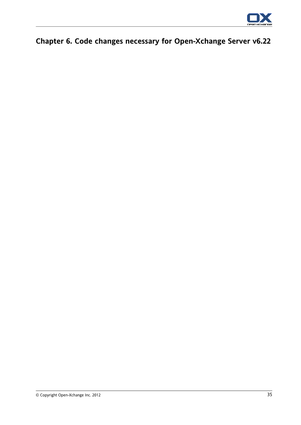

# **Chapter 6. Code changes necessary for Open-Xchange Server v6.22**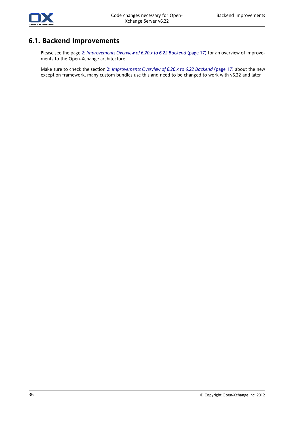

#### **6.1. Backend Improvements**

Please see the page 2: *[Improvements](#page-24-0) Overview of 6.20.x to 6.22 Backend* (page 17) for an overview of improvements to the Open-Xchange architecture.

Make sure to check the section 2: *[Improvements](#page-24-0) Overview of 6.20.x to 6.22 Backend* (page 17) about the new exception framework, many custom bundles use this and need to be changed to work with v6.22 and later.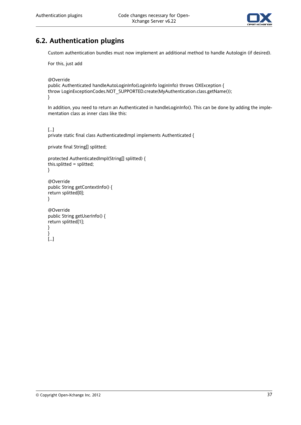

# **6.2. Authentication plugins**

Custom authentication bundles must now implement an additional method to handle Autologin (if desired).

For this, just add

@Override

```
public Authenticated handleAutoLoginInfo(LoginInfo loginInfo) throws OXException {
throw LoginExceptionCodes.NOT_SUPPORTED.create(MyAuthentication.class.getName());
}
```
In addition, you need to return an Authenticated in handleLoginInfo(). This can be done by adding the implementation class as inner class like this:

[...]

private static final class AuthenticatedImpl implements Authenticated {

private final String[] splitted;

```
protected AuthenticatedImpl(String[] splitted) {
this.splitted = splitted;
}
```

```
@Override
public String getContextInfo() {
return splitted[0];
}
```

```
@Override
public String getUserInfo() {
return splitted[1];
}
}
[...]
```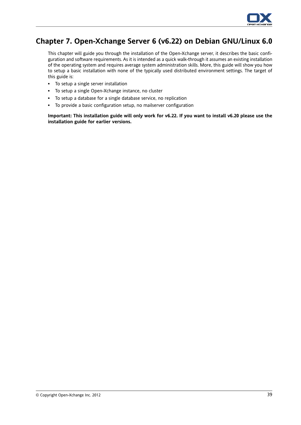

# **Chapter 7. Open-Xchange Server 6 (v6.22) on Debian GNU/Linux 6.0**

This chapter will guide you through the installation of the Open-Xchange server, it describes the basic configuration and software requirements. As it is intended as a quick walk-through it assumes an existing installation of the operating system and requires average system administration skills. More, this guide will show you how to setup a basic installation with none of the typically used distributed environment settings. The target of this guide is:

- To setup a single server installation
- To setup a single Open-Xchange instance, no cluster
- To setup a database for a single database service, no replication
- To provide a basic configuration setup, no mailserver configuration

Important: This installation guide will only work for v6.22. If you want to install v6.20 please use the **installation guide for earlier versions.**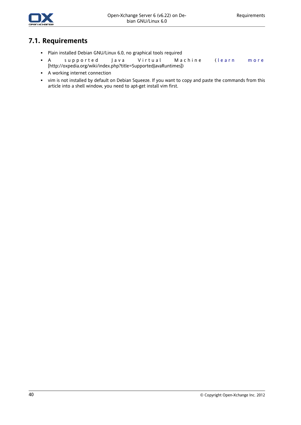

#### **7.1. Requirements**

- Plain installed Debian GNU/Linux 6.0, no graphical tools required
- A supported Java Virtual Machine ( [learn](http://oxpedia.org/wiki/index.php?title=SupportedJavaRuntimes) more [<http://oxpedia.org/wiki/index.php?title=SupportedJavaRuntimes>])
- A working internet connection
- vim is not installed by default on Debian Squeeze. If you want to copy and paste the commands from this article into a shell window, you need to apt-get install vim first.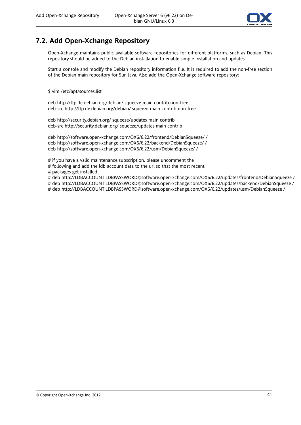

#### **7.2. Add Open-Xchange Repository**

Open-Xchange maintains public available software repositories for different platforms, such as Debian. This repository should be added to the Debian installation to enable simple installation and updates.

Start a console and modify the Debian repository information file. It is required to add the non-free section of the Debian main repository for Sun Java. Also add the Open-Xchange software repository:

\$ vim /etc/apt/sources.list

deb http://ftp.de.debian.org/debian/ squeeze main contrib non-free deb-src http://ftp.de.debian.org/debian/ squeeze main contrib non-free

deb http://security.debian.org/ squeeze/updates main contrib deb-src http://security.debian.org/ squeeze/updates main contrib

deb http://software.open-xchange.com/OX6/6.22/frontend/DebianSqueeze/ / deb http://software.open-xchange.com/OX6/6.22/backend/DebianSqueeze/ / deb http://software.open-xchange.com/OX6/6.22/usm/DebianSqueeze/ /

# if you have a valid maintenance subscription, please uncomment the

# following and add the ldb account data to the url so that the most recent

# packages get installed

# deb http://LDBACCOUNT:LDBPASSWORD@software.open-xchange.com/OX6/6.22/updates/frontend/DebianSqueeze /

# deb http://LDBACCOUNT:LDBPASSWORD@software.open-xchange.com/OX6/6.22/updates/backend/DebianSqueeze /

# deb http://LDBACCOUNT:LDBPASSWORD@software.open-xchange.com/OX6/6.22/updates/usm/DebianSqueeze /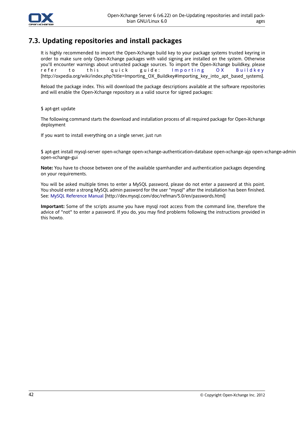

### **7.3. Updating repositories and install packages**

It is highly recommended to import the Open-Xchange build key to your package systems trusted keyring in order to make sure only Open-Xchange packages with valid signing are installed on the system. Otherwise you'll encounter warnings about untrusted package sources. To import the Open-Xchange buildkey, please refer to this quick guide: [Importing](http://oxpedia.org/wiki/index.php?title=Importing_OX_Buildkey#Importing_key_into_apt_based_systems) OX Buildkey [[http://oxpedia.org/wiki/index.php?title=Importing\\_OX\\_Buildkey#Importing\\_key\\_into\\_apt\\_based\\_systems\]](http://oxpedia.org/wiki/index.php?title=Importing_OX_Buildkey#Importing_key_into_apt_based_systems).

Reload the package index. This will download the package descriptions available at the software repositories and will enable the Open-Xchange repository as a valid source for signed packages:

\$ apt-get update

The following command starts the download and installation process of all required package for Open-Xchange deployment

If you want to install everything on a single server, just run

\$ apt-get install mysql-server open-xchange open-xchange-authentication-database open-xchange-ajp open-xchange-admin open-xchange-gui

**Note:** You have to choose between one of the available spamhandler and authentication packages depending on your requirements.

You will be asked multiple times to enter a MySQL password, please do not enter a password at this point. You should enter a strong MySQL admin password for the user "mysql" after the installation has been finished. See: MySQL [Reference](http://dev.mysql.com/doc/refman/5.0/en/passwords.html) Manual [\[http://dev.mysql.com/doc/refman/5.0/en/passwords.html](http://dev.mysql.com/doc/refman/5.0/en/passwords.html)]

**Important:** Some of the scripts assume you have mysql root access from the command line, therefore the advice of "not" to enter a password. If you do, you may find problems following the instructions provided in this howto.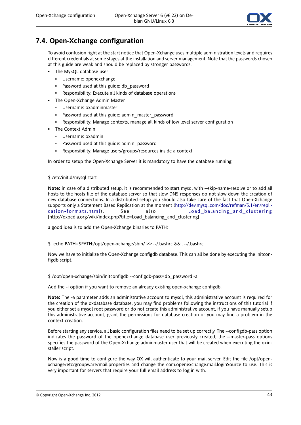

### **7.4. Open-Xchange configuration**

To avoid confusion right at the start notice that Open-Xchange uses multiple administration levels and requires different credentials at some stages at the installation and server management. Note that the passwords chosen at this guide are weak and should be replaced by stronger passwords.

- The MySQL database user
	- Username: openexchange
	- □ Password used at this guide: db password
	- Responsibility: Execute all kinds of database operations
- The Open-Xchange Admin Master
	- Username: oxadminmaster
	- □ Password used at this guide: admin\_master\_password
	- Responsibility: Manage contexts, manage all kinds of low level server configuration
- The Context Admin
	- Username: oxadmin
	- Password used at this guide: admin\_password
	- Responsibility: Manage users/groups/resources inside a context

In order to setup the Open-Xchange Server it is mandatory to have the database running:

#### \$ /etc/init.d/mysql start

**Note:** in case of a distributed setup, it is recommended to start mysql with --skip-name-resolve or to add all hosts to the hosts file of the database server so that slow DNS responses do not slow down the creation of new database connections. In a distributed setup you should also take care of the fact that Open-Xchange supports only a Statement Based Replication at the moment ([http://dev.mysql.com/doc/refman/5.1/en/repli](http://dev.mysql.com/doc/refman/5.1/en/replication-formats.html)[cation-formats.html\)](http://dev.mysql.com/doc/refman/5.1/en/replication-formats.html) . See also [Load\\_balancing\\_and\\_clustering](http://oxpedia.org/wiki/index.php?title=Load_balancing_and_clustering) [[http://oxpedia.org/wiki/index.php?title=Load\\_balancing\\_and\\_clustering\]](http://oxpedia.org/wiki/index.php?title=Load_balancing_and_clustering)

a good idea is to add the Open-Xchange binaries to PATH:

\$ echo PATH=\$PATH:/opt/open-xchange/sbin/ >> ~/.bashrc && . ~/.bashrc

Now we have to initialize the Open-Xchange configdb database. This can all be done by executing the initconfigdb script.

\$ /opt/open-xchange/sbin/initconfigdb --configdb-pass=db\_password -a

Add the -i option if you want to remove an already existing open-xchange configdb.

**Note:** The -a parameter adds an administrative account to mysql, this administrative account is required for the creation of the oxdatabase database, you may find problems following the instructions of this tutorial if you either set a mysql root password or do not create this administrative account, if you have manually setup this administrative account, grant the permissions for database creation or you may find a problem in the context creation.

Before starting any service, all basic configuration files need to be set up correctly. The --configdb-pass option indicates the password of the openexchange database user previously created, the --master-pass options specifies the password of the Open-Xchange adminmaster user that will be created when executing the oxinstaller script.

Now is a good time to configure the way OX will authenticate to your mail server. Edit the file /opt/openxchange/etc/groupware/mail.properties and change the com.openexchange.mail.loginSource to use. This is very important for servers that require your full email address to log in with.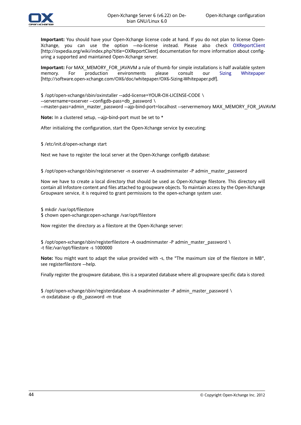

**Important:** You should have your Open-Xchange license code at hand. If you do not plan to license Open-Xchange, you can use the option --no-license instead. Please also check [OXReportClient](http://oxpedia.org/wiki/index.php?title=OXReportClient) [<http://oxpedia.org/wiki/index.php?title=OXReportClient>] documentation for more information about configuring a supported and maintained Open-Xchange server.

**Important:** For MAX\_MEMORY\_FOR\_JAVAVM a rule of thumb for simple installations is half available system memory. For production environments please consult our Sizing [Whitepaper](http://software.open-xchange.com/OX6/doc/whitepaper/OX6-Sizing-Whitepaper.pdf) [[http://software.open-xchange.com/OX6/doc/whitepaper/OX6-Sizing-Whitepaper.pdf\]](http://software.open-xchange.com/OX6/doc/whitepaper/OX6-Sizing-Whitepaper.pdf).

\$ /opt/open-xchange/sbin/oxinstaller --add-license=YOUR-OX-LICENSE-CODE \

--servername=oxserver --configdb-pass=db\_password \

--master-pass=admin\_master\_password --ajp-bind-port=localhost --servermemory MAX\_MEMORY\_FOR\_JAVAVM

**Note:** In a clustered setup, --ajp-bind-port must be set to \*

After initializing the configuration, start the Open-Xchange service by executing:

\$ /etc/init.d/open-xchange start

Next we have to register the local server at the Open-Xchange configdb database:

\$ /opt/open-xchange/sbin/registerserver -n oxserver -A oxadminmaster -P admin\_master\_password

Now we have to create a local directory that should be used as Open-Xchange filestore. This directory will contain all Infostore content and files attached to groupware objects. To maintain access by the Open-Xchange Groupware service, it is required to grant permissions to the open-xchange system user.

\$ mkdir /var/opt/filestore

\$ chown open-xchange:open-xchange /var/opt/filestore

Now register the directory as a filestore at the Open-Xchange server:

\$ /opt/open-xchange/sbin/registerfilestore -A oxadminmaster -P admin\_master\_password \ -t file:/var/opt/filestore -s 1000000

**Note:** You might want to adapt the value provided with -s, the "The maximum size of the filestore in MB", see registerfilestore --help.

Finally register the groupware database, this is a separated database where all groupware specific data is stored:

\$ /opt/open-xchange/sbin/registerdatabase -A oxadminmaster -P admin\_master\_password \ -n oxdatabase -p db\_password -m true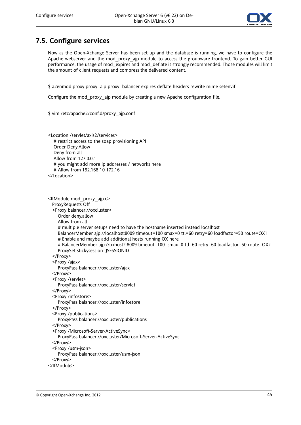

### **7.5. Configure services**

Now as the Open-Xchange Server has been set up and the database is running, we have to configure the Apache webserver and the mod proxy ajp module to access the groupware frontend. To gain better GUI performance, the usage of mod\_expires and mod\_deflate is strongly recommended. Those modules will limit the amount of client requests and compress the delivered content.

\$ a2enmod proxy proxy\_ajp proxy\_balancer expires deflate headers rewrite mime setenvif

Configure the mod\_proxy\_ajp module by creating a new Apache configuration file.

\$ vim /etc/apache2/conf.d/proxy\_ajp.conf

<Location /servlet/axis2/services> # restrict access to the soap provisioning API Order Deny,Allow Deny from all Allow from 127.0.0.1 # you might add more ip addresses / networks here # Allow from 192.168 10 172.16

</Location>

<IfModule mod\_proxy\_ajp.c> ProxyRequests Off <Proxy balancer://oxcluster> Order deny,allow Allow from all # multiple server setups need to have the hostname inserted instead localhost BalancerMember ajp://localhost:8009 timeout=100 smax=0 ttl=60 retry=60 loadfactor=50 route=OX1 # Enable and maybe add additional hosts running OX here # BalancerMember ajp://oxhost2:8009 timeout=100 smax=0 ttl=60 retry=60 loadfactor=50 route=OX2 ProxySet stickysession=JSESSIONID </Proxy> <Proxy /ajax> ProxyPass balancer://oxcluster/ajax </Proxy> <Proxy /servlet> ProxyPass balancer://oxcluster/servlet </Proxy> <Proxy /infostore> ProxyPass balancer://oxcluster/infostore </Proxy> <Proxy /publications> ProxyPass balancer://oxcluster/publications </Proxy> <Proxy /Microsoft-Server-ActiveSync> ProxyPass balancer://oxcluster/Microsoft-Server-ActiveSync </Proxy> <Proxy /usm-json> ProxyPass balancer://oxcluster/usm-json </Proxy> </IfModule>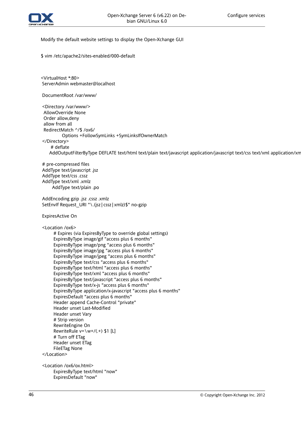

Modify the default website settings to display the Open-Xchange GUI

\$ vim /etc/apache2/sites-enabled/000-default

<VirtualHost \*:80> ServerAdmin webmaster@localhost

DocumentRoot /var/www/

<Directory /var/www/> AllowOverride None Order allow,deny allow from all RedirectMatch ^/\$ /ox6/ Options +FollowSymLinks +SymLinksIfOwnerMatch </Directory> # deflate

AddOutputFilterByType DEFLATE text/html text/plain text/javascript application/javascript text/css text/xml application/xm

# pre-compressed files AddType text/javascript .jsz AddType text/css .cssz AddType text/xml .xmlz AddType text/plain .po

AddEncoding gzip .jsz .cssz .xmlz SetEnvIf Request\_URI "\.(jsz|cssz|xmlz)\$" no-gzip

ExpiresActive On

<Location /ox6>

# Expires (via ExpiresByType to override global settings) ExpiresByType image/gif "access plus 6 months" ExpiresByType image/png "access plus 6 months" ExpiresByType image/jpg "access plus 6 months" ExpiresByType image/jpeg "access plus 6 months" ExpiresByType text/css "access plus 6 months" ExpiresByType text/html "access plus 6 months" ExpiresByType text/xml "access plus 6 months" ExpiresByType text/javascript "access plus 6 months" ExpiresByType text/x-js "access plus 6 months" ExpiresByType application/x-javascript "access plus 6 months" ExpiresDefault "access plus 6 months" Header append Cache-Control "private" Header unset Last-Modified Header unset Vary # Strip version RewriteEngine On RewriteRule  $v=\wedge w+/(0.4)$  \$1 [L] # Turn off ETag Header unset ETag FileETag None </Location>

<Location /ox6/ox.html> ExpiresByType text/html "now" ExpiresDefault "now"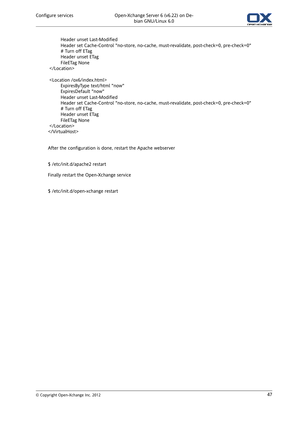

Header unset Last-Modified Header set Cache-Control "no-store, no-cache, must-revalidate, post-check=0, pre-check=0" # Turn off ETag Header unset ETag FileETag None </Location>

<Location /ox6/index.html> ExpiresByType text/html "now" ExpiresDefault "now" Header unset Last-Modified Header set Cache-Control "no-store, no-cache, must-revalidate, post-check=0, pre-check=0" # Turn off ETag Header unset ETag FileETag None </Location> </VirtualHost>

After the configuration is done, restart the Apache webserver

#### \$ /etc/init.d/apache2 restart

Finally restart the Open-Xchange service

\$ /etc/init.d/open-xchange restart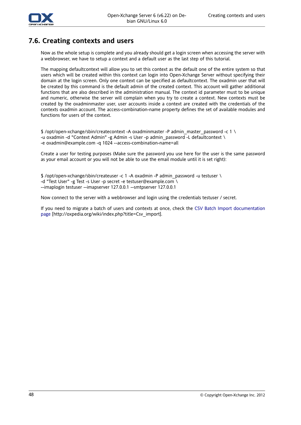

#### **7.6. Creating contexts and users**

Now as the whole setup is complete and you already should get a login screen when accessing the server with a webbrowser, we have to setup a context and a default user as the last step of this tutorial.

The mapping defaultcontext will allow you to set this context as the default one of the entire system so that users which will be created within this context can login into Open-Xchange Server without specifying their domain at the login screen. Only one context can be specified as defaultcontext. The oxadmin user that will be created by this command is the default admin of the created context. This account will gather additional functions that are also described in the administration manual. The context id parameter must to be unique and numeric, otherwise the server will complain when you try to create a context. New contexts must be created by the oxadminmaster user, user accounts inside a context are created with the credentials of the contexts oxadmin account. The access-combination-name property defines the set of available modules and functions for users of the context.

\$ /opt/open-xchange/sbin/createcontext -A oxadminmaster -P admin\_master\_password -c 1 \ -u oxadmin -d "Context Admin" -g Admin -s User -p admin\_password -L defaultcontext \ -e oxadmin@example.com -q 1024 --access-combination-name=all

Create a user for testing purposes (Make sure the password you use here for the user is the same password as your email account or you will not be able to use the email module until it is set right):

\$ /opt/open-xchange/sbin/createuser -c 1 -A oxadmin -P admin\_password -u testuser \ -d "Test User" -g Test -s User -p secret -e testuser@example.com \ --imaplogin testuser --imapserver 127.0.0.1 --smtpserver 127.0.0.1

Now connect to the server with a webbrowser and login using the credentials testuser / secret.

If you need to migrate a batch of users and contexts at once, check the CSV Batch Import [documentation](http://oxpedia.org/wiki/index.php?title=Csv_import) [page](http://oxpedia.org/wiki/index.php?title=Csv_import) [[http://oxpedia.org/wiki/index.php?title=Csv\\_import\]](http://oxpedia.org/wiki/index.php?title=Csv_import).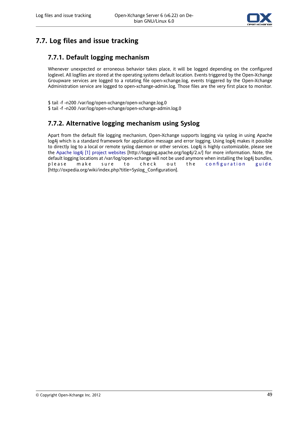

# **7.7. Log files and issue tracking**

### **7.7.1. Default logging mechanism**

Whenever unexpected or erroneous behavior takes place, it will be logged depending on the configured loglevel. All logfiles are stored at the operating systems default location. Events triggered by the Open-Xchange Groupware services are logged to a rotating file open-xchange.log, events triggered by the Open-Xchange Administration service are logged to open-xchange-admin.log. Those files are the very first place to monitor.

\$ tail -f -n200 /var/log/open-xchange/open-xchange.log.0 \$ tail -f -n200 /var/log/open-xchange/open-xchange-admin.log.0

#### **7.7.2. Alternative logging mechanism using Syslog**

Apart from the default file logging mechanism, Open-Xchange supports logging via syslog in using Apache log4j which is a standard framework for application message and error logging. Using log4j makes it possible to directly log to a local or remote syslog daemon or other services. Log4j is highly customizable, please see the Apache log4j [1] project [websites](http://logging.apache.org/log4j/2.x/) [[http://logging.apache.org/log4j/2.x/\]](http://logging.apache.org/log4j/2.x/) for more information. Note, the default logging locations at /var/log/open-xchange will not be used anymore when installing the log4j bundles, please make sure to check out the [configuration](http://oxpedia.org/wiki/index.php?title=Syslog_Configuration) guide [[http://oxpedia.org/wiki/index.php?title=Syslog\\_Configuration\]](http://oxpedia.org/wiki/index.php?title=Syslog_Configuration).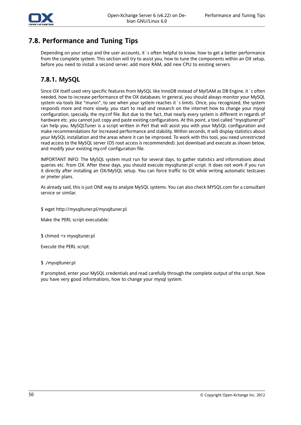

### **7.8. Performance and Tuning Tips**

Depending on your setup and the user accounts, it 's often helpful to know, how to get a better performance from the complete system. This section will try to assist you, how to tune the components within an OX setup, before you need to install a second server, add more RAM, add new CPU to existing servers.

#### **7.8.1. MySQL**

Since OX itself used very specific features from MySQL like InnoDB instead of MyISAM as DB Engine, it´s often needed, how to increase performance of the OX databases. In general, you should always monitor your MySQL system via tools like "munin", to see when your system reaches it´s limits. Once, you recognized, the system responds more and more slowly, you start to read and research on the internet how to change your mysql configuration, specially, the my.cnf file. But due to the fact, that nearly every system is different in regards of hardware etc. you cannot just copy and paste existing configurations. At this point, a tool called "mysqltuner.pl" can help you. MySQLTuner is a script written in Perl that will assist you with your MySQL configuration and make recommendations for increased performance and stability. Within seconds, it will display statistics about your MySQL installation and the areas where it can be improved. To work with this tool, you need unrestricted read access to the MySQL server (OS root access is recommended). Just download and execute as shown below, and modify your existing my.cnf configuration file.

IMPORTANT INFO: The MySQL system must run for several days, to gather statistics and informations about queries etc. from OX. After these days, you should execute mysqltuner.pl script. It does not work if you run it directly after installing an OX/MySQL setup. You can force traffic to OX while writing automatic testcases or jmeter plans.

As already said, this is just ONE way to analyze MySQL systems. You can also check MYSQL.com for a consultant service or similar.

\$ wget http://mysqltuner.pl/mysqltuner.pl

Make the PERL script executable:

\$ chmod +x mysqltuner.pl

Execute the PERL script:

#### \$ ./mysqltuner.pl

If prompted, enter your MySQL credentials and read carefully through the complete output of the script. Now you have very good informations, how to change your mysql system.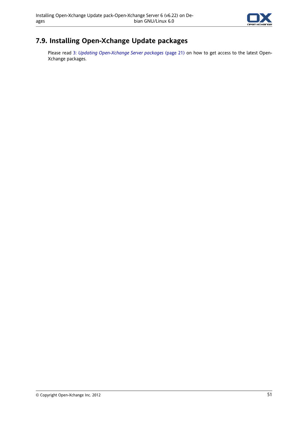

# **7.9. Installing Open-Xchange Update packages**

Please read 3: *Updating [Open-Xchange](#page-28-0) Server packages* (page 21) on how to get access to the latest Open-Xchange packages.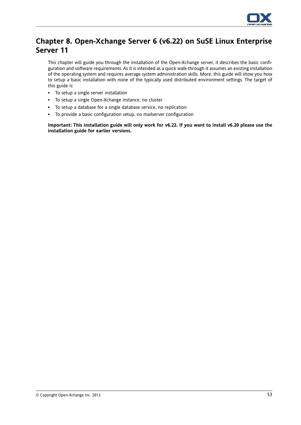

# **Chapter 8. Open-Xchange Server 6 (v6.22) on SuSE Linux Enterprise Server 11**

This chapter will guide you through the installation of the Open-Xchange server, it describes the basic configuration and software requirements. As it is intended as a quick walk-through it assumes an existing installation of the operating system and requires average system administration skills. More, this guide will show you how to setup a basic installation with none of the typically used distributed environment settings. The target of this guide is:

- To setup a single server installation
- To setup a single Open-Xchange instance, no cluster
- To setup a database for a single database service, no replication
- To provide a basic configuration setup, no mailserver configuration

Important: This installation guide will only work for v6.22. If you want to install v6.20 please use the **installation guide for earlier versions.**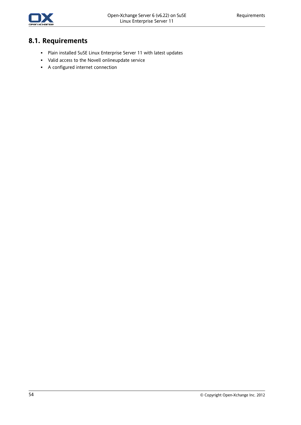

# **8.1. Requirements**

- Plain installed SuSE Linux Enterprise Server 11 with latest updates
- Valid access to the Novell onlineupdate service
- A configured internet connection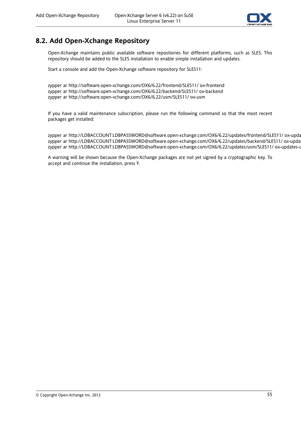

#### **8.2. Add Open-Xchange Repository**

Open-Xchange maintains public available software repositories for different platforms, such as SLES. This repository should be added to the SLES installation to enable simple installation and updates.

Start a console and add the Open-Xchange software repository for SLES11:

zypper ar http://software.open-xchange.com/OX6/6.22/frontend/SLES11/ ox-frontend zypper ar http://software.open-xchange.com/OX6/6.22/backend/SLES11/ ox-backend zypper ar http://software.open-xchange.com/OX6/6.22/usm/SLES11/ ox-usm

If you have a valid maintenance subscription, please run the following command so that the most recent packages get installed:

zypper ar http://LDBACCOUNT:LDBPASSWORD@software.open-xchange.com/OX6/6.22/updates/frontend/SLES11/ ox-upda zypper ar http://LDBACCOUNT:LDBPASSWORD@software.open-xchange.com/OX6/6.22/updates/backend/SLES11/ ox-upda zypper ar http://LDBACCOUNT:LDBPASSWORD@software.open-xchange.com/OX6/6.22/updates/usm/SLES11/ ox-updates-usm

A warning will be shown because the Open-Xchange packages are not yet signed by a cryptographic key. To accept and continue the installation, press Y.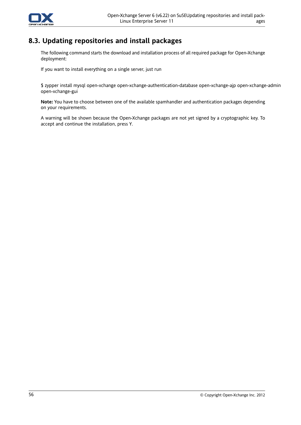

### **8.3. Updating repositories and install packages**

The following command starts the download and installation process of all required package for Open-Xchange deployment:

If you want to install everything on a single server, just run

\$ zypper install mysql open-xchange open-xchange-authentication-database open-xchange-ajp open-xchange-admin open-xchange-gui

**Note:** You have to choose between one of the available spamhandler and authentication packages depending on your requirements.

A warning will be shown because the Open-Xchange packages are not yet signed by a cryptographic key. To accept and continue the installation, press Y.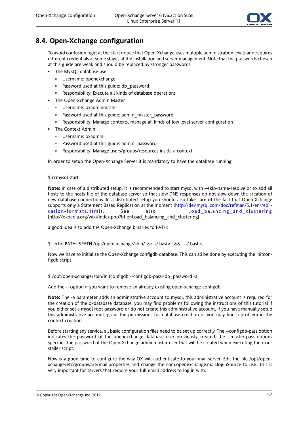

### **8.4. Open-Xchange configuration**

To avoid confusion right at the start notice that Open-Xchange uses multiple administration levels and requires different credentials at some stages at the installation and server management. Note that the passwords chosen at this guide are weak and should be replaced by stronger passwords.

- The MySQL database user
	- Username: openexchange
	- □ Password used at this guide: db password
	- Responsibility: Execute all kinds of database operations
- The Open-Xchange Admin Master
	- Username: oxadminmaster
	- Password used at this guide: admin\_master\_password
	- Responsibility: Manage contexts, manage all kinds of low level server configuration
- The Context Admin
	- Username: oxadmin
	- Password used at this guide: admin\_password
	- Responsibility: Manage users/groups/resources inside a context

In order to setup the Open-Xchange Server it is mandatory to have the database running:

#### \$ rcmysql start

**Note:** in case of a distributed setup, it is recommended to start mysql with --skip-name-resolve or to add all hosts to the hosts file of the database server so that slow DNS responses do not slow down the creation of new database connections. In a distributed setup you should also take care of the fact that Open-Xchange supports only a Statement Based Replication at the moment ([http://dev.mysql.com/doc/refman/5.1/en/repli](http://dev.mysql.com/doc/refman/5.1/en/replication-formats.html)[cation-formats.html\)](http://dev.mysql.com/doc/refman/5.1/en/replication-formats.html) . See also [Load\\_balancing\\_and\\_clustering](http://oxpedia.org/wiki/index.php?title=Load_balancing_and_clustering) [[http://oxpedia.org/wiki/index.php?title=Load\\_balancing\\_and\\_clustering\]](http://oxpedia.org/wiki/index.php?title=Load_balancing_and_clustering)

a good idea is to add the Open-Xchange binaries to PATH:

\$ echo PATH=\$PATH:/opt/open-xchange/sbin/ >> ~/.bashrc && . ~/.bashrc

Now we have to initialize the Open-Xchange configdb database. This can all be done by executing the initconfigdb script.

\$ /opt/open-xchange/sbin/initconfigdb --configdb-pass=db\_password -a

Add the -i option if you want to remove an already existing open-xchange configdb.

**Note:** The -a parameter adds an administrative account to mysql, this administrative account is required for the creation of the oxdatabase database, you may find problems following the instructions of this tutorial if you either set a mysql root password or do not create this administrative account, if you have manually setup this administrative account, grant the permissions for database creation or you may find a problem in the context creation

Before starting any service, all basic configuration files need to be set up correctly. The --configdb-pass option indicates the password of the openexchange database user previously created, the --master-pass options specifies the password of the Open-Xchange adminmaster user that will be created when executing the oxinstaller script.

Now is a good time to configure the way OX will authenticate to your mail server. Edit the file /opt/openxchange/etc/groupware/mail.properties and change the com.openexchange.mail.loginSource to use. This is very important for servers that require your full email address to log in with.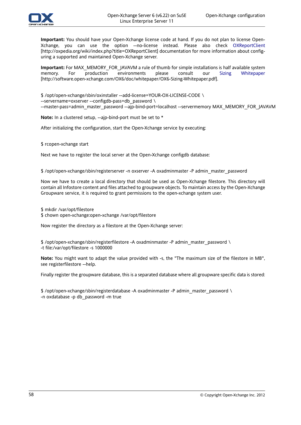

**Important:** You should have your Open-Xchange license code at hand. If you do not plan to license Open-Xchange, you can use the option --no-license instead. Please also check [OXReportClient](http://oxpedia.org/wiki/index.php?title=OXReportClient) [<http://oxpedia.org/wiki/index.php?title=OXReportClient>] documentation for more information about configuring a supported and maintained Open-Xchange server.

**Important:** For MAX\_MEMORY\_FOR\_JAVAVM a rule of thumb for simple installations is half available system memory. For production environments please consult our Sizing [Whitepaper](http://software.open-xchange.com/OX6/doc/whitepaper/OX6-Sizing-Whitepaper.pdf) [[http://software.open-xchange.com/OX6/doc/whitepaper/OX6-Sizing-Whitepaper.pdf\]](http://software.open-xchange.com/OX6/doc/whitepaper/OX6-Sizing-Whitepaper.pdf).

\$ /opt/open-xchange/sbin/oxinstaller --add-license=YOUR-OX-LICENSE-CODE \

--servername=oxserver --configdb-pass=db\_password \

--master-pass=admin\_master\_password --ajp-bind-port=localhost --servermemory MAX\_MEMORY\_FOR\_JAVAVM

**Note:** In a clustered setup, --ajp-bind-port must be set to \*

After initializing the configuration, start the Open-Xchange service by executing:

\$ rcopen-xchange start

Next we have to register the local server at the Open-Xchange configdb database:

\$ /opt/open-xchange/sbin/registerserver -n oxserver -A oxadminmaster -P admin\_master\_password

Now we have to create a local directory that should be used as Open-Xchange filestore. This directory will contain all Infostore content and files attached to groupware objects. To maintain access by the Open-Xchange Groupware service, it is required to grant permissions to the open-xchange system user.

\$ mkdir /var/opt/filestore

\$ chown open-xchange:open-xchange /var/opt/filestore

Now register the directory as a filestore at the Open-Xchange server:

\$ /opt/open-xchange/sbin/registerfilestore -A oxadminmaster -P admin\_master\_password \ -t file:/var/opt/filestore -s 1000000

**Note:** You might want to adapt the value provided with -s, the "The maximum size of the filestore in MB", see registerfilestore --help.

Finally register the groupware database, this is a separated database where all groupware specific data is stored:

\$ /opt/open-xchange/sbin/registerdatabase -A oxadminmaster -P admin\_master\_password \ -n oxdatabase -p db\_password -m true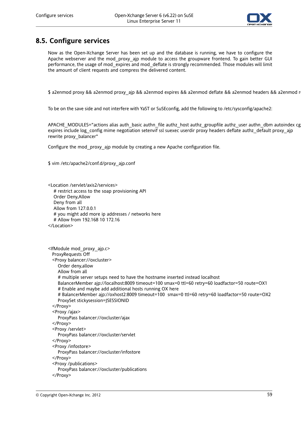

### **8.5. Configure services**

Now as the Open-Xchange Server has been set up and the database is running, we have to configure the Apache webserver and the mod proxy ajp module to access the groupware frontend. To gain better GUI performance, the usage of mod\_expires and mod\_deflate is strongly recommended. Those modules will limit the amount of client requests and compress the delivered content.

\$ a2enmod proxy && a2enmod proxy\_ajp && a2enmod expires && a2enmod deflate && a2enmod headers && a2enmod r

To be on the save side and not interfere with YaST or SuSEconfig, add the following to /etc/sysconfig/apache2:

APACHE\_MODULES="actions alias auth\_basic authn\_file authz\_host authz\_groupfile authz\_user authn\_dbm autoindex cg expires include log\_config mime negotiation setenvif ssl suexec userdir proxy headers deflate authz\_default proxy\_ajp rewrite proxy\_balancer"

Configure the mod\_proxy\_ajp module by creating a new Apache configuration file.

\$ vim /etc/apache2/conf.d/proxy\_ajp.conf

```
<Location /servlet/axis2/services>
  # restrict access to the soap provisioning API
  Order Deny,Allow
  Deny from all
  Allow from 127.0.0.1
  # you might add more ip addresses / networks here
  # Allow from 192.168 10 172.16
</Location>
```

```
<IfModule mod_proxy_ajp.c>
 ProxyRequests Off
 <Proxy balancer://oxcluster>
    Order deny,allow
    Allow from all
    # multiple server setups need to have the hostname inserted instead localhost
    BalancerMember ajp://localhost:8009 timeout=100 smax=0 ttl=60 retry=60 loadfactor=50 route=OX1
    # Enable and maybe add additional hosts running OX here
    # BalancerMember ajp://oxhost2:8009 timeout=100 smax=0 ttl=60 retry=60 loadfactor=50 route=OX2
    ProxySet stickysession=JSESSIONID
 </Proxy>
 <Proxy /ajax>
    ProxyPass balancer://oxcluster/ajax
 </Proxy>
 <Proxy /servlet>
    ProxyPass balancer://oxcluster/servlet
 </Proxy>
 <Proxy /infostore>
    ProxyPass balancer://oxcluster/infostore
 </Proxy>
 <Proxy /publications>
    ProxyPass balancer://oxcluster/publications
 </Proxy>
```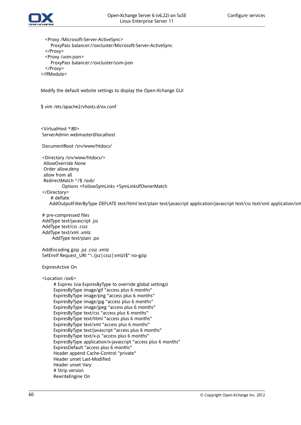

<Proxy /Microsoft-Server-ActiveSync> ProxyPass balancer://oxcluster/Microsoft-Server-ActiveSync </Proxy> <Proxy /usm-json> ProxyPass balancer://oxcluster/usm-json </Proxy> </IfModule>

Modify the default website settings to display the Open-Xchange GUI

\$ vim /etc/apache2/vhosts.d/ox.conf

<VirtualHost \*:80> ServerAdmin webmaster@localhost

DocumentRoot /srv/www/htdocs/

<Directory /srv/www/htdocs/> AllowOverride None Order allow,deny allow from all RedirectMatch ^/\$ /ox6/ Options +FollowSymLinks +SymLinksIfOwnerMatch </Directory> # deflate

AddOutputFilterByType DEFLATE text/html text/plain text/javascript application/javascript text/css text/xml application/xm

# pre-compressed files AddType text/javascript .jsz AddType text/css .cssz AddType text/xml .xmlz AddType text/plain .po

AddEncoding gzip .jsz .cssz .xmlz SetEnvIf Request URI "\.(jsz|cssz|xmlz)\$" no-gzip

ExpiresActive On

<Location /ox6>

# Expires (via ExpiresByType to override global settings) ExpiresByType image/gif "access plus 6 months" ExpiresByType image/png "access plus 6 months" ExpiresByType image/jpg "access plus 6 months" ExpiresByType image/jpeg "access plus 6 months" ExpiresByType text/css "access plus 6 months" ExpiresByType text/html "access plus 6 months" ExpiresByType text/xml "access plus 6 months" ExpiresByType text/javascript "access plus 6 months" ExpiresByType text/x-js "access plus 6 months" ExpiresByType application/x-javascript "access plus 6 months" ExpiresDefault "access plus 6 months" Header append Cache-Control "private" Header unset Last-Modified Header unset Vary # Strip version RewriteEngine On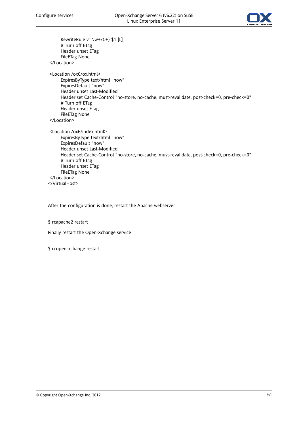

RewriteRule  $v=\wedge w+/(0.4)$  \$1 [L] # Turn off ETag Header unset ETag FileETag None </Location> <Location /ox6/ox.html> ExpiresByType text/html "now" ExpiresDefault "now" Header unset Last-Modified Header set Cache-Control "no-store, no-cache, must-revalidate, post-check=0, pre-check=0" # Turn off ETag Header unset ETag FileETag None </Location> <Location /ox6/index.html> ExpiresByType text/html "now" ExpiresDefault "now" Header unset Last-Modified Header set Cache-Control "no-store, no-cache, must-revalidate, post-check=0, pre-check=0" # Turn off ETag Header unset ETag FileETag None </Location> </VirtualHost>

After the configuration is done, restart the Apache webserver

\$ rcapache2 restart

Finally restart the Open-Xchange service

\$ rcopen-xchange restart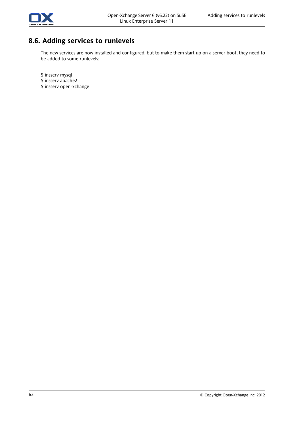

# **8.6. Adding services to runlevels**

The new services are now installed and configured, but to make them start up on a server boot, they need to be added to some runlevels:

\$ insserv mysql

- \$ insserv apache2
- \$ insserv open-xchange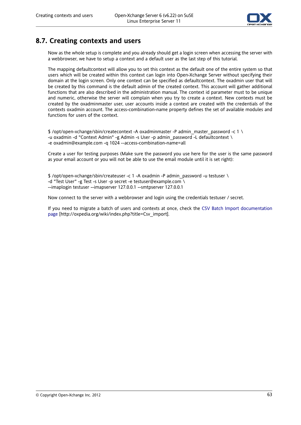

### **8.7. Creating contexts and users**

Now as the whole setup is complete and you already should get a login screen when accessing the server with a webbrowser, we have to setup a context and a default user as the last step of this tutorial.

The mapping defaultcontext will allow you to set this context as the default one of the entire system so that users which will be created within this context can login into Open-Xchange Server without specifying their domain at the login screen. Only one context can be specified as defaultcontext. The oxadmin user that will be created by this command is the default admin of the created context. This account will gather additional functions that are also described in the administration manual. The context id parameter must to be unique and numeric, otherwise the server will complain when you try to create a context. New contexts must be created by the oxadminmaster user, user accounts inside a context are created with the credentials of the contexts oxadmin account. The access-combination-name property defines the set of available modules and functions for users of the context.

 $$$  /opt/open-xchange/sbin/createcontext -A oxadminmaster -P admin\_master\_password -c 1 \ -u oxadmin -d "Context Admin" -g Admin -s User -p admin\_password -L defaultcontext \ -e oxadmin@example.com -q 1024 --access-combination-name=all

Create a user for testing purposes (Make sure the password you use here for the user is the same password as your email account or you will not be able to use the email module until it is set right):

\$ /opt/open-xchange/sbin/createuser -c 1 -A oxadmin -P admin\_password -u testuser \ -d "Test User" -g Test -s User -p secret -e testuser@example.com \ --imaplogin testuser --imapserver 127.0.0.1 --smtpserver 127.0.0.1

Now connect to the server with a webbrowser and login using the credentials testuser / secret.

If you need to migrate a batch of users and contexts at once, check the CSV Batch Import [documentation](http://oxpedia.org/wiki/index.php?title=Csv_import) [page](http://oxpedia.org/wiki/index.php?title=Csv_import) [[http://oxpedia.org/wiki/index.php?title=Csv\\_import](http://oxpedia.org/wiki/index.php?title=Csv_import)].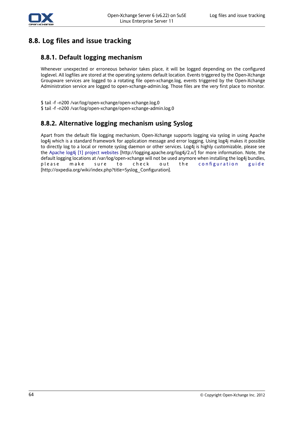

# **8.8. Log files and issue tracking**

#### **8.8.1. Default logging mechanism**

Whenever unexpected or erroneous behavior takes place, it will be logged depending on the configured loglevel. All logfiles are stored at the operating systems default location. Events triggered by the Open-Xchange Groupware services are logged to a rotating file open-xchange.log, events triggered by the Open-Xchange Administration service are logged to open-xchange-admin.log. Those files are the very first place to monitor.

\$ tail -f -n200 /var/log/open-xchange/open-xchange.log.0 \$ tail -f -n200 /var/log/open-xchange/open-xchange-admin.log.0

#### **8.8.2. Alternative logging mechanism using Syslog**

Apart from the default file logging mechanism, Open-Xchange supports logging via syslog in using Apache log4j which is a standard framework for application message and error logging. Using log4j makes it possible to directly log to a local or remote syslog daemon or other services. Log4j is highly customizable, please see the Apache log4j [1] project [websites](http://logging.apache.org/log4j/2.x/) [<http://logging.apache.org/log4j/2.x/>] for more information. Note, the default logging locations at /var/log/open-xchange will not be used anymore when installing the log4j bundles, please make sure to check out the [configuration](http://oxpedia.org/wiki/index.php?title=Syslog_Configuration) guide [[http://oxpedia.org/wiki/index.php?title=Syslog\\_Configuration](http://oxpedia.org/wiki/index.php?title=Syslog_Configuration)].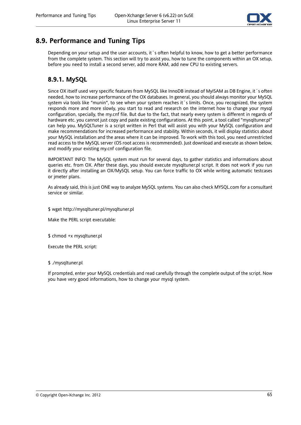

## **8.9. Performance and Tuning Tips**

Depending on your setup and the user accounts, it 's often helpful to know, how to get a better performance from the complete system. This section will try to assist you, how to tune the components within an OX setup, before you need to install a second server, add more RAM, add new CPU to existing servers.

#### **8.9.1. MySQL**

Since OX itself used very specific features from MySQL like InnoDB instead of MyISAM as DB Engine, it´s often needed, how to increase performance of the OX databases. In general, you should always monitor your MySQL system via tools like "munin", to see when your system reaches it´s limits. Once, you recognized, the system responds more and more slowly, you start to read and research on the internet how to change your mysql configuration, specially, the my.cnf file. But due to the fact, that nearly every system is different in regards of hardware etc. you cannot just copy and paste existing configurations. At this point, a tool called "mysqltuner.pl" can help you. MySQLTuner is a script written in Perl that will assist you with your MySQL configuration and make recommendations for increased performance and stability. Within seconds, it will display statistics about your MySQL installation and the areas where it can be improved. To work with this tool, you need unrestricted read access to the MySQL server (OS root access is recommended). Just download and execute as shown below, and modify your existing my.cnf configuration file.

IMPORTANT INFO: The MySQL system must run for several days, to gather statistics and informations about queries etc. from OX. After these days, you should execute mysqltuner.pl script. It does not work if you run it directly after installing an OX/MySQL setup. You can force traffic to OX while writing automatic testcases or jmeter plans.

As already said, this is just ONE way to analyze MySQL systems. You can also check MYSQL.com for a consultant service or similar.

\$ wget http://mysqltuner.pl/mysqltuner.pl

Make the PERL script executable:

\$ chmod +x mysqltuner.pl

Execute the PERL script:

#### \$ ./mysqltuner.pl

If prompted, enter your MySQL credentials and read carefully through the complete output of the script. Now you have very good informations, how to change your mysql system.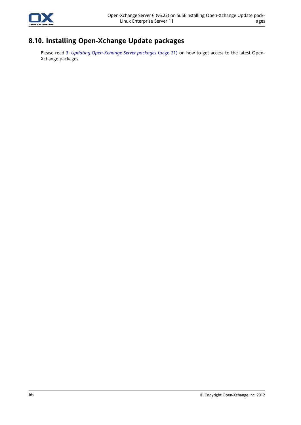

# **8.10. Installing Open-Xchange Update packages**

Please read 3: *Updating [Open-Xchange](#page-28-0) Server packages* (page 21) on how to get access to the latest Open-Xchange packages.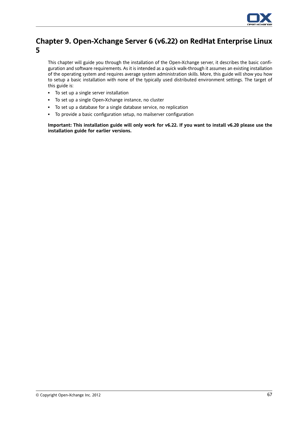

## **Chapter 9. Open-Xchange Server 6 (v6.22) on RedHat Enterprise Linux 5**

This chapter will guide you through the installation of the Open-Xchange server, it describes the basic configuration and software requirements. As it is intended as a quick walk-through it assumes an existing installation of the operating system and requires average system administration skills. More, this guide will show you how to setup a basic installation with none of the typically used distributed environment settings. The target of this guide is:

- To set up a single server installation
- To set up a single Open-Xchange instance, no cluster
- To set up a database for a single database service, no replication
- To provide a basic configuration setup, no mailserver configuration

Important: This installation guide will only work for v6.22. If you want to install v6.20 please use the **installation guide for earlier versions.**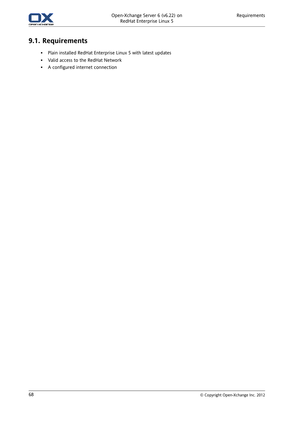

# **9.1. Requirements**

- Plain installed RedHat Enterprise Linux 5 with latest updates
- Valid access to the RedHat Network
- A configured internet connection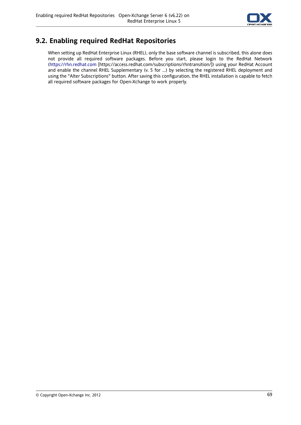

## **9.2. Enabling required RedHat Repositories**

When setting up RedHat Enterprise Linux (RHEL), only the base software channel is subscribed, this alone does not provide all required software packages. Before you start, please login to the RedHat Network [\(https://rhn.redhat.com](https://access.redhat.com/subscriptions/rhntransition/) [<https://access.redhat.com/subscriptions/rhntransition/>]) using your RedHat Account and enable the channel RHEL Supplementary (v. 5 for ...) by selecting the registered RHEL deployment and using the "Alter Subscriptions" button. After saving this configuration, the RHEL installation is capable to fetch all required software packages for Open-Xchange to work properly.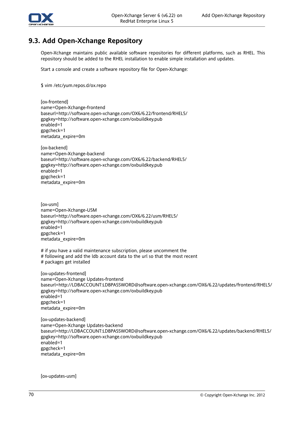

## **9.3. Add Open-Xchange Repository**

Open-Xchange maintains public available software repositories for different platforms, such as RHEL. This repository should be added to the RHEL installation to enable simple installation and updates.

Start a console and create a software repository file for Open-Xchange:

\$ vim /etc/yum.repos.d/ox.repo

[ox-frontend] name=Open-Xchange-frontend baseurl=http://software.open-xchange.com/OX6/6.22/frontend/RHEL5/ gpgkey=http://software.open-xchange.com/oxbuildkey.pub enabled=1 gpgcheck=1 metadata\_expire=0m

[ox-backend] name=Open-Xchange-backend baseurl=http://software.open-xchange.com/OX6/6.22/backend/RHEL5/ gpgkey=http://software.open-xchange.com/oxbuildkey.pub enabled=1 gpgcheck=1 metadata\_expire=0m

[ox-usm] name=Open-Xchange-USM baseurl=http://software.open-xchange.com/OX6/6.22/usm/RHEL5/ gpgkey=http://software.open-xchange.com/oxbuildkey.pub enabled=1 gpgcheck=1 metadata\_expire=0m

# if you have a valid maintenance subscription, please uncomment the

# following and add the ldb account data to the url so that the most recent

# packages get installed

[ox-updates-frontend] name=Open-Xchange Updates-frontend baseurl=http://LDBACCOUNT:LDBPASSWORD@software.open-xchange.com/OX6/6.22/updates/frontend/RHEL5/ gpgkey=http://software.open-xchange.com/oxbuildkey.pub enabled=1 gpgcheck=1 metadata\_expire=0m

[ox-updates-backend] name=Open-Xchange Updates-backend baseurl=http://LDBACCOUNT:LDBPASSWORD@software.open-xchange.com/OX6/6.22/updates/backend/RHEL5/ gpgkey=http://software.open-xchange.com/oxbuildkey.pub enabled=1 gpgcheck=1 metadata\_expire=0m

[ox-updates-usm]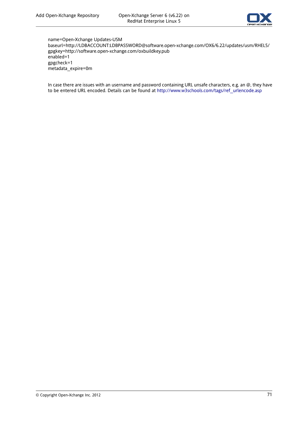

name=Open-Xchange Updates-USM baseurl=http://LDBACCOUNT:LDBPASSWORD@software.open-xchange.com/OX6/6.22/updates/usm/RHEL5/ gpgkey=http://software.open-xchange.com/oxbuildkey.pub enabled=1 gpgcheck=1 metadata\_expire=0m

In case there are issues with an username and password containing URL unsafe characters, e.g. an @, they have to be entered URL encoded. Details can be found at [http://www.w3schools.com/tags/ref\\_urlencode.asp](http://www.w3schools.com/tags/ref_urlencode.asp)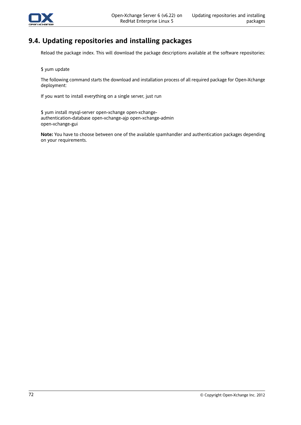

## **9.4. Updating repositories and installing packages**

Reload the package index. This will download the package descriptions available at the software repositories:

\$ yum update

The following command starts the download and installation process of all required package for Open-Xchange deployment:

If you want to install everything on a single server, just run

\$ yum install mysql-server open-xchange open-xchangeauthentication-database open-xchange-ajp open-xchange-admin open-xchange-gui

**Note:** You have to choose between one of the available spamhandler and authentication packages depending on your requirements.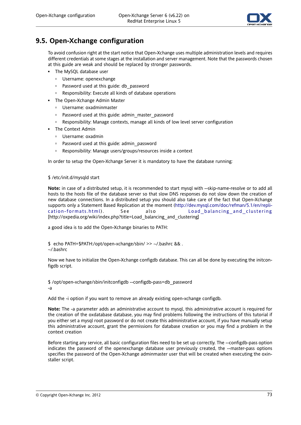

## **9.5. Open-Xchange configuration**

To avoid confusion right at the start notice that Open-Xchange uses multiple administration levels and requires different credentials at some stages at the installation and server management. Note that the passwords chosen at this guide are weak and should be replaced by stronger passwords.

- **·** The MySQL database user
	- Username: openexchange
	- □ Password used at this guide: db password
	- Responsibility: Execute all kinds of database operations
- The Open-Xchange Admin Master
	- Username: oxadminmaster
	- Password used at this guide: admin\_master\_password
	- Responsibility: Manage contexts, manage all kinds of low level server configuration
- The Context Admin
	- Username: oxadmin
	- Password used at this guide: admin\_password
	- Responsibility: Manage users/groups/resources inside a context

In order to setup the Open-Xchange Server it is mandatory to have the database running:

#### \$ /etc/init.d/mysqld start

**Note:** in case of a distributed setup, it is recommended to start mysql with --skip-name-resolve or to add all hosts to the hosts file of the database server so that slow DNS responses do not slow down the creation of new database connections. In a distributed setup you should also take care of the fact that Open-Xchange supports only a Statement Based Replication at the moment ([http://dev.mysql.com/doc/refman/5.1/en/repli](http://dev.mysql.com/doc/refman/5.1/en/replication-formats.html)[cation-formats.html\)](http://dev.mysql.com/doc/refman/5.1/en/replication-formats.html) . See also [Load\\_balancing\\_and\\_clustering](http://oxpedia.org/wiki/index.php?title=Load_balancing_and_clustering) [[http://oxpedia.org/wiki/index.php?title=Load\\_balancing\\_and\\_clustering\]](http://oxpedia.org/wiki/index.php?title=Load_balancing_and_clustering)

a good idea is to add the Open-Xchange binaries to PATH:

\$ echo PATH=\$PATH:/opt/open-xchange/sbin/ >> ~/.bashrc && .

~/.bashrc

Now we have to initialize the Open-Xchange configdb database. This can all be done by executing the initconfigdb script.

\$ /opt/open-xchange/sbin/initconfigdb --configdb-pass=db\_password -a

Add the -i option if you want to remove an already existing open-xchange configdb.

**Note:** The -a parameter adds an administrative account to mysql, this administrative account is required for the creation of the oxdatabase database, you may find problems following the instructions of this tutorial if you either set a mysql root password or do not create this administrative account, if you have manually setup this administrative account, grant the permissions for database creation or you may find a problem in the context creation

Before starting any service, all basic configuration files need to be set up correctly. The --configdb-pass option indicates the password of the openexchange database user previously created, the --master-pass options specifies the password of the Open-Xchange adminmaster user that will be created when executing the oxinstaller script.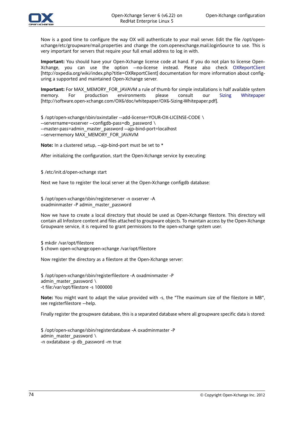

Now is a good time to configure the way OX will authenticate to your mail server. Edit the file /opt/openxchange/etc/groupware/mail.properties and change the com.openexchange.mail.loginSource to use. This is very important for servers that require your full email address to log in with.

**Important:** You should have your Open-Xchange license code at hand. If you do not plan to license Open-Xchange, you can use the option --no-license instead. Please also check [OXReportClient](http://oxpedia.org/wiki/index.php?title=OXReportClient) [<http://oxpedia.org/wiki/index.php?title=OXReportClient>] documentation for more information about configuring a supported and maintained Open-Xchange server.

**Important:** For MAX\_MEMORY\_FOR\_JAVAVM a rule of thumb for simple installations is half available system memory. For production environments please consult our Sizing [Whitepaper](http://software.open-xchange.com/OX6/doc/whitepaper/OX6-Sizing-Whitepaper.pdf) [[http://software.open-xchange.com/OX6/doc/whitepaper/OX6-Sizing-Whitepaper.pdf\]](http://software.open-xchange.com/OX6/doc/whitepaper/OX6-Sizing-Whitepaper.pdf).

\$ /opt/open-xchange/sbin/oxinstaller --add-license=YOUR-OX-LICENSE-CODE \ --servername=oxserver --configdb-pass=db\_password \ --master-pass=admin\_master\_password --ajp-bind-port=localhost --servermemory MAX\_MEMORY\_FOR\_JAVAVM

**Note:** In a clustered setup, --ajp-bind-port must be set to \*

After initializing the configuration, start the Open-Xchange service by executing:

\$ /etc/init.d/open-xchange start

Next we have to register the local server at the Open-Xchange configdb database:

\$ /opt/open-xchange/sbin/registerserver -n oxserver -A oxadminmaster -P admin\_master\_password

Now we have to create a local directory that should be used as Open-Xchange filestore. This directory will contain all Infostore content and files attached to groupware objects. To maintain access by the Open-Xchange Groupware service, it is required to grant permissions to the open-xchange system user.

\$ mkdir /var/opt/filestore

\$ chown open-xchange:open-xchange /var/opt/filestore

Now register the directory as a filestore at the Open-Xchange server:

\$ /opt/open-xchange/sbin/registerfilestore -A oxadminmaster -P admin master password  $\setminus$ -t file:/var/opt/filestore -s 1000000

**Note:** You might want to adapt the value provided with -s, the "The maximum size of the filestore in MB", see registerfilestore --help.

Finally register the groupware database, this is a separated database where all groupware specific data is stored:

\$ /opt/open-xchange/sbin/registerdatabase -A oxadminmaster -P admin\_master\_password  $\setminus$ -n oxdatabase -p db\_password -m true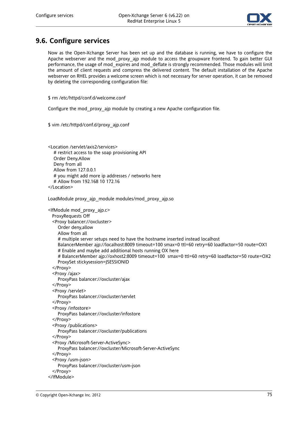

## **9.6. Configure services**

Now as the Open-Xchange Server has been set up and the database is running, we have to configure the Apache webserver and the mod proxy ajp module to access the groupware frontend. To gain better GUI performance, the usage of mod expires and mod\_deflate is strongly recommended. Those modules will limit the amount of client requests and compress the delivered content. The default installation of the Apache webserver on RHEL provides a welcome screen which is not necessary for server operation, it can be removed by deleting the corresponding configuration file:

\$ rm /etc/httpd/conf.d/welcome.conf

Configure the mod\_proxy\_ajp module by creating a new Apache configuration file.

\$ vim /etc/httpd/conf.d/proxy\_ajp.conf

<Location /servlet/axis2/services> # restrict access to the soap provisioning API Order Deny,Allow Deny from all Allow from 127.0.0.1 # you might add more ip addresses / networks here # Allow from 192.168 10 172.16 </Location>

LoadModule proxy\_ajp\_module modules/mod\_proxy\_ajp.so

<IfModule mod\_proxy\_ajp.c> ProxyRequests Off <Proxy balancer://oxcluster> Order deny,allow Allow from all # multiple server setups need to have the hostname inserted instead localhost BalancerMember ajp://localhost:8009 timeout=100 smax=0 ttl=60 retry=60 loadfactor=50 route=OX1 # Enable and maybe add additional hosts running OX here # BalancerMember ajp://oxhost2:8009 timeout=100 smax=0 ttl=60 retry=60 loadfactor=50 route=OX2 ProxySet stickysession=JSESSIONID </Proxy> <Proxy /ajax> ProxyPass balancer://oxcluster/ajax </Proxy> <Proxy /servlet> ProxyPass balancer://oxcluster/servlet </Proxy> <Proxy /infostore> ProxyPass balancer://oxcluster/infostore </Proxy> <Proxy /publications> ProxyPass balancer://oxcluster/publications </Proxy> <Proxy /Microsoft-Server-ActiveSync> ProxyPass balancer://oxcluster/Microsoft-Server-ActiveSync </Proxy> <Proxy /usm-json> ProxyPass balancer://oxcluster/usm-json </Proxy> </IfModule>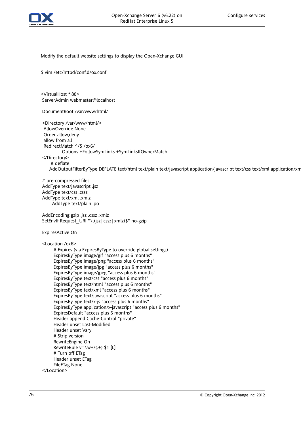

Modify the default website settings to display the Open-Xchange GUI

\$ vim /etc/httpd/conf.d/ox.conf

<VirtualHost \*:80> ServerAdmin webmaster@localhost

DocumentRoot /var/www/html/

<Directory /var/www/html/> AllowOverride None Order allow,deny allow from all RedirectMatch ^/\$ /ox6/ Options +FollowSymLinks +SymLinksIfOwnerMatch </Directory> # deflate AddOutputFilterByType DEFLATE text/html text/plain text/javascript application/javascript text/css text/xml application/xm

# pre-compressed files AddType text/javascript .jsz AddType text/css .cssz AddType text/xml .xmlz AddType text/plain .po

AddEncoding gzip .jsz .cssz .xmlz SetEnvIf Request\_URI "\.(jsz|cssz|xmlz)\$" no-gzip

ExpiresActive On

<Location /ox6>

# Expires (via ExpiresByType to override global settings) ExpiresByType image/gif "access plus 6 months" ExpiresByType image/png "access plus 6 months" ExpiresByType image/jpg "access plus 6 months" ExpiresByType image/jpeg "access plus 6 months" ExpiresByType text/css "access plus 6 months" ExpiresByType text/html "access plus 6 months" ExpiresByType text/xml "access plus 6 months" ExpiresByType text/javascript "access plus 6 months" ExpiresByType text/x-js "access plus 6 months" ExpiresByType application/x-javascript "access plus 6 months" ExpiresDefault "access plus 6 months" Header append Cache-Control "private" Header unset Last-Modified Header unset Vary # Strip version RewriteEngine On RewriteRule v=\w+/(.+) \$1 [L] # Turn off ETag Header unset ETag FileETag None </Location>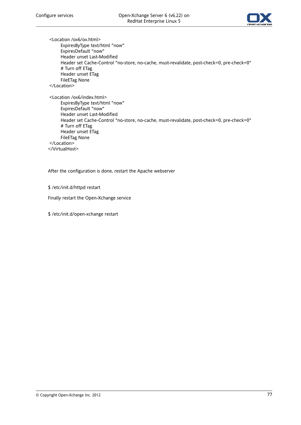

<Location /ox6/ox.html> ExpiresByType text/html "now" ExpiresDefault "now" Header unset Last-Modified Header set Cache-Control "no-store, no-cache, must-revalidate, post-check=0, pre-check=0" # Turn off ETag Header unset ETag FileETag None </Location> <Location /ox6/index.html> ExpiresByType text/html "now" ExpiresDefault "now" Header unset Last-Modified Header set Cache-Control "no-store, no-cache, must-revalidate, post-check=0, pre-check=0" # Turn off ETag Header unset ETag FileETag None </Location>

</VirtualHost>

After the configuration is done, restart the Apache webserver

\$ /etc/init.d/httpd restart

Finally restart the Open-Xchange service

\$ /etc/init.d/open-xchange restart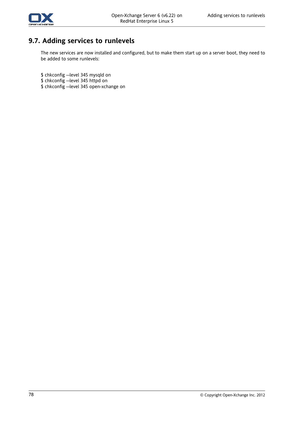

# **9.7. Adding services to runlevels**

The new services are now installed and configured, but to make them start up on a server boot, they need to be added to some runlevels:

\$ chkconfig --level 345 mysqld on

- \$ chkconfig --level 345 httpd on
- \$ chkconfig --level 345 open-xchange on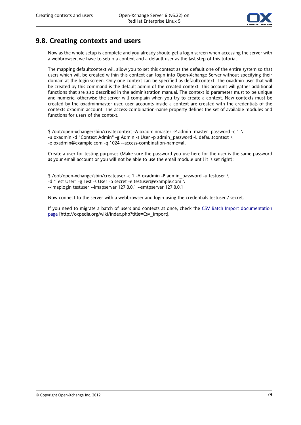

## **9.8. Creating contexts and users**

Now as the whole setup is complete and you already should get a login screen when accessing the server with a webbrowser, we have to setup a context and a default user as the last step of this tutorial.

The mapping defaultcontext will allow you to set this context as the default one of the entire system so that users which will be created within this context can login into Open-Xchange Server without specifying their domain at the login screen. Only one context can be specified as defaultcontext. The oxadmin user that will be created by this command is the default admin of the created context. This account will gather additional functions that are also described in the administration manual. The context id parameter must to be unique and numeric, otherwise the server will complain when you try to create a context. New contexts must be created by the oxadminmaster user, user accounts inside a context are created with the credentials of the contexts oxadmin account. The access-combination-name property defines the set of available modules and functions for users of the context.

 $$$  /opt/open-xchange/sbin/createcontext -A oxadminmaster -P admin\_master\_password -c 1 \ -u oxadmin -d "Context Admin" -g Admin -s User -p admin\_password -L defaultcontext \ -e oxadmin@example.com -q 1024 --access-combination-name=all

Create a user for testing purposes (Make sure the password you use here for the user is the same password as your email account or you will not be able to use the email module until it is set right):

\$ /opt/open-xchange/sbin/createuser -c 1 -A oxadmin -P admin\_password -u testuser \ -d "Test User" -g Test -s User -p secret -e testuser@example.com \ --imaplogin testuser --imapserver 127.0.0.1 --smtpserver 127.0.0.1

Now connect to the server with a webbrowser and login using the credentials testuser / secret.

If you need to migrate a batch of users and contexts at once, check the CSV Batch Import [documentation](http://oxpedia.org/wiki/index.php?title=Csv_import) [page](http://oxpedia.org/wiki/index.php?title=Csv_import) [[http://oxpedia.org/wiki/index.php?title=Csv\\_import](http://oxpedia.org/wiki/index.php?title=Csv_import)].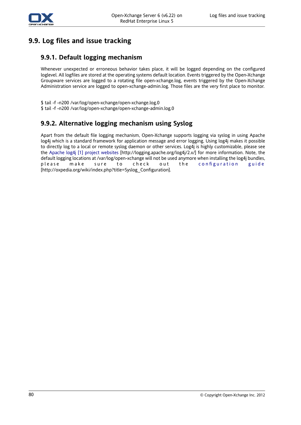

# **9.9. Log files and issue tracking**

### **9.9.1. Default logging mechanism**

Whenever unexpected or erroneous behavior takes place, it will be logged depending on the configured loglevel. All logfiles are stored at the operating systems default location. Events triggered by the Open-Xchange Groupware services are logged to a rotating file open-xchange.log, events triggered by the Open-Xchange Administration service are logged to open-xchange-admin.log. Those files are the very first place to monitor.

\$ tail -f -n200 /var/log/open-xchange/open-xchange.log.0 \$ tail -f -n200 /var/log/open-xchange/open-xchange-admin.log.0

### **9.9.2. Alternative logging mechanism using Syslog**

Apart from the default file logging mechanism, Open-Xchange supports logging via syslog in using Apache log4j which is a standard framework for application message and error logging. Using log4j makes it possible to directly log to a local or remote syslog daemon or other services. Log4j is highly customizable, please see the Apache log4j [1] project [websites](http://logging.apache.org/log4j/2.x/) [<http://logging.apache.org/log4j/2.x/>] for more information. Note, the default logging locations at /var/log/open-xchange will not be used anymore when installing the log4j bundles, please make sure to check out the [configuration](http://oxpedia.org/wiki/index.php?title=Syslog_Configuration) guide [[http://oxpedia.org/wiki/index.php?title=Syslog\\_Configuration](http://oxpedia.org/wiki/index.php?title=Syslog_Configuration)].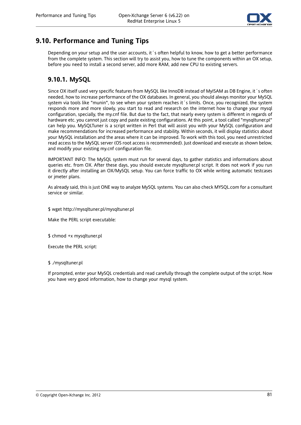

## **9.10. Performance and Tuning Tips**

Depending on your setup and the user accounts, it 's often helpful to know, how to get a better performance from the complete system. This section will try to assist you, how to tune the components within an OX setup, before you need to install a second server, add more RAM, add new CPU to existing servers.

### **9.10.1. MySQL**

Since OX itself used very specific features from MySQL like InnoDB instead of MyISAM as DB Engine, it´s often needed, how to increase performance of the OX databases. In general, you should always monitor your MySQL system via tools like "munin", to see when your system reaches it´s limits. Once, you recognized, the system responds more and more slowly, you start to read and research on the internet how to change your mysql configuration, specially, the my.cnf file. But due to the fact, that nearly every system is different in regards of hardware etc. you cannot just copy and paste existing configurations. At this point, a tool called "mysqltuner.pl" can help you. MySQLTuner is a script written in Perl that will assist you with your MySQL configuration and make recommendations for increased performance and stability. Within seconds, it will display statistics about your MySQL installation and the areas where it can be improved. To work with this tool, you need unrestricted read access to the MySQL server (OS root access is recommended). Just download and execute as shown below, and modify your existing my.cnf configuration file.

IMPORTANT INFO: The MySQL system must run for several days, to gather statistics and informations about queries etc. from OX. After these days, you should execute mysqltuner.pl script. It does not work if you run it directly after installing an OX/MySQL setup. You can force traffic to OX while writing automatic testcases or jmeter plans.

As already said, this is just ONE way to analyze MySQL systems. You can also check MYSQL.com for a consultant service or similar.

\$ wget http://mysqltuner.pl/mysqltuner.pl

Make the PERL script executable:

\$ chmod +x mysqltuner.pl

Execute the PERL script:

#### \$ ./mysqltuner.pl

If prompted, enter your MySQL credentials and read carefully through the complete output of the script. Now you have very good information, how to change your mysql system.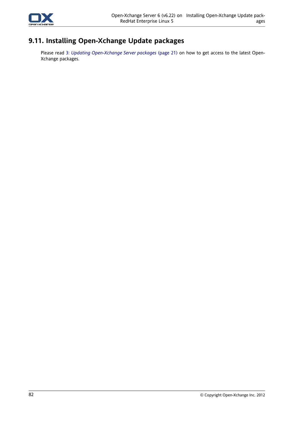

## **9.11. Installing Open-Xchange Update packages**

Please read 3: *Updating [Open-Xchange](#page-28-0) Server packages* (page 21) on how to get access to the latest Open-Xchange packages.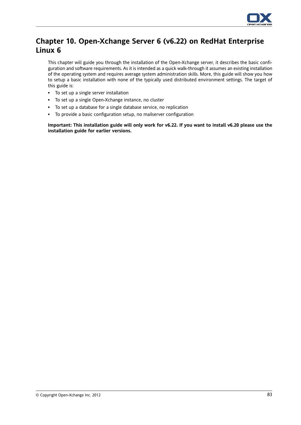

# **Chapter 10. Open-Xchange Server 6 (v6.22) on RedHat Enterprise Linux 6**

This chapter will guide you through the installation of the Open-Xchange server, it describes the basic configuration and software requirements. As it is intended as a quick walk-through it assumes an existing installation of the operating system and requires average system administration skills. More, this guide will show you how to setup a basic installation with none of the typically used distributed environment settings. The target of this guide is:

- To set up a single server installation
- To set up a single Open-Xchange instance, no cluster
- To set up a database for a single database service, no replication
- To provide a basic configuration setup, no mailserver configuration

Important: This installation guide will only work for v6.22. If you want to install v6.20 please use the **installation guide for earlier versions.**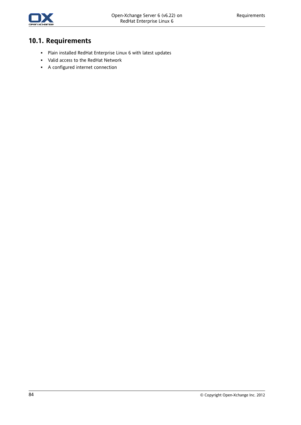

# **10.1. Requirements**

- Plain installed RedHat Enterprise Linux 6 with latest updates
- Valid access to the RedHat Network
- A configured internet connection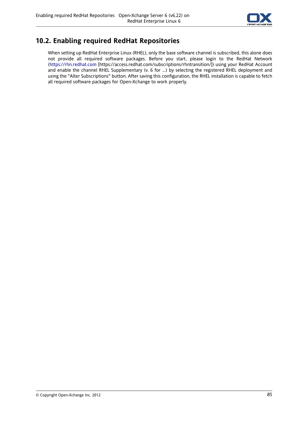

## **10.2. Enabling required RedHat Repositories**

When setting up RedHat Enterprise Linux (RHEL), only the base software channel is subscribed, this alone does not provide all required software packages. Before you start, please login to the RedHat Network [\(https://rhn.redhat.com](https://access.redhat.com/subscriptions/rhntransition/) [<https://access.redhat.com/subscriptions/rhntransition/>]) using your RedHat Account and enable the channel RHEL Supplementary (v. 6 for ...) by selecting the registered RHEL deployment and using the "Alter Subscriptions" button. After saving this configuration, the RHEL installation is capable to fetch all required software packages for Open-Xchange to work properly.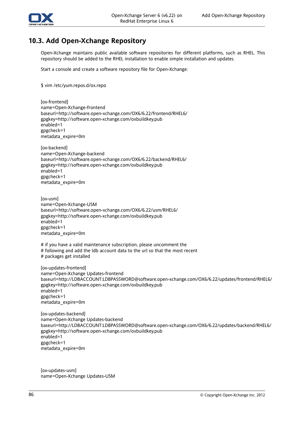

## **10.3. Add Open-Xchange Repository**

Open-Xchange maintains public available software repositories for different platforms, such as RHEL. This repository should be added to the RHEL installation to enable simple installation and updates.

Start a console and create a software repository file for Open-Xchange:

\$ vim /etc/yum.repos.d/ox.repo

[ox-frontend] name=Open-Xchange-frontend baseurl=http://software.open-xchange.com/OX6/6.22/frontend/RHEL6/ gpgkey=http://software.open-xchange.com/oxbuildkey.pub enabled=1 gpgcheck=1 metadata\_expire=0m

[ox-backend] name=Open-Xchange-backend baseurl=http://software.open-xchange.com/OX6/6.22/backend/RHEL6/ gpgkey=http://software.open-xchange.com/oxbuildkey.pub enabled=1 gpgcheck=1 metadata\_expire=0m

[ox-usm] name=Open-Xchange-USM baseurl=http://software.open-xchange.com/OX6/6.22/usm/RHEL6/ gpgkey=http://software.open-xchange.com/oxbuildkey.pub enabled=1 gpgcheck=1 metadata\_expire=0m

# if you have a valid maintenance subscription, please uncomment the

- # following and add the ldb account data to the url so that the most recent
- # packages get installed

[ox-updates-frontend] name=Open-Xchange Updates-frontend baseurl=http://LDBACCOUNT:LDBPASSWORD@software.open-xchange.com/OX6/6.22/updates/frontend/RHEL6/ gpgkey=http://software.open-xchange.com/oxbuildkey.pub enabled=1 gpgcheck=1 metadata\_expire=0m

[ox-updates-backend] name=Open-Xchange Updates-backend baseurl=http://LDBACCOUNT:LDBPASSWORD@software.open-xchange.com/OX6/6.22/updates/backend/RHEL6/ gpgkey=http://software.open-xchange.com/oxbuildkey.pub enabled=1 gpgcheck=1 metadata\_expire=0m

[ox-updates-usm] name=Open-Xchange Updates-USM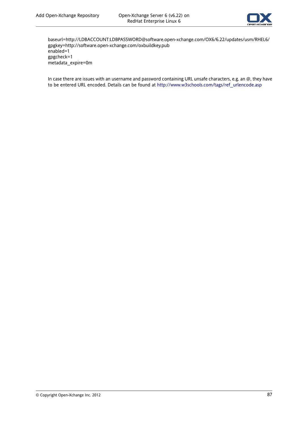

baseurl=http://LDBACCOUNT:LDBPASSWORD@software.open-xchange.com/OX6/6.22/updates/usm/RHEL6/ gpgkey=http://software.open-xchange.com/oxbuildkey.pub enabled=1 gpgcheck=1 metadata\_expire=0m

In case there are issues with an username and password containing URL unsafe characters, e.g. an @, they have to be entered URL encoded. Details can be found at [http://www.w3schools.com/tags/ref\\_urlencode.asp](http://www.w3schools.com/tags/ref_urlencode.asp)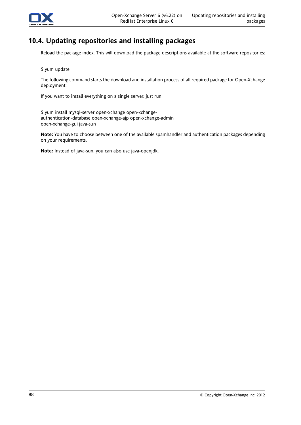

## **10.4. Updating repositories and installing packages**

Reload the package index. This will download the package descriptions available at the software repositories:

\$ yum update

The following command starts the download and installation process of all required package for Open-Xchange deployment:

If you want to install everything on a single server, just run

\$ yum install mysql-server open-xchange open-xchangeauthentication-database open-xchange-ajp open-xchange-admin open-xchange-gui java-sun

**Note:** You have to choose between one of the available spamhandler and authentication packages depending on your requirements.

**Note:** Instead of java-sun, you can also use java-openjdk.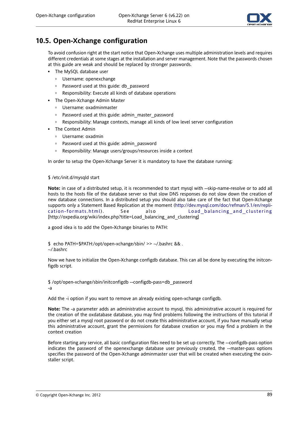

## **10.5. Open-Xchange configuration**

To avoid confusion right at the start notice that Open-Xchange uses multiple administration levels and requires different credentials at some stages at the installation and server management. Note that the passwords chosen at this guide are weak and should be replaced by stronger passwords.

- **·** The MySQL database user
	- Username: openexchange
	- □ Password used at this guide: db password
	- Responsibility: Execute all kinds of database operations
- The Open-Xchange Admin Master
	- Username: oxadminmaster
	- Password used at this guide: admin\_master\_password
	- Responsibility: Manage contexts, manage all kinds of low level server configuration
- The Context Admin
	- Username: oxadmin
	- Password used at this guide: admin\_password
	- Responsibility: Manage users/groups/resources inside a context

In order to setup the Open-Xchange Server it is mandatory to have the database running:

#### \$ /etc/init.d/mysqld start

**Note:** in case of a distributed setup, it is recommended to start mysql with --skip-name-resolve or to add all hosts to the hosts file of the database server so that slow DNS responses do not slow down the creation of new database connections. In a distributed setup you should also take care of the fact that Open-Xchange supports only a Statement Based Replication at the moment ([http://dev.mysql.com/doc/refman/5.1/en/repli](http://dev.mysql.com/doc/refman/5.1/en/replication-formats.html)[cation-formats.html\)](http://dev.mysql.com/doc/refman/5.1/en/replication-formats.html) . See also [Load\\_balancing\\_and\\_clustering](http://oxpedia.org/wiki/index.php?title=Load_balancing_and_clustering) [[http://oxpedia.org/wiki/index.php?title=Load\\_balancing\\_and\\_clustering\]](http://oxpedia.org/wiki/index.php?title=Load_balancing_and_clustering)

a good idea is to add the Open-Xchange binaries to PATH:

\$ echo PATH=\$PATH:/opt/open-xchange/sbin/ >> ~/.bashrc && .

~/.bashrc

Now we have to initialize the Open-Xchange configdb database. This can all be done by executing the initconfigdb script.

\$ /opt/open-xchange/sbin/initconfigdb --configdb-pass=db\_password -a

Add the -i option if you want to remove an already existing open-xchange configdb.

**Note:** The -a parameter adds an administrative account to mysql, this administrative account is required for the creation of the oxdatabase database, you may find problems following the instructions of this tutorial if you either set a mysql root password or do not create this administrative account, if you have manually setup this administrative account, grant the permissions for database creation or you may find a problem in the context creation

Before starting any service, all basic configuration files need to be set up correctly. The --configdb-pass option indicates the password of the openexchange database user previously created, the --master-pass options specifies the password of the Open-Xchange adminmaster user that will be created when executing the oxinstaller script.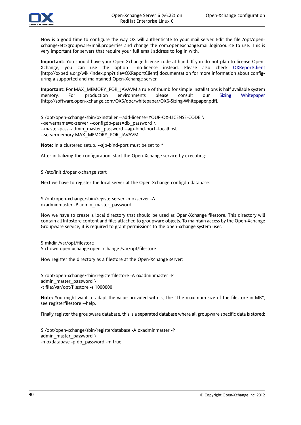

Now is a good time to configure the way OX will authenticate to your mail server. Edit the file /opt/openxchange/etc/groupware/mail.properties and change the com.openexchange.mail.loginSource to use. This is very important for servers that require your full email address to log in with.

**Important:** You should have your Open-Xchange license code at hand. If you do not plan to license Open-Xchange, you can use the option --no-license instead. Please also check [OXReportClient](http://oxpedia.org/wiki/index.php?title=OXReportClient) [<http://oxpedia.org/wiki/index.php?title=OXReportClient>] documentation for more information about configuring a supported and maintained Open-Xchange server.

**Important:** For MAX\_MEMORY\_FOR\_JAVAVM a rule of thumb for simple installations is half available system memory. For production environments please consult our Sizing [Whitepaper](http://software.open-xchange.com/OX6/doc/whitepaper/OX6-Sizing-Whitepaper.pdf) [[http://software.open-xchange.com/OX6/doc/whitepaper/OX6-Sizing-Whitepaper.pdf\]](http://software.open-xchange.com/OX6/doc/whitepaper/OX6-Sizing-Whitepaper.pdf).

\$ /opt/open-xchange/sbin/oxinstaller --add-license=YOUR-OX-LICENSE-CODE \ --servername=oxserver --configdb-pass=db\_password \ --master-pass=admin\_master\_password --ajp-bind-port=localhost --servermemory MAX\_MEMORY\_FOR\_JAVAVM

**Note:** In a clustered setup, --ajp-bind-port must be set to \*

After initializing the configuration, start the Open-Xchange service by executing:

\$ /etc/init.d/open-xchange start

Next we have to register the local server at the Open-Xchange configdb database:

\$ /opt/open-xchange/sbin/registerserver -n oxserver -A oxadminmaster -P admin\_master\_password

Now we have to create a local directory that should be used as Open-Xchange filestore. This directory will contain all Infostore content and files attached to groupware objects. To maintain access by the Open-Xchange Groupware service, it is required to grant permissions to the open-xchange system user.

\$ mkdir /var/opt/filestore

\$ chown open-xchange:open-xchange /var/opt/filestore

Now register the directory as a filestore at the Open-Xchange server:

\$ /opt/open-xchange/sbin/registerfilestore -A oxadminmaster -P admin master password  $\setminus$ -t file:/var/opt/filestore -s 1000000

**Note:** You might want to adapt the value provided with -s, the "The maximum size of the filestore in MB", see registerfilestore --help.

Finally register the groupware database, this is a separated database where all groupware specific data is stored:

\$ /opt/open-xchange/sbin/registerdatabase -A oxadminmaster -P admin\_master\_password  $\setminus$ -n oxdatabase -p db\_password -m true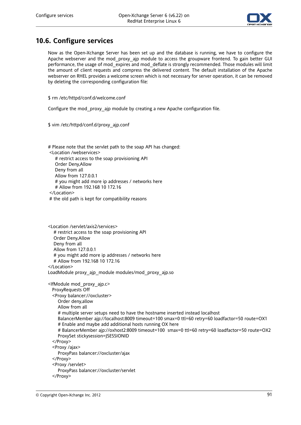

## **10.6. Configure services**

Now as the Open-Xchange Server has been set up and the database is running, we have to configure the Apache webserver and the mod proxy ajp module to access the groupware frontend. To gain better GUI performance, the usage of mod expires and mod deflate is strongly recommended. Those modules will limit the amount of client requests and compress the delivered content. The default installation of the Apache webserver on RHEL provides a welcome screen which is not necessary for server operation, it can be removed by deleting the corresponding configuration file:

\$ rm /etc/httpd/conf.d/welcome.conf

Configure the mod\_proxy\_ajp module by creating a new Apache configuration file.

\$ vim /etc/httpd/conf.d/proxy\_ajp.conf

# Please note that the servlet path to the soap API has changed: <Location /webservices> # restrict access to the soap provisioning API Order Deny,Allow Deny from all Allow from 127.0.0.1 # you might add more ip addresses / networks here # Allow from 192.168 10 172.16 </Location> # the old path is kept for compatibility reasons

<Location /servlet/axis2/services> # restrict access to the soap provisioning API Order Deny,Allow Deny from all Allow from 127.0.0.1 # you might add more ip addresses / networks here # Allow from 192.168 10 172.16 </Location> LoadModule proxy\_ajp\_module modules/mod\_proxy\_ajp.so <IfModule mod\_proxy\_ajp.c> ProxyRequests Off <Proxy balancer://oxcluster> Order deny,allow Allow from all # multiple server setups need to have the hostname inserted instead localhost BalancerMember ajp://localhost:8009 timeout=100 smax=0 ttl=60 retry=60 loadfactor=50 route=OX1 # Enable and maybe add additional hosts running OX here # BalancerMember ajp://oxhost2:8009 timeout=100 smax=0 ttl=60 retry=60 loadfactor=50 route=OX2 ProxySet stickysession=JSESSIONID </Proxy> <Proxy /ajax> ProxyPass balancer://oxcluster/ajax </Proxy> <Proxy /servlet> ProxyPass balancer://oxcluster/servlet </Proxy>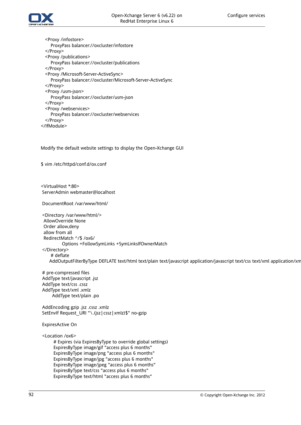

<Proxy /infostore> ProxyPass balancer://oxcluster/infostore </Proxy> <Proxy /publications> ProxyPass balancer://oxcluster/publications </Proxy> <Proxy /Microsoft-Server-ActiveSync> ProxyPass balancer://oxcluster/Microsoft-Server-ActiveSync </Proxy> <Proxy /usm-json> ProxyPass balancer://oxcluster/usm-json </Proxy> <Proxy /webservices> ProxyPass balancer://oxcluster/webservices </Proxy> </IfModule>

Modify the default website settings to display the Open-Xchange GUI

\$ vim /etc/httpd/conf.d/ox.conf

<VirtualHost \*:80> ServerAdmin webmaster@localhost

DocumentRoot /var/www/html/

<Directory /var/www/html/> AllowOverride None Order allow,deny allow from all RedirectMatch ^/\$ /ox6/ Options +FollowSymLinks +SymLinksIfOwnerMatch </Directory> # deflate AddOutputFilterByType DEFLATE text/html text/plain text/javascript application/javascript text/css text/xml application/xm

# pre-compressed files AddType text/javascript .jsz AddType text/css .cssz AddType text/xml .xmlz AddType text/plain .po

AddEncoding gzip .jsz .cssz .xmlz SetEnvIf Request\_URI "\.(jsz|cssz|xmlz)\$" no-gzip

#### ExpiresActive On

<Location /ox6>

# Expires (via ExpiresByType to override global settings) ExpiresByType image/gif "access plus 6 months" ExpiresByType image/png "access plus 6 months" ExpiresByType image/jpg "access plus 6 months" ExpiresByType image/jpeg "access plus 6 months" ExpiresByType text/css "access plus 6 months" ExpiresByType text/html "access plus 6 months"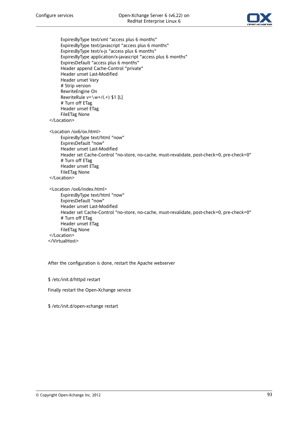

ExpiresByType text/xml "access plus 6 months" ExpiresByType text/javascript "access plus 6 months" ExpiresByType text/x-js "access plus 6 months" ExpiresByType application/x-javascript "access plus 6 months" ExpiresDefault "access plus 6 months" Header append Cache-Control "private" Header unset Last-Modified Header unset Vary # Strip version RewriteEngine On RewriteRule  $v=\wedge w+/(0.4)$  \$1 [L] # Turn off ETag Header unset ETag FileETag None </Location> <Location /ox6/ox.html> ExpiresByType text/html "now" ExpiresDefault "now" Header unset Last-Modified Header set Cache-Control "no-store, no-cache, must-revalidate, post-check=0, pre-check=0" # Turn off ETag Header unset ETag FileETag None </Location> <Location /ox6/index.html> ExpiresByType text/html "now" ExpiresDefault "now" Header unset Last-Modified Header set Cache-Control "no-store, no-cache, must-revalidate, post-check=0, pre-check=0" # Turn off ETag Header unset ETag FileETag None </Location>

</VirtualHost>

After the configuration is done, restart the Apache webserver

\$ /etc/init.d/httpd restart

Finally restart the Open-Xchange service

\$ /etc/init.d/open-xchange restart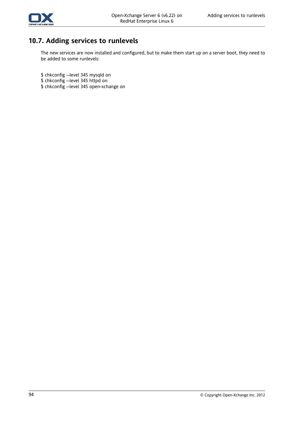

# **10.7. Adding services to runlevels**

The new services are now installed and configured, but to make them start up on a server boot, they need to be added to some runlevels:

\$ chkconfig --level 345 mysqld on

- \$ chkconfig --level 345 httpd on
- \$ chkconfig --level 345 open-xchange on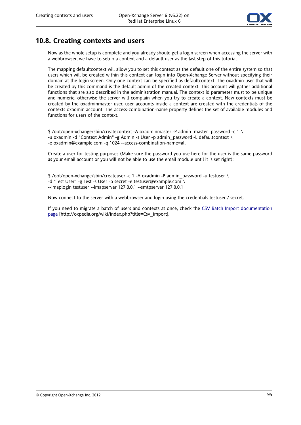

### **10.8. Creating contexts and users**

Now as the whole setup is complete and you already should get a login screen when accessing the server with a webbrowser, we have to setup a context and a default user as the last step of this tutorial.

The mapping defaultcontext will allow you to set this context as the default one of the entire system so that users which will be created within this context can login into Open-Xchange Server without specifying their domain at the login screen. Only one context can be specified as defaultcontext. The oxadmin user that will be created by this command is the default admin of the created context. This account will gather additional functions that are also described in the administration manual. The context id parameter must to be unique and numeric, otherwise the server will complain when you try to create a context. New contexts must be created by the oxadminmaster user, user accounts inside a context are created with the credentials of the contexts oxadmin account. The access-combination-name property defines the set of available modules and functions for users of the context.

\$ /opt/open-xchange/sbin/createcontext -A oxadminmaster -P admin\_master\_password -c 1 \ -u oxadmin -d "Context Admin" -g Admin -s User -p admin\_password -L defaultcontext \ -e oxadmin@example.com -q 1024 --access-combination-name=all

Create a user for testing purposes (Make sure the password you use here for the user is the same password as your email account or you will not be able to use the email module until it is set right):

\$ /opt/open-xchange/sbin/createuser -c 1 -A oxadmin -P admin\_password -u testuser \ -d "Test User" -g Test -s User -p secret -e testuser@example.com \ --imaplogin testuser --imapserver 127.0.0.1 --smtpserver 127.0.0.1

Now connect to the server with a webbrowser and login using the credentials testuser / secret.

If you need to migrate a batch of users and contexts at once, check the CSV Batch Import [documentation](http://oxpedia.org/wiki/index.php?title=Csv_import) [page](http://oxpedia.org/wiki/index.php?title=Csv_import) [[http://oxpedia.org/wiki/index.php?title=Csv\\_import](http://oxpedia.org/wiki/index.php?title=Csv_import)].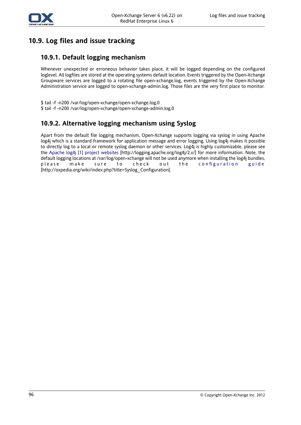

# **10.9. Log files and issue tracking**

### **10.9.1. Default logging mechanism**

Whenever unexpected or erroneous behavior takes place, it will be logged depending on the configured loglevel. All logfiles are stored at the operating systems default location. Events triggered by the Open-Xchange Groupware services are logged to a rotating file open-xchange.log, events triggered by the Open-Xchange Administration service are logged to open-xchange-admin.log. Those files are the very first place to monitor.

\$ tail -f -n200 /var/log/open-xchange/open-xchange.log.0 \$ tail -f -n200 /var/log/open-xchange/open-xchange-admin.log.0

### **10.9.2. Alternative logging mechanism using Syslog**

Apart from the default file logging mechanism, Open-Xchange supports logging via syslog in using Apache log4j which is a standard framework for application message and error logging. Using log4j makes it possible to directly log to a local or remote syslog daemon or other services. Log4j is highly customizable, please see the Apache log4j [1] project [websites](http://logging.apache.org/log4j/2.x/) [<http://logging.apache.org/log4j/2.x/>] for more information. Note, the default logging locations at /var/log/open-xchange will not be used anymore when installing the log4j bundles, please make sure to check out the [configuration](http://oxpedia.org/wiki/index.php?title=Syslog_Configuration) guide [[http://oxpedia.org/wiki/index.php?title=Syslog\\_Configuration](http://oxpedia.org/wiki/index.php?title=Syslog_Configuration)].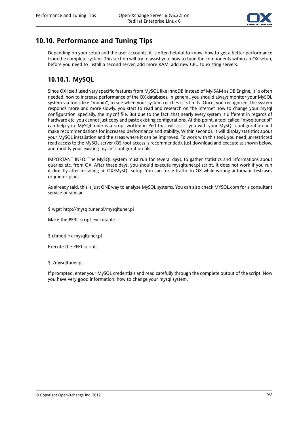

## **10.10. Performance and Tuning Tips**

Depending on your setup and the user accounts, it 's often helpful to know, how to get a better performance from the complete system. This section will try to assist you, how to tune the components within an OX setup, before you need to install a second server, add more RAM, add new CPU to existing servers.

### **10.10.1. MySQL**

Since OX itself used very specific features from MySQL like InnoDB instead of MyISAM as DB Engine, it´s often needed, how to increase performance of the OX databases. In general, you should always monitor your MySQL system via tools like "munin", to see when your system reaches it´s limits. Once, you recognized, the system responds more and more slowly, you start to read and research on the internet how to change your mysql configuration, specially, the my.cnf file. But due to the fact, that nearly every system is different in regards of hardware etc. you cannot just copy and paste existing configurations. At this point, a tool called "mysqltuner.pl" can help you. MySQLTuner is a script written in Perl that will assist you with your MySQL configuration and make recommendations for increased performance and stability. Within seconds, it will display statistics about your MySQL installation and the areas where it can be improved. To work with this tool, you need unrestricted read access to the MySQL server (OS root access is recommended). Just download and execute as shown below, and modify your existing my.cnf configuration file.

IMPORTANT INFO: The MySQL system must run for several days, to gather statistics and informations about queries etc. from OX. After these days, you should execute mysqltuner.pl script. It does not work if you run it directly after installing an OX/MySQL setup. You can force traffic to OX while writing automatic testcases or jmeter plans.

As already said, this is just ONE way to analyze MySQL systems. You can also check MYSQL.com for a consultant service or similar.

\$ wget http://mysqltuner.pl/mysqltuner.pl

Make the PERL script executable:

\$ chmod +x mysqltuner.pl

Execute the PERL script:

#### \$ ./mysqltuner.pl

If prompted, enter your MySQL credentials and read carefully through the complete output of the script. Now you have very good information, how to change your mysql system.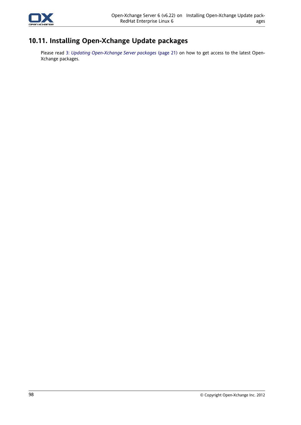

## **10.11. Installing Open-Xchange Update packages**

Please read 3: *Updating [Open-Xchange](#page-28-0) Server packages* (page 21) on how to get access to the latest Open-Xchange packages.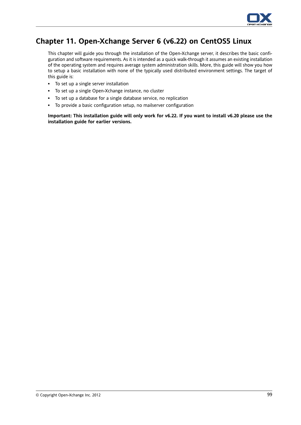

## **Chapter 11. Open-Xchange Server 6 (v6.22) on CentOS5 Linux**

This chapter will guide you through the installation of the Open-Xchange server, it describes the basic configuration and software requirements. As it is intended as a quick walk-through it assumes an existing installation of the operating system and requires average system administration skills. More, this guide will show you how to setup a basic installation with none of the typically used distributed environment settings. The target of this guide is:

- To set up a single server installation
- To set up a single Open-Xchange instance, no cluster
- To set up a database for a single database service, no replication
- To provide a basic configuration setup, no mailserver configuration

Important: This installation guide will only work for v6.22. If you want to install v6.20 please use the **installation guide for earlier versions.**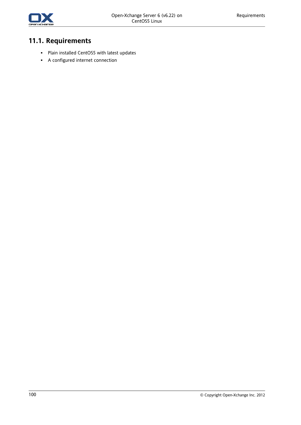

# **11.1. Requirements**

- Plain installed CentOS5 with latest updates
- A configured internet connection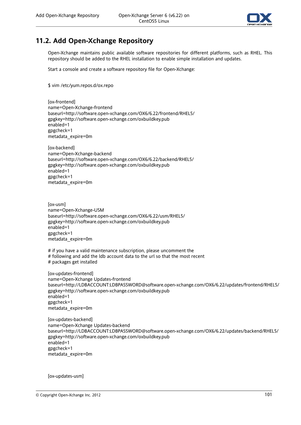

## **11.2. Add Open-Xchange Repository**

Open-Xchange maintains public available software repositories for different platforms, such as RHEL. This repository should be added to the RHEL installation to enable simple installation and updates.

Start a console and create a software repository file for Open-Xchange:

\$ vim /etc/yum.repos.d/ox.repo

[ox-frontend] name=Open-Xchange-frontend baseurl=http://software.open-xchange.com/OX6/6.22/frontend/RHEL5/ gpgkey=http://software.open-xchange.com/oxbuildkey.pub enabled=1 gpgcheck=1 metadata\_expire=0m

[ox-backend] name=Open-Xchange-backend baseurl=http://software.open-xchange.com/OX6/6.22/backend/RHEL5/ gpgkey=http://software.open-xchange.com/oxbuildkey.pub enabled=1 gpgcheck=1 metadata\_expire=0m

[ox-usm] name=Open-Xchange-USM baseurl=http://software.open-xchange.com/OX6/6.22/usm/RHEL5/ gpgkey=http://software.open-xchange.com/oxbuildkey.pub enabled=1 gpgcheck=1 metadata\_expire=0m

# if you have a valid maintenance subscription, please uncomment the # following and add the ldb account data to the url so that the most recent # packages get installed

[ox-updates-frontend] name=Open-Xchange Updates-frontend baseurl=http://LDBACCOUNT:LDBPASSWORD@software.open-xchange.com/OX6/6.22/updates/frontend/RHEL5/ gpgkey=http://software.open-xchange.com/oxbuildkey.pub enabled=1 gpgcheck=1 metadata\_expire=0m

[ox-updates-backend] name=Open-Xchange Updates-backend baseurl=http://LDBACCOUNT:LDBPASSWORD@software.open-xchange.com/OX6/6.22/updates/backend/RHEL5/ gpgkey=http://software.open-xchange.com/oxbuildkey.pub enabled=1 gpgcheck=1 metadata\_expire=0m

[ox-updates-usm]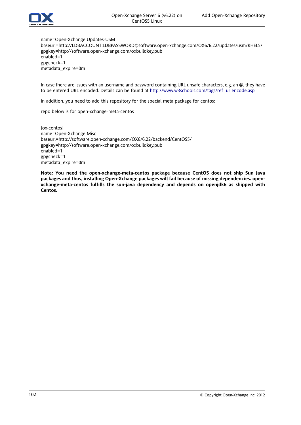

name=Open-Xchange Updates-USM baseurl=http://LDBACCOUNT:LDBPASSWORD@software.open-xchange.com/OX6/6.22/updates/usm/RHEL5/ gpgkey=http://software.open-xchange.com/oxbuildkey.pub enabled=1 gpgcheck=1 metadata\_expire=0m

In case there are issues with an username and password containing URL unsafe characters, e.g. an @, they have to be entered URL encoded. Details can be found at [http://www.w3schools.com/tags/ref\\_urlencode.asp](http://www.w3schools.com/tags/ref_urlencode.asp)

In addition, you need to add this repository for the special meta package for centos:

repo below is for open-xchange-meta-centos

[ox-centos] name=Open-Xchange Misc baseurl=http://software.open-xchange.com/OX6/6.22/backend/CentOS5/ gpgkey=http://software.open-xchange.com/oxbuildkey.pub enabled=1 gpgcheck=1 metadata\_expire=0m

**Note: You need the open-xchange-meta-centos package because CentOS does not ship Sun Java packages and thus, installing Open-Xchange packages will fail because of missing dependencies. openxchange-meta-centos fulfills the sun-java dependency and depends on openjdk6 as shipped with Centos.**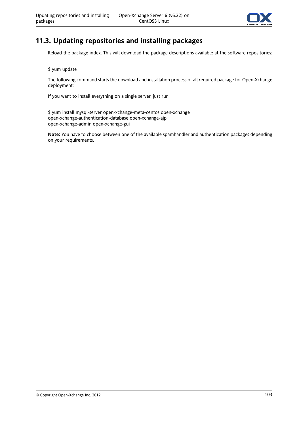

## **11.3. Updating repositories and installing packages**

Reload the package index. This will download the package descriptions available at the software repositories:

\$ yum update

The following command starts the download and installation process of all required package for Open-Xchange deployment:

If you want to install everything on a single server, just run

\$ yum install mysql-server open-xchange-meta-centos open-xchange open-xchange-authentication-database open-xchange-ajp open-xchange-admin open-xchange-gui

**Note:** You have to choose between one of the available spamhandler and authentication packages depending on your requirements.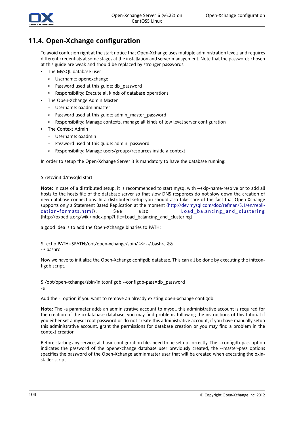

### **11.4. Open-Xchange configuration**

To avoid confusion right at the start notice that Open-Xchange uses multiple administration levels and requires different credentials at some stages at the installation and server management. Note that the passwords chosen at this guide are weak and should be replaced by stronger passwords.

- The MySQL database user
	- Username: openexchange
	- □ Password used at this guide: db password
	- Responsibility: Execute all kinds of database operations
- The Open-Xchange Admin Master
	- Username: oxadminmaster
	- Password used at this guide: admin\_master\_password
	- Responsibility: Manage contexts, manage all kinds of low level server configuration
- The Context Admin
	- Username: oxadmin
	- Password used at this guide: admin\_password
	- Responsibility: Manage users/groups/resources inside a context

In order to setup the Open-Xchange Server it is mandatory to have the database running:

#### \$ /etc/init.d/mysqld start

**Note:** in case of a distributed setup, it is recommended to start mysql with --skip-name-resolve or to add all hosts to the hosts file of the database server so that slow DNS responses do not slow down the creation of new database connections. In a distributed setup you should also take care of the fact that Open-Xchange supports only a Statement Based Replication at the moment [\(http://dev.mysql.com/doc/refman/5.1/en/repli](http://dev.mysql.com/doc/refman/5.1/en/replication-formats.html)[cation-formats.html\)](http://dev.mysql.com/doc/refman/5.1/en/replication-formats.html) . See also [Load\\_balancing\\_and\\_clustering](http://oxpedia.org/wiki/index.php?title=Load_balancing_and_clustering) [[http://oxpedia.org/wiki/index.php?title=Load\\_balancing\\_and\\_clustering\]](http://oxpedia.org/wiki/index.php?title=Load_balancing_and_clustering)

a good idea is to add the Open-Xchange binaries to PATH:

\$ echo PATH=\$PATH:/opt/open-xchange/sbin/ >> ~/.bashrc && . ~/.bashrc

Now we have to initialize the Open-Xchange configdb database. This can all be done by executing the initconfigdb script.

\$ /opt/open-xchange/sbin/initconfigdb --configdb-pass=db\_password -a

Add the -i option if you want to remove an already existing open-xchange configdb.

**Note:** The -a parameter adds an administrative account to mysql, this administrative account is required for the creation of the oxdatabase database, you may find problems following the instructions of this tutorial if you either set a mysql root password or do not create this administrative account, if you have manually setup this administrative account, grant the permissions for database creation or you may find a problem in the context creation

Before starting any service, all basic configuration files need to be set up correctly. The --configdb-pass option indicates the password of the openexchange database user previously created, the --master-pass options specifies the password of the Open-Xchange adminmaster user that will be created when executing the oxinstaller script.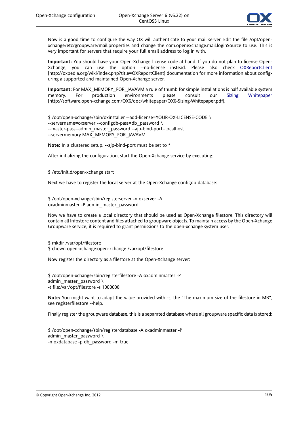

Now is a good time to configure the way OX will authenticate to your mail server. Edit the file /opt/openxchange/etc/groupware/mail.properties and change the com.openexchange.mail.loginSource to use. This is very important for servers that require your full email address to log in with.

**Important:** You should have your Open-Xchange license code at hand. If you do not plan to license Open-Xchange, you can use the option --no-license instead. Please also check [OXReportClient](http://oxpedia.org/wiki/index.php?title=OXReportClient) [<http://oxpedia.org/wiki/index.php?title=OXReportClient>] documentation for more information about configuring a supported and maintained Open-Xchange server.

**Important:** For MAX\_MEMORY\_FOR\_JAVAVM a rule of thumb for simple installations is half available system memory. For production environments please consult our Sizing [Whitepaper](http://software.open-xchange.com/OX6/doc/whitepaper/OX6-Sizing-Whitepaper.pdf) [[http://software.open-xchange.com/OX6/doc/whitepaper/OX6-Sizing-Whitepaper.pdf\]](http://software.open-xchange.com/OX6/doc/whitepaper/OX6-Sizing-Whitepaper.pdf).

\$ /opt/open-xchange/sbin/oxinstaller --add-license=YOUR-OX-LICENSE-CODE \ --servername=oxserver --configdb-pass=db\_password \ --master-pass=admin\_master\_password --ajp-bind-port=localhost --servermemory MAX\_MEMORY\_FOR\_JAVAVM

**Note:** In a clustered setup, --ajp-bind-port must be set to \*

After initializing the configuration, start the Open-Xchange service by executing:

\$ /etc/init.d/open-xchange start

Next we have to register the local server at the Open-Xchange configdb database:

\$ /opt/open-xchange/sbin/registerserver -n oxserver -A oxadminmaster -P admin\_master\_password

Now we have to create a local directory that should be used as Open-Xchange filestore. This directory will contain all Infostore content and files attached to groupware objects. To maintain access by the Open-Xchange Groupware service, it is required to grant permissions to the open-xchange system user.

\$ mkdir /var/opt/filestore

\$ chown open-xchange:open-xchange /var/opt/filestore

Now register the directory as a filestore at the Open-Xchange server:

\$ /opt/open-xchange/sbin/registerfilestore -A oxadminmaster -P admin master password  $\setminus$ -t file:/var/opt/filestore -s 1000000

**Note:** You might want to adapt the value provided with -s, the "The maximum size of the filestore in MB", see registerfilestore --help.

Finally register the groupware database, this is a separated database where all groupware specific data is stored:

\$ /opt/open-xchange/sbin/registerdatabase -A oxadminmaster -P admin\_master\_password  $\setminus$ -n oxdatabase -p db\_password -m true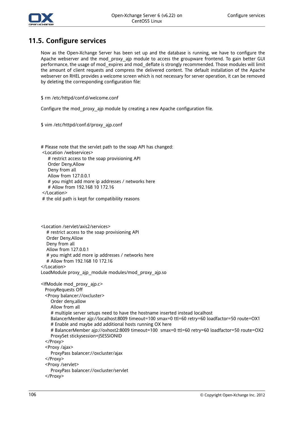

### **11.5. Configure services**

Now as the Open-Xchange Server has been set up and the database is running, we have to configure the Apache webserver and the mod proxy ajp module to access the groupware frontend. To gain better GUI performance, the usage of mod\_expires and mod\_deflate is strongly recommended. Those modules will limit the amount of client requests and compress the delivered content. The default installation of the Apache webserver on RHEL provides a welcome screen which is not necessary for server operation, it can be removed by deleting the corresponding configuration file:

\$ rm /etc/httpd/conf.d/welcome.conf

Configure the mod\_proxy\_ajp module by creating a new Apache configuration file.

\$ vim /etc/httpd/conf.d/proxy\_ajp.conf

# Please note that the servlet path to the soap API has changed:

<Location /webservices>

# restrict access to the soap provisioning API

Order Deny,Allow

Deny from all

Allow from 127.0.0.1

# you might add more ip addresses / networks here

# Allow from 192.168 10 172.16

</Location>

# the old path is kept for compatibility reasons

<Location /servlet/axis2/services> # restrict access to the soap provisioning API Order Deny,Allow Deny from all Allow from 127.0.0.1 # you might add more ip addresses / networks here # Allow from 192.168 10 172.16 </Location> LoadModule proxy\_ajp\_module modules/mod\_proxy\_ajp.so <IfModule mod\_proxy\_ajp.c> ProxyRequests Off <Proxy balancer://oxcluster> Order deny,allow Allow from all # multiple server setups need to have the hostname inserted instead localhost BalancerMember ajp://localhost:8009 timeout=100 smax=0 ttl=60 retry=60 loadfactor=50 route=OX1 # Enable and maybe add additional hosts running OX here # BalancerMember ajp://oxhost2:8009 timeout=100 smax=0 ttl=60 retry=60 loadfactor=50 route=OX2 ProxySet stickysession=JSESSIONID </Proxy> <Proxy /ajax> ProxyPass balancer://oxcluster/ajax </Proxy> <Proxy /servlet> ProxyPass balancer://oxcluster/servlet

```
</Proxy>
```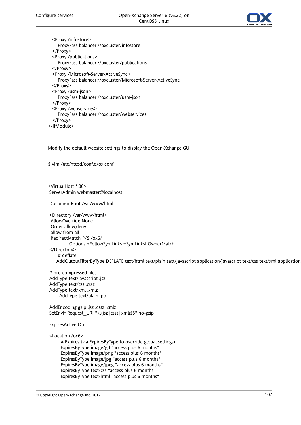

<Proxy /infostore> ProxyPass balancer://oxcluster/infostore </Proxy> <Proxy /publications> ProxyPass balancer://oxcluster/publications </Proxy> <Proxy /Microsoft-Server-ActiveSync> ProxyPass balancer://oxcluster/Microsoft-Server-ActiveSync </Proxy> <Proxy /usm-json> ProxyPass balancer://oxcluster/usm-json </Proxy> <Proxy /webservices> ProxyPass balancer://oxcluster/webservices </Proxy> </IfModule>

Modify the default website settings to display the Open-Xchange GUI

\$ vim /etc/httpd/conf.d/ox.conf

<VirtualHost \*:80> ServerAdmin webmaster@localhost

DocumentRoot /var/www/html

<Directory /var/www/html> AllowOverride None Order allow,deny allow from all RedirectMatch ^/\$ /ox6/ Options +FollowSymLinks +SymLinksIfOwnerMatch </Directory> # deflate AddOutputFilterByType DEFLATE text/html text/plain text/javascript application/javascript text/css text/xml application

# pre-compressed files AddType text/javascript .jsz AddType text/css .cssz AddType text/xml .xmlz AddType text/plain .po

AddEncoding gzip .jsz .cssz .xmlz SetEnvIf Request\_URI "\.(jsz|cssz|xmlz)\$" no-gzip

#### ExpiresActive On

<Location /ox6>

# Expires (via ExpiresByType to override global settings) ExpiresByType image/gif "access plus 6 months" ExpiresByType image/png "access plus 6 months" ExpiresByType image/jpg "access plus 6 months" ExpiresByType image/jpeg "access plus 6 months" ExpiresByType text/css "access plus 6 months" ExpiresByType text/html "access plus 6 months"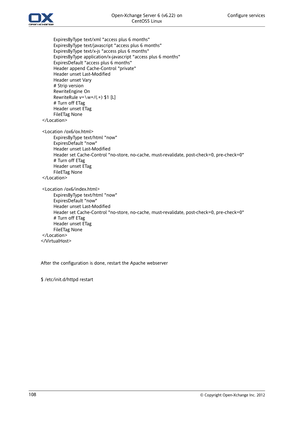

ExpiresByType text/xml "access plus 6 months" ExpiresByType text/javascript "access plus 6 months" ExpiresByType text/x-js "access plus 6 months" ExpiresByType application/x-javascript "access plus 6 months" ExpiresDefault "access plus 6 months" Header append Cache-Control "private" Header unset Last-Modified Header unset Vary # Strip version RewriteEngine On RewriteRule  $v = \wedge w + / (. + )$  \$1 [L] # Turn off ETag Header unset ETag FileETag None </Location> <Location /ox6/ox.html> ExpiresByType text/html "now" ExpiresDefault "now" Header unset Last-Modified Header set Cache-Control "no-store, no-cache, must-revalidate, post-check=0, pre-check=0" # Turn off ETag Header unset ETag FileETag None </Location> <Location /ox6/index.html> ExpiresByType text/html "now" ExpiresDefault "now" Header unset Last-Modified Header set Cache-Control "no-store, no-cache, must-revalidate, post-check=0, pre-check=0" # Turn off ETag Header unset ETag FileETag None </Location> </VirtualHost>

After the configuration is done, restart the Apache webserver

\$ /etc/init.d/httpd restart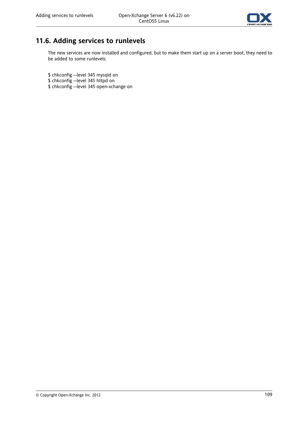

## **11.6. Adding services to runlevels**

The new services are now installed and configured, but to make them start up on a server boot, they need to be added to some runlevels:

\$ chkconfig --level 345 mysqld on

- \$ chkconfig --level 345 httpd on
- \$ chkconfig --level 345 open-xchange on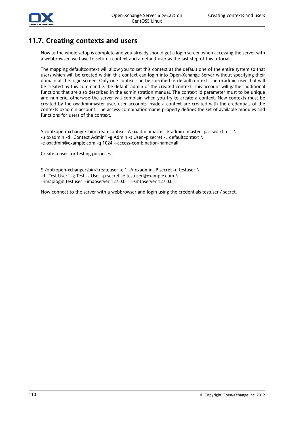

## **11.7. Creating contexts and users**

Now as the whole setup is complete and you already should get a login screen when accessing the server with a webbrowser, we have to setup a context and a default user as the last step of this tutorial.

The mapping defaultcontext will allow you to set this context as the default one of the entire system so that users which will be created within this context can login into Open-Xchange Server without specifying their domain at the login screen. Only one context can be specified as defaultcontext. The oxadmin user that will be created by this command is the default admin of the created context. This account will gather additional functions that are also described in the administration manual. The context id parameter must to be unique and numeric, otherwise the server will complain when you try to create a context. New contexts must be created by the oxadminmaster user, user accounts inside a context are created with the credentials of the contexts oxadmin account. The access-combination-name property defines the set of available modules and functions for users of the context.

\$ /opt/open-xchange/sbin/createcontext -A oxadminmaster -P admin\_master\_password -c 1 \ -u oxadmin -d "Context Admin" -g Admin -s User -p secret -L defaultcontext \ -e oxadmin@example.com -q 1024 --access-combination-name=all

Create a user for testing purposes:

\$ /opt/open-xchange/sbin/createuser -c 1 -A oxadmin -P secret -u testuser \ -d "Test User" -g Test -s User -p secret -e testuser@example.com \ --imaplogin testuser --imapserver 127.0.0.1 --smtpserver 127.0.0.1

Now connect to the server with a webbrowser and login using the credentials testuser / secret.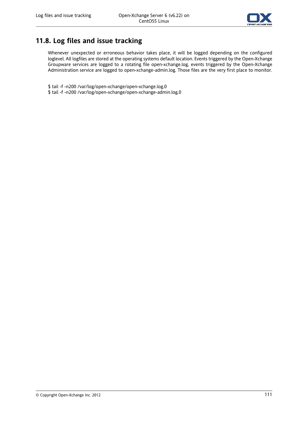

## **11.8. Log files and issue tracking**

Whenever unexpected or erroneous behavior takes place, it will be logged depending on the configured loglevel. All logfiles are stored at the operating systems default location. Events triggered by the Open-Xchange Groupware services are logged to a rotating file open-xchange.log, events triggered by the Open-Xchange Administration service are logged to open-xchange-admin.log. Those files are the very first place to monitor.

\$ tail -f -n200 /var/log/open-xchange/open-xchange.log.0

\$ tail -f -n200 /var/log/open-xchange/open-xchange-admin.log.0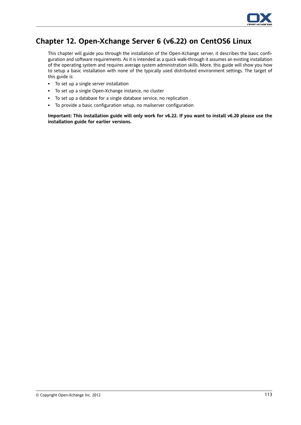

## **Chapter 12. Open-Xchange Server 6 (v6.22) on CentOS6 Linux**

This chapter will guide you through the installation of the Open-Xchange server, it describes the basic configuration and software requirements. As it is intended as a quick walk-through it assumes an existing installation of the operating system and requires average system administration skills. More, this guide will show you how to setup a basic installation with none of the typically used distributed environment settings. The target of this guide is:

- To set up a single server installation
- To set up a single Open-Xchange instance, no cluster
- To set up a database for a single database service, no replication
- To provide a basic configuration setup, no mailserver configuration

Important: This installation guide will only work for v6.22. If you want to install v6.20 please use the **installation guide for earlier versions.**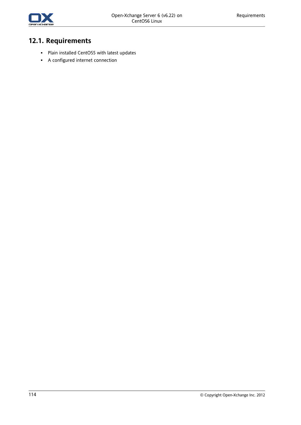

# **12.1. Requirements**

- Plain installed CentOS5 with latest updates
- A configured internet connection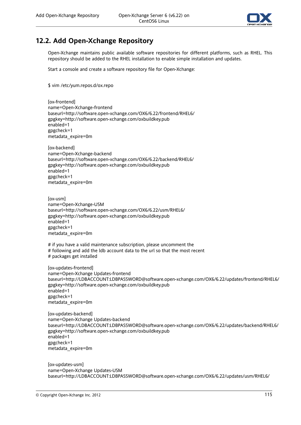

## **12.2. Add Open-Xchange Repository**

Open-Xchange maintains public available software repositories for different platforms, such as RHEL. This repository should be added to the RHEL installation to enable simple installation and updates.

Start a console and create a software repository file for Open-Xchange:

\$ vim /etc/yum.repos.d/ox.repo

[ox-frontend] name=Open-Xchange-frontend baseurl=http://software.open-xchange.com/OX6/6.22/frontend/RHEL6/ gpgkey=http://software.open-xchange.com/oxbuildkey.pub enabled=1 gpgcheck=1 metadata\_expire=0m

[ox-backend] name=Open-Xchange-backend baseurl=http://software.open-xchange.com/OX6/6.22/backend/RHEL6/ gpgkey=http://software.open-xchange.com/oxbuildkey.pub enabled=1 gpgcheck=1 metadata\_expire=0m

[ox-usm] name=Open-Xchange-USM baseurl=http://software.open-xchange.com/OX6/6.22/usm/RHEL6/ gpgkey=http://software.open-xchange.com/oxbuildkey.pub enabled=1 gpgcheck=1 metadata\_expire=0m

# if you have a valid maintenance subscription, please uncomment the

- # following and add the ldb account data to the url so that the most recent
- # packages get installed

[ox-updates-frontend] name=Open-Xchange Updates-frontend baseurl=http://LDBACCOUNT:LDBPASSWORD@software.open-xchange.com/OX6/6.22/updates/frontend/RHEL6/ gpgkey=http://software.open-xchange.com/oxbuildkey.pub enabled=1 gpgcheck=1 metadata\_expire=0m

[ox-updates-backend] name=Open-Xchange Updates-backend baseurl=http://LDBACCOUNT:LDBPASSWORD@software.open-xchange.com/OX6/6.22/updates/backend/RHEL6/ gpgkey=http://software.open-xchange.com/oxbuildkey.pub enabled=1 gpgcheck=1 metadata\_expire=0m

[ox-updates-usm] name=Open-Xchange Updates-USM baseurl=http://LDBACCOUNT:LDBPASSWORD@software.open-xchange.com/OX6/6.22/updates/usm/RHEL6/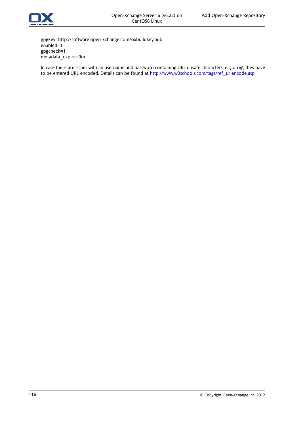

gpgkey=http://software.open-xchange.com/oxbuildkey.pub enabled=1 gpgcheck=1 metadata\_expire=0m

In case there are issues with an username and password containing URL unsafe characters, e.g. an @, they have to be entered URL encoded. Details can be found at [http://www.w3schools.com/tags/ref\\_urlencode.asp](http://www.w3schools.com/tags/ref_urlencode.asp)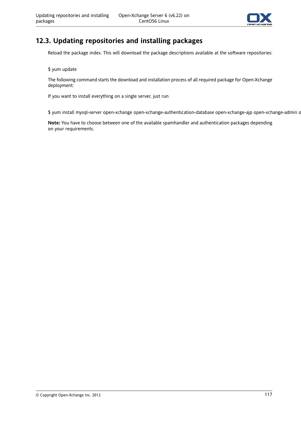

## **12.3. Updating repositories and installing packages**

Reload the package index. This will download the package descriptions available at the software repositories:

\$ yum update

The following command starts the download and installation process of all required package for Open-Xchange deployment:

If you want to install everything on a single server, just run

\$ yum install mysql-server open-xchange open-xchange-authentication-database open-xchange-ajp open-xchange-admin c

**Note:** You have to choose between one of the available spamhandler and authentication packages depending on your requirements.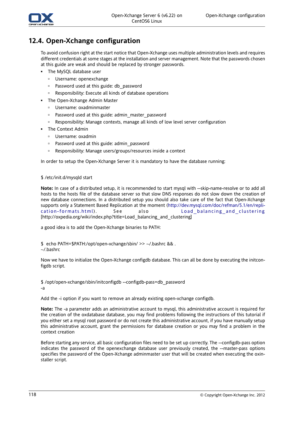

### **12.4. Open-Xchange configuration**

To avoid confusion right at the start notice that Open-Xchange uses multiple administration levels and requires different credentials at some stages at the installation and server management. Note that the passwords chosen at this guide are weak and should be replaced by stronger passwords.

- The MySQL database user
	- Username: openexchange
	- □ Password used at this guide: db password
	- Responsibility: Execute all kinds of database operations
- The Open-Xchange Admin Master
	- Username: oxadminmaster
	- Password used at this guide: admin\_master\_password
	- Responsibility: Manage contexts, manage all kinds of low level server configuration
- The Context Admin
	- Username: oxadmin
	- Password used at this guide: admin\_password
	- Responsibility: Manage users/groups/resources inside a context

In order to setup the Open-Xchange Server it is mandatory to have the database running:

#### \$ /etc/init.d/mysqld start

**Note:** In case of a distributed setup, it is recommended to start mysql with --skip-name-resolve or to add all hosts to the hosts file of the database server so that slow DNS responses do not slow down the creation of new database connections. In a distributed setup you should also take care of the fact that Open-Xchange supports only a Statement Based Replication at the moment [\(http://dev.mysql.com/doc/refman/5.1/en/repli](http://dev.mysql.com/doc/refman/5.1/en/replication-formats.html)[cation-formats.html\)](http://dev.mysql.com/doc/refman/5.1/en/replication-formats.html) . See also [Load\\_balancing\\_and\\_clustering](http://oxpedia.org/wiki/index.php?title=Load_balancing_and_clustering) [[http://oxpedia.org/wiki/index.php?title=Load\\_balancing\\_and\\_clustering\]](http://oxpedia.org/wiki/index.php?title=Load_balancing_and_clustering)

a good idea is to add the Open-Xchange binaries to PATH:

\$ echo PATH=\$PATH:/opt/open-xchange/sbin/ >> ~/.bashrc && . ~/.bashrc

Now we have to initialize the Open-Xchange configdb database. This can all be done by executing the initconfigdb script.

\$ /opt/open-xchange/sbin/initconfigdb --configdb-pass=db\_password -a

Add the -i option if you want to remove an already existing open-xchange configdb.

**Note:** The -a parameter adds an administrative account to mysql, this administrative account is required for the creation of the oxdatabase database, you may find problems following the instructions of this tutorial if you either set a mysql root password or do not create this administrative account, if you have manually setup this administrative account, grant the permissions for database creation or you may find a problem in the context creation

Before starting any service, all basic configuration files need to be set up correctly. The --configdb-pass option indicates the password of the openexchange database user previously created, the --master-pass options specifies the password of the Open-Xchange adminmaster user that will be created when executing the oxinstaller script.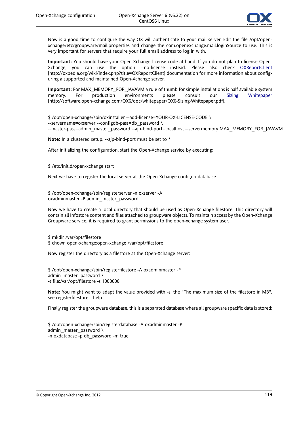

Now is a good time to configure the way OX will authenticate to your mail server. Edit the file /opt/openxchange/etc/groupware/mail.properties and change the com.openexchange.mail.loginSource to use. This is very important for servers that require your full email address to log in with.

**Important:** You should have your Open-Xchange license code at hand. If you do not plan to license Open-Xchange, you can use the option --no-license instead. Please also check [OXReportClient](http://oxpedia.org/wiki/index.php?title=OXReportClient) [<http://oxpedia.org/wiki/index.php?title=OXReportClient>] documentation for more information about configuring a supported and maintained Open-Xchange server.

**Important:** For MAX\_MEMORY\_FOR\_JAVAVM a rule of thumb for simple installations is half available system memory. For production environments please consult our Sizing [Whitepaper](http://software.open-xchange.com/OX6/doc/whitepaper/OX6-Sizing-Whitepaper.pdf) [[http://software.open-xchange.com/OX6/doc/whitepaper/OX6-Sizing-Whitepaper.pdf\]](http://software.open-xchange.com/OX6/doc/whitepaper/OX6-Sizing-Whitepaper.pdf).

\$ /opt/open-xchange/sbin/oxinstaller --add-license=YOUR-OX-LICENSE-CODE \ --servername=oxserver --configdb-pass=db\_password \ --master-pass=admin\_master\_password --ajp-bind-port=localhost --servermemory MAX\_MEMORY\_FOR\_JAVAVM

**Note:** In a clustered setup, --ajp-bind-port must be set to \*

After initializing the configuration, start the Open-Xchange service by executing:

\$ /etc/init.d/open-xchange start

Next we have to register the local server at the Open-Xchange configdb database:

\$ /opt/open-xchange/sbin/registerserver -n oxserver -A oxadminmaster -P admin\_master\_password

Now we have to create a local directory that should be used as Open-Xchange filestore. This directory will contain all Infostore content and files attached to groupware objects. To maintain access by the Open-Xchange Groupware service, it is required to grant permissions to the open-xchange system user.

\$ mkdir /var/opt/filestore

\$ chown open-xchange:open-xchange /var/opt/filestore

Now register the directory as a filestore at the Open-Xchange server:

\$ /opt/open-xchange/sbin/registerfilestore -A oxadminmaster -P admin master password  $\setminus$ -t file:/var/opt/filestore -s 1000000

**Note:** You might want to adapt the value provided with -s, the "The maximum size of the filestore in MB", see registerfilestore --help.

Finally register the groupware database, this is a separated database where all groupware specific data is stored:

\$ /opt/open-xchange/sbin/registerdatabase -A oxadminmaster -P admin\_master\_password  $\setminus$ -n oxdatabase -p db\_password -m true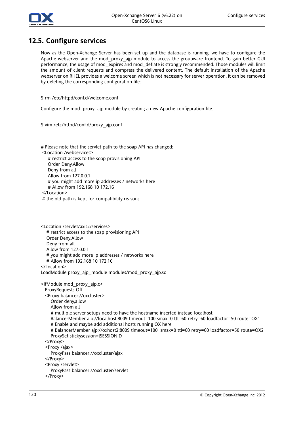

### **12.5. Configure services**

Now as the Open-Xchange Server has been set up and the database is running, we have to configure the Apache webserver and the mod proxy ajp module to access the groupware frontend. To gain better GUI performance, the usage of mod\_expires and mod\_deflate is strongly recommended. Those modules will limit the amount of client requests and compress the delivered content. The default installation of the Apache webserver on RHEL provides a welcome screen which is not necessary for server operation, it can be removed by deleting the corresponding configuration file:

\$ rm /etc/httpd/conf.d/welcome.conf

Configure the mod\_proxy\_ajp module by creating a new Apache configuration file.

\$ vim /etc/httpd/conf.d/proxy\_ajp.conf

# Please note that the servlet path to the soap API has changed:

<Location /webservices>

# restrict access to the soap provisioning API

Order Deny,Allow

Deny from all

Allow from 127.0.0.1

# you might add more ip addresses / networks here

# Allow from 192.168 10 172.16

</Location>

# the old path is kept for compatibility reasons

<Location /servlet/axis2/services> # restrict access to the soap provisioning API Order Deny,Allow Deny from all Allow from 127.0.0.1 # you might add more ip addresses / networks here # Allow from 192.168 10 172.16 </Location> LoadModule proxy\_ajp\_module modules/mod\_proxy\_ajp.so <IfModule mod\_proxy\_ajp.c> ProxyRequests Off <Proxy balancer://oxcluster> Order deny,allow Allow from all # multiple server setups need to have the hostname inserted instead localhost BalancerMember ajp://localhost:8009 timeout=100 smax=0 ttl=60 retry=60 loadfactor=50 route=OX1 # Enable and maybe add additional hosts running OX here # BalancerMember ajp://oxhost2:8009 timeout=100 smax=0 ttl=60 retry=60 loadfactor=50 route=OX2 ProxySet stickysession=JSESSIONID </Proxy> <Proxy /ajax> ProxyPass balancer://oxcluster/ajax </Proxy> <Proxy /servlet> ProxyPass balancer://oxcluster/servlet </Proxy>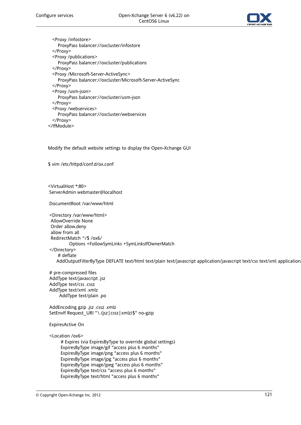

<Proxy /infostore> ProxyPass balancer://oxcluster/infostore </Proxy> <Proxy /publications> ProxyPass balancer://oxcluster/publications </Proxy> <Proxy /Microsoft-Server-ActiveSync> ProxyPass balancer://oxcluster/Microsoft-Server-ActiveSync </Proxy> <Proxy /usm-json> ProxyPass balancer://oxcluster/usm-json </Proxy> <Proxy /webservices> ProxyPass balancer://oxcluster/webservices </Proxy> </IfModule>

Modify the default website settings to display the Open-Xchange GUI

\$ vim /etc/httpd/conf.d/ox.conf

<VirtualHost \*:80> ServerAdmin webmaster@localhost

DocumentRoot /var/www/html

<Directory /var/www/html> AllowOverride None Order allow,deny allow from all RedirectMatch ^/\$ /ox6/ Options +FollowSymLinks +SymLinksIfOwnerMatch </Directory> # deflate AddOutputFilterByType DEFLATE text/html text/plain text/javascript application/javascript text/css text/xml application

# pre-compressed files AddType text/javascript .jsz AddType text/css .cssz AddType text/xml .xmlz AddType text/plain .po

AddEncoding gzip .jsz .cssz .xmlz SetEnvIf Request\_URI "\.(jsz|cssz|xmlz)\$" no-gzip

#### ExpiresActive On

<Location /ox6>

# Expires (via ExpiresByType to override global settings) ExpiresByType image/gif "access plus 6 months" ExpiresByType image/png "access plus 6 months" ExpiresByType image/jpg "access plus 6 months" ExpiresByType image/jpeg "access plus 6 months" ExpiresByType text/css "access plus 6 months" ExpiresByType text/html "access plus 6 months"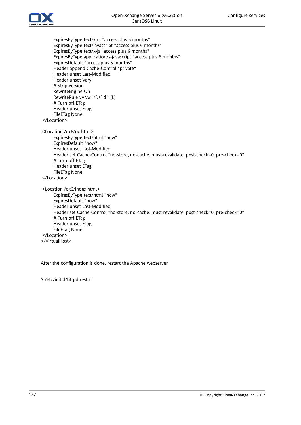



ExpiresByType text/xml "access plus 6 months" ExpiresByType text/javascript "access plus 6 months" ExpiresByType text/x-js "access plus 6 months" ExpiresByType application/x-javascript "access plus 6 months" ExpiresDefault "access plus 6 months" Header append Cache-Control "private" Header unset Last-Modified Header unset Vary # Strip version RewriteEngine On RewriteRule  $v = \wedge w + / (. + )$  \$1 [L] # Turn off ETag Header unset ETag FileETag None </Location> <Location /ox6/ox.html> ExpiresByType text/html "now" ExpiresDefault "now" Header unset Last-Modified Header set Cache-Control "no-store, no-cache, must-revalidate, post-check=0, pre-check=0" # Turn off ETag Header unset ETag FileETag None </Location> <Location /ox6/index.html> ExpiresByType text/html "now" ExpiresDefault "now" Header unset Last-Modified Header set Cache-Control "no-store, no-cache, must-revalidate, post-check=0, pre-check=0" # Turn off ETag Header unset ETag FileETag None </Location> </VirtualHost>

After the configuration is done, restart the Apache webserver

\$ /etc/init.d/httpd restart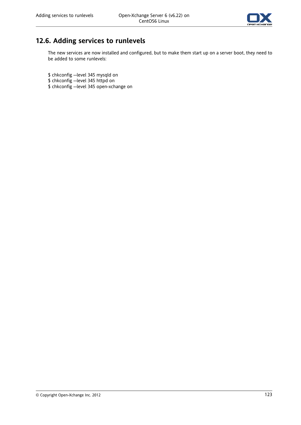

## **12.6. Adding services to runlevels**

The new services are now installed and configured, but to make them start up on a server boot, they need to be added to some runlevels:

\$ chkconfig --level 345 mysqld on

- \$ chkconfig --level 345 httpd on
- \$ chkconfig --level 345 open-xchange on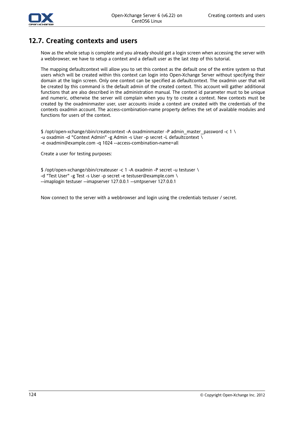

## **12.7. Creating contexts and users**

Now as the whole setup is complete and you already should get a login screen when accessing the server with a webbrowser, we have to setup a context and a default user as the last step of this tutorial.

The mapping defaultcontext will allow you to set this context as the default one of the entire system so that users which will be created within this context can login into Open-Xchange Server without specifying their domain at the login screen. Only one context can be specified as defaultcontext. The oxadmin user that will be created by this command is the default admin of the created context. This account will gather additional functions that are also described in the administration manual. The context id parameter must to be unique and numeric, otherwise the server will complain when you try to create a context. New contexts must be created by the oxadminmaster user, user accounts inside a context are created with the credentials of the contexts oxadmin account. The access-combination-name property defines the set of available modules and functions for users of the context.

\$ /opt/open-xchange/sbin/createcontext -A oxadminmaster -P admin\_master\_password -c 1 \ -u oxadmin -d "Context Admin" -g Admin -s User -p secret -L defaultcontext \ -e oxadmin@example.com -q 1024 --access-combination-name=all

Create a user for testing purposes:

\$ /opt/open-xchange/sbin/createuser -c 1 -A oxadmin -P secret -u testuser \ -d "Test User" -g Test -s User -p secret -e testuser@example.com \ --imaplogin testuser --imapserver 127.0.0.1 --smtpserver 127.0.0.1

Now connect to the server with a webbrowser and login using the credentials testuser / secret.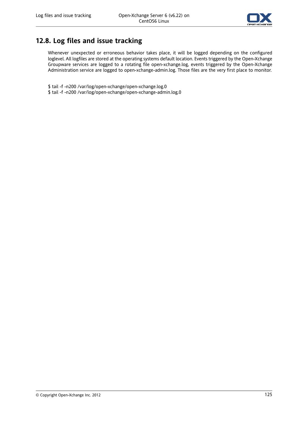

## **12.8. Log files and issue tracking**

Whenever unexpected or erroneous behavior takes place, it will be logged depending on the configured loglevel. All logfiles are stored at the operating systems default location. Events triggered by the Open-Xchange Groupware services are logged to a rotating file open-xchange.log, events triggered by the Open-Xchange Administration service are logged to open-xchange-admin.log. Those files are the very first place to monitor.

\$ tail -f -n200 /var/log/open-xchange/open-xchange.log.0

\$ tail -f -n200 /var/log/open-xchange/open-xchange-admin.log.0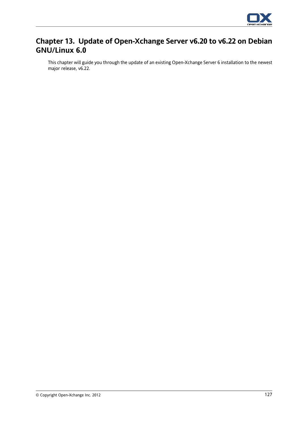

## **Chapter 13. Update of Open-Xchange Server v6.20 to v6.22 on Debian GNU/Linux 6.0**

This chapter will guide you through the update of an existing Open-Xchange Server 6 installation to the newest major release, v6.22.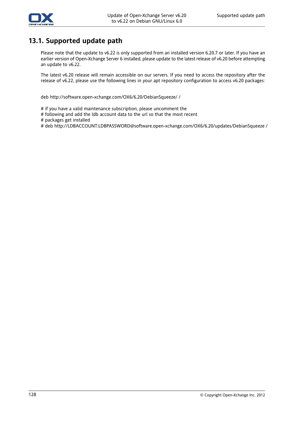

## **13.1. Supported update path**

Please note that the update to v6.22 is only supported from an installed version 6.20.7 or later. If you have an earlier version of Open-Xchange Server 6 installed, please update to the latest release of v6.20 before attempting an update to v6.22.

The latest v6.20 release will remain accessible on our servers. If you need to access the repository after the release of v6.22, please use the following lines in your apt repository configuration to access v6.20 packages:

deb http://software.open-xchange.com/OX6/6.20/DebianSqueeze/ /

- # if you have a valid maintenance subscription, please uncomment the
- # following and add the ldb account data to the url so that the most recent
- # packages get installed
- # deb http://LDBACCOUNT:LDBPASSWORD@software.open-xchange.com/OX6/6.20/updates/DebianSqueeze /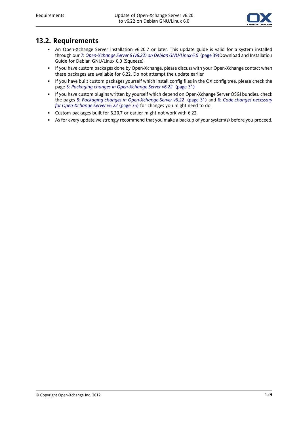

## **13.2. Requirements**

- An Open-Xchange Server installation v6.20.7 or later. This update guide is valid for a system installed through our 7: *[Open-Xchange](#page-46-0) Server 6 (v6.22) on Debian GNU/Linux 6.0* (page 39)Download and Installation Guide for Debian GNU/Linux 6.0 (Squeeze)
- If you have custom packages done by Open-Xchange, please discuss with your Open-Xchange contact when these packages are available for 6.22. Do not attempt the update earlier
- If you have built custom packages yourself which install config files in the OX config tree, please check the page 5: *Packaging changes in [Open-Xchange](#page-38-0) Server v6.22* (page 31)
- If you have custom plugins written by yourself which depend on Open-Xchange Server OSGI bundles, check the pages 5: *Packaging changes in [Open-Xchange](#page-38-0) Server v6.22* (page 31) and 6: *Code changes [necessary](#page-42-0) for [Open-Xchange](#page-42-0) Server v6.22* (page 35) for changes you might need to do.
- Custom packages built for 6.20.7 or earlier might not work with 6.22.
- As for every update we strongly recommend that you make a backup of your system(s) before you proceed.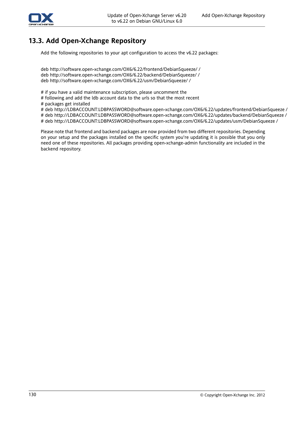

## **13.3. Add Open-Xchange Repository**

Add the following repositories to your apt configuration to access the v6.22 packages:

deb http://software.open-xchange.com/OX6/6.22/frontend/DebianSqueeze/ / deb http://software.open-xchange.com/OX6/6.22/backend/DebianSqueeze/ / deb http://software.open-xchange.com/OX6/6.22/usm/DebianSqueeze/ /

# if you have a valid maintenance subscription, please uncomment the

# following and add the ldb account data to the urls so that the most recent

# packages get installed

# deb http://LDBACCOUNT:LDBPASSWORD@software.open-xchange.com/OX6/6.22/updates/frontend/DebianSqueeze /

# deb http://LDBACCOUNT:LDBPASSWORD@software.open-xchange.com/OX6/6.22/updates/backend/DebianSqueeze / # deb http://LDBACCOUNT:LDBPASSWORD@software.open-xchange.com/OX6/6.22/updates/usm/DebianSqueeze /

Please note that frontend and backend packages are now provided from two different repositories. Depending on your setup and the packages installed on the specific system you're updating it is possible that you only need one of these repositories. All packages providing open-xchange-admin functionality are included in the backend repository.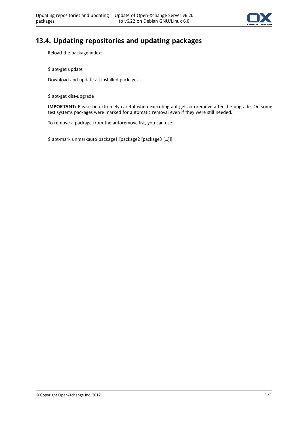

# **13.4. Updating repositories and updating packages**

Reload the package index:

\$ apt-get update

Download and update all installed packages:

\$ apt-get dist-upgrade

**IMPORTANT:** Please be extremely careful when executing apt-get autoremove after the upgrade. On some test systems packages were marked for automatic removal even if they were still needed.

To remove a package from the autoremove list, you can use:

\$ apt-mark unmarkauto package1 [package2 [package3 [...]]]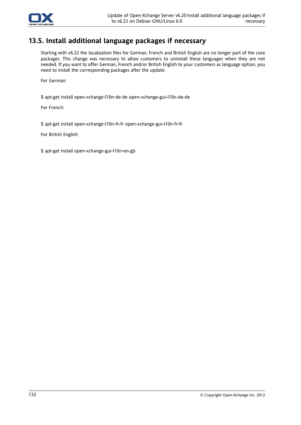

## **13.5. Install additional language packages if necessary**

Starting with v6.22 the localization files for German, French and British English are no longer part of the core packages. This change was necessary to allow customers to uninstall these languages when they are not needed. If you want to offer German, French and/or British English to your customers as language option, you need to install the corresponding packages after the update.

For German:

\$ apt-get install open-xchange-l10n-de-de open-xchange-gui-l10n-de-de

For French:

\$ apt-get install open-xchange-l10n-fr-fr open-xchange-gui-l10n-fr-fr

For British English:

\$ apt-get install open-xchange-gui-l10n-en-gb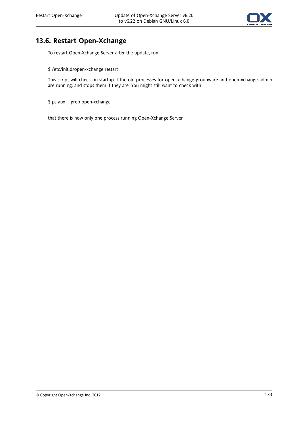

## **13.6. Restart Open-Xchange**

To restart Open-Xchange Server after the update, run

\$ /etc/init.d/open-xchange restart

This script will check on startup if the old processes for open-xchange-groupware and open-xchange-admin are running, and stops them if they are. You might still want to check with

\$ ps aux | grep open-xchange

that there is now only one process running Open-Xchange Server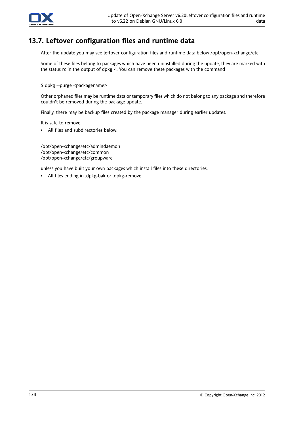

## **13.7. Leftover configuration files and runtime data**

After the update you may see leftover configuration files and runtime data below /opt/open-xchange/etc.

Some of these files belong to packages which have been uninstalled during the update, they are marked with the status rc in the output of dpkg -l. You can remove these packages with the command

\$ dpkg --purge <packagename>

Other orphaned files may be runtime data or temporary files which do not belong to any package and therefore couldn't be removed during the package update.

Finally, there may be backup files created by the package manager during earlier updates.

It is safe to remove:

▪ All files and subdirectories below:

/opt/open-xchange/etc/admindaemon /opt/open-xchange/etc/common /opt/open-xchange/etc/groupware

unless you have built your own packages which install files into these directories.

▪ All files ending in .dpkg-bak or .dpkg-remove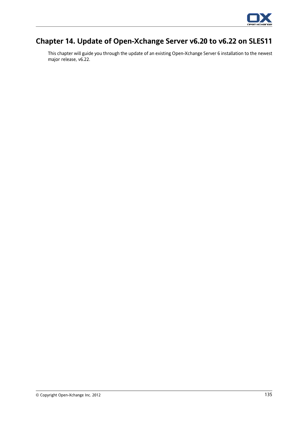

# **Chapter 14. Update of Open-Xchange Server v6.20 to v6.22 on SLES11**

This chapter will guide you through the update of an existing Open-Xchange Server 6 installation to the newest major release, v6.22.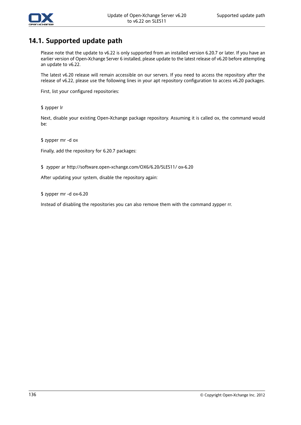

### **14.1. Supported update path**

Please note that the update to v6.22 is only supported from an installed version 6.20.7 or later. If you have an earlier version of Open-Xchange Server 6 installed, please update to the latest release of v6.20 before attempting an update to v6.22.

The latest v6.20 release will remain accessible on our servers. If you need to access the repository after the release of v6.22, please use the following lines in your apt repository configuration to access v6.20 packages.

First, list your configured repositories:

\$ zypper lr

Next, disable your existing Open-Xchange package repository. Assuming it is called ox, the command would be:

\$ zypper mr -d ox

Finally, add the repository for 6.20.7 packages:

\$ zypper ar http://software.open-xchange.com/OX6/6.20/SLES11/ ox-6.20

After updating your system, disable the repository again:

\$ zypper mr -d ox-6.20

Instead of disabling the repositories you can also remove them with the command zypper rr.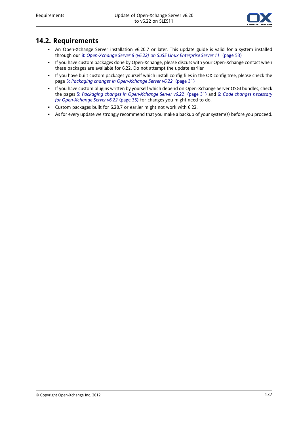

#### **14.2. Requirements**

- An Open-Xchange Server installation v6.20.7 or later. This update guide is valid for a system installed through our 8: *[Open-Xchange](#page-60-0) Server 6 (v6.22) on SuSE Linux Enterprise Server 11* (page 53)
- If you have custom packages done by Open-Xchange, please discuss with your Open-Xchange contact when these packages are available for 6.22. Do not attempt the update earlier
- If you have built custom packages yourself which install config files in the OX config tree, please check the page 5: *Packaging changes in [Open-Xchange](#page-38-0) Server v6.22* (page 31)
- If you have custom plugins written by yourself which depend on Open-Xchange Server OSGI bundles, check the pages 5: *Packaging changes in [Open-Xchange](#page-38-0) Server v6.22* (page 31) and 6: *Code changes [necessary](#page-42-0) for [Open-Xchange](#page-42-0) Server v6.22* (page 35) for changes you might need to do.
- Custom packages built for 6.20.7 or earlier might not work with 6.22.
- As for every update we strongly recommend that you make a backup of your system(s) before you proceed.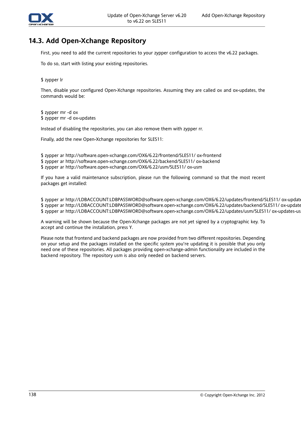

#### **14.3. Add Open-Xchange Repository**

First, you need to add the current repositories to your zypper configuration to access the v6.22 packages.

To do so, start with listing your existing repositories.

\$ zypper lr

Then, disable your configured Open-Xchange repositories. Assuming they are called ox and ox-updates, the commands would be:

\$ zypper mr -d ox \$ zypper mr -d ox-updates

Instead of disabling the repositories, you can also remove them with zypper rr.

Finally, add the new Open-Xchange repositories for SLES11:

\$ zypper ar http://software.open-xchange.com/OX6/6.22/frontend/SLES11/ ox-frontend

\$ zypper ar http://software.open-xchange.com/OX6/6.22/backend/SLES11/ ox-backend

\$ zypper ar http://software.open-xchange.com/OX6/6.22/usm/SLES11/ ox-usm

If you have a valid maintenance subscription, please run the following command so that the most recent packages get installed:

\$ zypper ar http://LDBACCOUNT:LDBPASSWORD@software.open-xchange.com/OX6/6.22/updates/frontend/SLES11/ ox-updates-frontend \$ zypper ar http://LDBACCOUNT:LDBPASSWORD@software.open-xchange.com/OX6/6.22/updates/backend/SLES11/ ox-updates-backend \$ zypper ar http://LDBACCOUNT:LDBPASSWORD@software.open-xchange.com/OX6/6.22/updates/usm/SLES11/ ox-updates-usm

A warning will be shown because the Open-Xchange packages are not yet signed by a cryptographic key. To accept and continue the installation, press Y.

Please note that frontend and backend packages are now provided from two different repositories. Depending on your setup and the packages installed on the specific system you're updating it is possible that you only need one of these repositories. All packages providing open-xchange-admin functionality are included in the backend repository. The repository usm is also only needed on backend servers.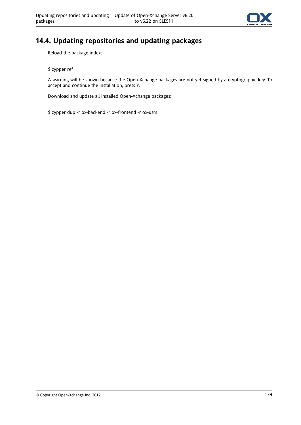

#### **14.4. Updating repositories and updating packages**

Reload the package index:

\$ zypper ref

A warning will be shown because the Open-Xchange packages are not yet signed by a cryptographic key. To accept and continue the installation, press Y.

Download and update all installed Open-Xchange packages:

\$ zypper dup -r ox-backend -r ox-frontend -r ox-usm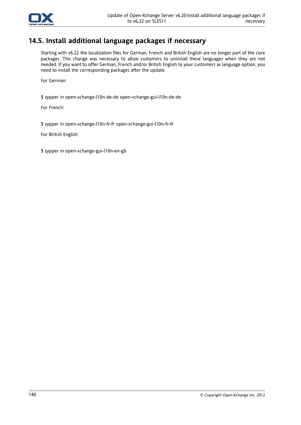

#### **14.5. Install additional language packages if necessary**

Starting with v6.22 the localization files for German, French and British English are no longer part of the core packages. This change was necessary to allow customers to uninstall these languages when they are not needed. If you want to offer German, French and/or British English to your customers as language option, you need to install the corresponding packages after the update.

For German:

\$ zypper in open-xchange-l10n-de-de open-xchange-gui-l10n-de-de

For French:

\$ zypper in open-xchange-l10n-fr-fr open-xchange-gui-l10n-fr-fr

For British English:

\$ zypper in open-xchange-gui-l10n-en-gb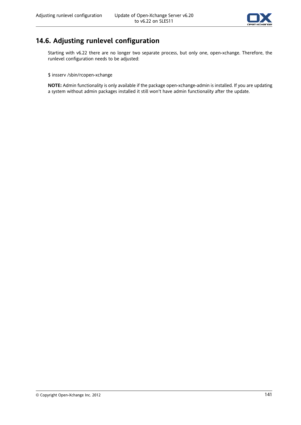

## **14.6. Adjusting runlevel configuration**

Starting with v6.22 there are no longer two separate process, but only one, open-xchange. Therefore, the runlevel configuration needs to be adjusted:

#### \$ insserv /sbin/rcopen-xchange

**NOTE:** Admin functionality is only available if the package open-xchange-admin is installed. If you are updating a system without admin packages installed it still won't have admin functionality after the update.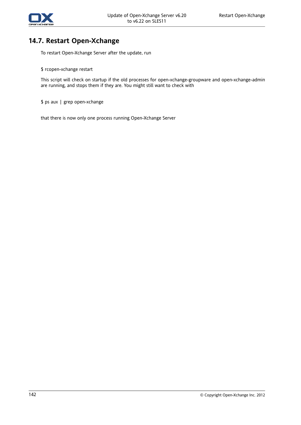

#### **14.7. Restart Open-Xchange**

To restart Open-Xchange Server after the update, run

\$ rcopen-xchange restart

This script will check on startup if the old processes for open-xchange-groupware and open-xchange-admin are running, and stops them if they are. You might still want to check with

\$ ps aux | grep open-xchange

that there is now only one process running Open-Xchange Server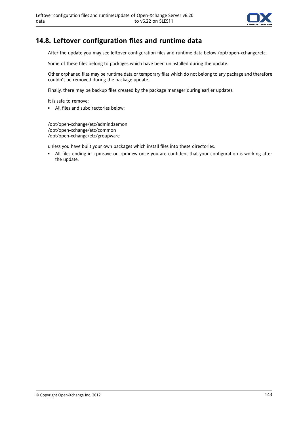

#### **14.8. Leftover configuration files and runtime data**

After the update you may see leftover configuration files and runtime data below /opt/open-xchange/etc.

Some of these files belong to packages which have been uninstalled during the update.

Other orphaned files may be runtime data or temporary files which do not belong to any package and therefore couldn't be removed during the package update.

Finally, there may be backup files created by the package manager during earlier updates.

It is safe to remove:

▪ All files and subdirectories below:

/opt/open-xchange/etc/admindaemon /opt/open-xchange/etc/common /opt/open-xchange/etc/groupware

unless you have built your own packages which install files into these directories.

▪ All files ending in .rpmsave or .rpmnew once you are confident that your configuration is working after the update.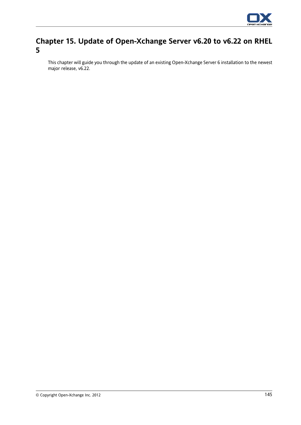

## **Chapter 15. Update of Open-Xchange Server v6.20 to v6.22 on RHEL 5**

This chapter will guide you through the update of an existing Open-Xchange Server 6 installation to the newest major release, v6.22.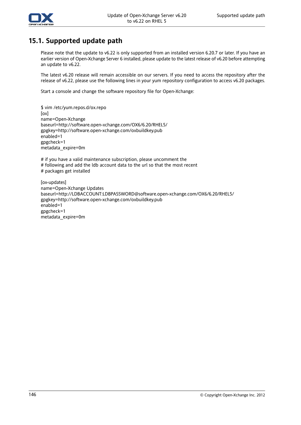

#### **15.1. Supported update path**

Please note that the update to v6.22 is only supported from an installed version 6.20.7 or later. If you have an earlier version of Open-Xchange Server 6 installed, please update to the latest release of v6.20 before attempting an update to v6.22.

The latest v6.20 release will remain accessible on our servers. If you need to access the repository after the release of v6.22, please use the following lines in your yum repository configuration to access v6.20 packages.

Start a console and change the software repository file for Open-Xchange:

\$ vim /etc/yum.repos.d/ox.repo [ox] name=Open-Xchange baseurl=http://software.open-xchange.com/OX6/6.20/RHEL5/ gpgkey=http://software.open-xchange.com/oxbuildkey.pub enabled=1 gpgcheck=1 metadata\_expire=0m

# if you have a valid maintenance subscription, please uncomment the # following and add the ldb account data to the url so that the most recent # packages get installed

[ox-updates] name=Open-Xchange Updates baseurl=http://LDBACCOUNT:LDBPASSWORD@software.open-xchange.com/OX6/6.20/RHEL5/ gpgkey=http://software.open-xchange.com/oxbuildkey.pub enabled=1 gpgcheck=1 metadata\_expire=0m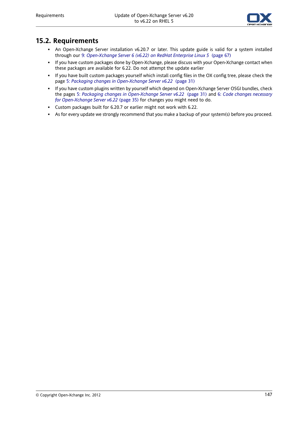

#### **15.2. Requirements**

- An Open-Xchange Server installation v6.20.7 or later. This update guide is valid for a system installed through our 9: *[Open-Xchange](#page-74-0) Server 6 (v6.22) on RedHat Enterprise Linux 5* (page 67)
- If you have custom packages done by Open-Xchange, please discuss with your Open-Xchange contact when these packages are available for 6.22. Do not attempt the update earlier
- If you have built custom packages yourself which install config files in the OX config tree, please check the page 5: *Packaging changes in [Open-Xchange](#page-38-0) Server v6.22* (page 31)
- If you have custom plugins written by yourself which depend on Open-Xchange Server OSGI bundles, check the pages 5: *Packaging changes in [Open-Xchange](#page-38-0) Server v6.22* (page 31) and 6: *Code changes [necessary](#page-42-0) for [Open-Xchange](#page-42-0) Server v6.22* (page 35) for changes you might need to do.
- Custom packages built for 6.20.7 or earlier might not work with 6.22.
- As for every update we strongly recommend that you make a backup of your system(s) before you proceed.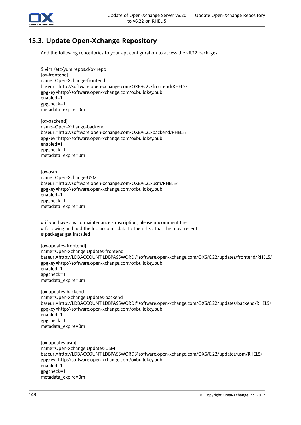

## **15.3. Update Open-Xchange Repository**

Add the following repositories to your apt configuration to access the v6.22 packages:

\$ vim /etc/yum.repos.d/ox.repo [ox-frontend] name=Open-Xchange-frontend baseurl=http://software.open-xchange.com/OX6/6.22/frontend/RHEL5/ gpgkey=http://software.open-xchange.com/oxbuildkey.pub enabled=1 gpgcheck=1 metadata\_expire=0m

[ox-backend] name=Open-Xchange-backend baseurl=http://software.open-xchange.com/OX6/6.22/backend/RHEL5/ gpgkey=http://software.open-xchange.com/oxbuildkey.pub enabled=1 gpgcheck=1 metadata\_expire=0m

[ox-usm] name=Open-Xchange-USM baseurl=http://software.open-xchange.com/OX6/6.22/usm/RHEL5/ gpgkey=http://software.open-xchange.com/oxbuildkey.pub enabled=1 gpgcheck=1 metadata\_expire=0m

# if you have a valid maintenance subscription, please uncomment the # following and add the ldb account data to the url so that the most recent # packages get installed

[ox-updates-frontend] name=Open-Xchange Updates-frontend baseurl=http://LDBACCOUNT:LDBPASSWORD@software.open-xchange.com/OX6/6.22/updates/frontend/RHEL5/ gpgkey=http://software.open-xchange.com/oxbuildkey.pub enabled=1 gpgcheck=1 metadata\_expire=0m

[ox-updates-backend] name=Open-Xchange Updates-backend baseurl=http://LDBACCOUNT:LDBPASSWORD@software.open-xchange.com/OX6/6.22/updates/backend/RHEL5/ gpgkey=http://software.open-xchange.com/oxbuildkey.pub enabled=1 gpgcheck=1 metadata\_expire=0m

[ox-updates-usm] name=Open-Xchange Updates-USM baseurl=http://LDBACCOUNT:LDBPASSWORD@software.open-xchange.com/OX6/6.22/updates/usm/RHEL5/ gpgkey=http://software.open-xchange.com/oxbuildkey.pub enabled=1 gpgcheck=1 metadata\_expire=0m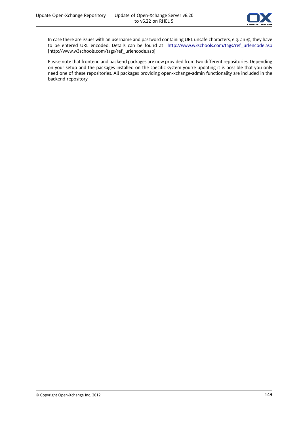

In case there are issues with an username and password containing URL unsafe characters, e.g. an @, they have to be entered URL encoded. Details can be found at http://www.w3schools.com/tags/ref urlencode.asp [[http://www.w3schools.com/tags/ref\\_urlencode.asp\]](http://www.w3schools.com/tags/ref_urlencode.asp)

Please note that frontend and backend packages are now provided from two different repositories. Depending on your setup and the packages installed on the specific system you're updating it is possible that you only need one of these repositories. All packages providing open-xchange-admin functionality are included in the backend repository.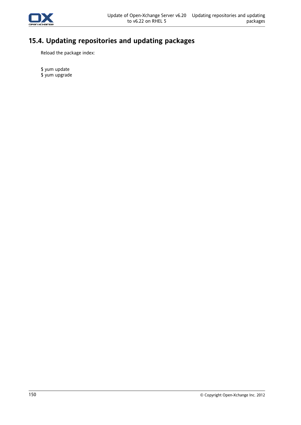

# **15.4. Updating repositories and updating packages**

Reload the package index:

\$ yum update \$ yum upgrade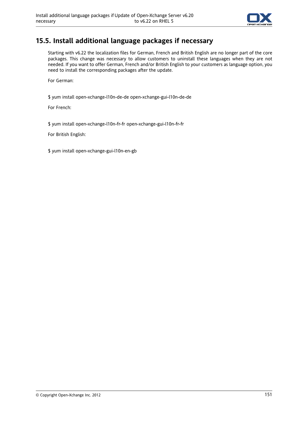

### **15.5. Install additional language packages if necessary**

Starting with v6.22 the localization files for German, French and British English are no longer part of the core packages. This change was necessary to allow customers to uninstall these languages when they are not needed. If you want to offer German, French and/or British English to your customers as language option, you need to install the corresponding packages after the update.

For German:

\$ yum install open-xchange-l10n-de-de open-xchange-gui-l10n-de-de

For French:

\$ yum install open-xchange-l10n-fr-fr open-xchange-gui-l10n-fr-fr

For British English:

\$ yum install open-xchange-gui-l10n-en-gb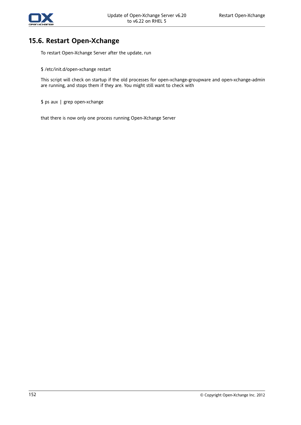

#### **15.6. Restart Open-Xchange**

To restart Open-Xchange Server after the update, run

\$ /etc/init.d/open-xchange restart

This script will check on startup if the old processes for open-xchange-groupware and open-xchange-admin are running, and stops them if they are. You might still want to check with

\$ ps aux | grep open-xchange

that there is now only one process running Open-Xchange Server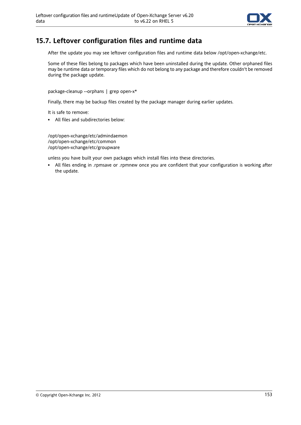

#### **15.7. Leftover configuration files and runtime data**

After the update you may see leftover configuration files and runtime data below /opt/open-xchange/etc.

Some of these files belong to packages which have been uninstalled during the update. Other orphaned files may be runtime data or temporary files which do not belong to any package and therefore couldn't be removed during the package update.

package-cleanup --orphans | grep open-x\*

Finally, there may be backup files created by the package manager during earlier updates.

It is safe to remove:

▪ All files and subdirectories below:

/opt/open-xchange/etc/admindaemon /opt/open-xchange/etc/common /opt/open-xchange/etc/groupware

unless you have built your own packages which install files into these directories.

▪ All files ending in .rpmsave or .rpmnew once you are confident that your configuration is working after the update.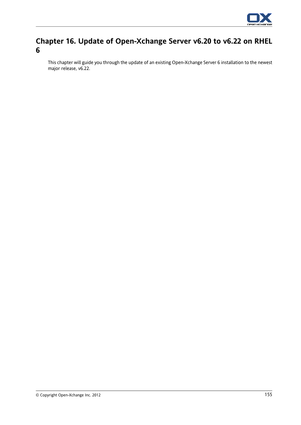

## **Chapter 16. Update of Open-Xchange Server v6.20 to v6.22 on RHEL 6**

This chapter will guide you through the update of an existing Open-Xchange Server 6 installation to the newest major release, v6.22.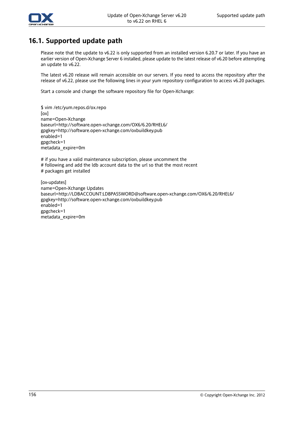

#### **16.1. Supported update path**

Please note that the update to v6.22 is only supported from an installed version 6.20.7 or later. If you have an earlier version of Open-Xchange Server 6 installed, please update to the latest release of v6.20 before attempting an update to v6.22.

The latest v6.20 release will remain accessible on our servers. If you need to access the repository after the release of v6.22, please use the following lines in your yum repository configuration to access v6.20 packages.

Start a console and change the software repository file for Open-Xchange:

\$ vim /etc/yum.repos.d/ox.repo [ox] name=Open-Xchange baseurl=http://software.open-xchange.com/OX6/6.20/RHEL6/ gpgkey=http://software.open-xchange.com/oxbuildkey.pub enabled=1 gpgcheck=1 metadata\_expire=0m

# if you have a valid maintenance subscription, please uncomment the # following and add the ldb account data to the url so that the most recent # packages get installed

[ox-updates] name=Open-Xchange Updates baseurl=http://LDBACCOUNT:LDBPASSWORD@software.open-xchange.com/OX6/6.20/RHEL6/ gpgkey=http://software.open-xchange.com/oxbuildkey.pub enabled=1 gpgcheck=1 metadata\_expire=0m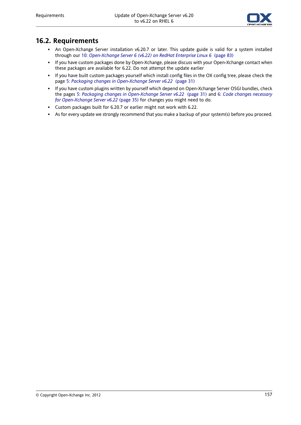

#### **16.2. Requirements**

- An Open-Xchange Server installation v6.20.7 or later. This update guide is valid for a system installed through our 10: *[Open-Xchange](#page-90-0) Server 6 (v6.22) on RedHat Enterprise Linux 6* (page 83)
- If you have custom packages done by Open-Xchange, please discuss with your Open-Xchange contact when these packages are available for 6.22. Do not attempt the update earlier
- If you have built custom packages yourself which install config files in the OX config tree, please check the page 5: *Packaging changes in [Open-Xchange](#page-38-0) Server v6.22* (page 31)
- If you have custom plugins written by yourself which depend on Open-Xchange Server OSGI bundles, check the pages 5: *Packaging changes in [Open-Xchange](#page-38-0) Server v6.22* (page 31) and 6: *Code changes [necessary](#page-42-0) for [Open-Xchange](#page-42-0) Server v6.22* (page 35) for changes you might need to do.
- Custom packages built for 6.20.7 or earlier might not work with 6.22.
- As for every update we strongly recommend that you make a backup of your system(s) before you proceed.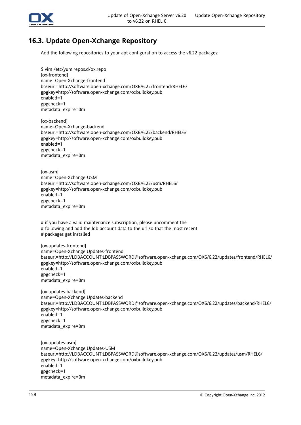

## **16.3. Update Open-Xchange Repository**

Add the following repositories to your apt configuration to access the v6.22 packages:

\$ vim /etc/yum.repos.d/ox.repo [ox-frontend] name=Open-Xchange-frontend baseurl=http://software.open-xchange.com/OX6/6.22/frontend/RHEL6/ gpgkey=http://software.open-xchange.com/oxbuildkey.pub enabled=1 gpgcheck=1 metadata\_expire=0m

[ox-backend] name=Open-Xchange-backend baseurl=http://software.open-xchange.com/OX6/6.22/backend/RHEL6/ gpgkey=http://software.open-xchange.com/oxbuildkey.pub enabled=1 gpgcheck=1 metadata\_expire=0m

[ox-usm] name=Open-Xchange-USM baseurl=http://software.open-xchange.com/OX6/6.22/usm/RHEL6/ gpgkey=http://software.open-xchange.com/oxbuildkey.pub enabled=1 gpgcheck=1 metadata\_expire=0m

# if you have a valid maintenance subscription, please uncomment the # following and add the ldb account data to the url so that the most recent # packages get installed

[ox-updates-frontend] name=Open-Xchange Updates-frontend baseurl=http://LDBACCOUNT:LDBPASSWORD@software.open-xchange.com/OX6/6.22/updates/frontend/RHEL6/ gpgkey=http://software.open-xchange.com/oxbuildkey.pub enabled=1 gpgcheck=1 metadata\_expire=0m

[ox-updates-backend] name=Open-Xchange Updates-backend baseurl=http://LDBACCOUNT:LDBPASSWORD@software.open-xchange.com/OX6/6.22/updates/backend/RHEL6/ gpgkey=http://software.open-xchange.com/oxbuildkey.pub enabled=1 gpgcheck=1 metadata\_expire=0m

[ox-updates-usm] name=Open-Xchange Updates-USM baseurl=http://LDBACCOUNT:LDBPASSWORD@software.open-xchange.com/OX6/6.22/updates/usm/RHEL6/ gpgkey=http://software.open-xchange.com/oxbuildkey.pub enabled=1 gpgcheck=1 metadata\_expire=0m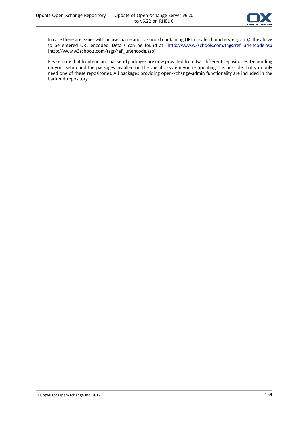

In case there are issues with an username and password containing URL unsafe characters, e.g. an @, they have to be entered URL encoded. Details can be found at http://www.w3schools.com/tags/ref urlencode.asp [[http://www.w3schools.com/tags/ref\\_urlencode.asp\]](http://www.w3schools.com/tags/ref_urlencode.asp)

Please note that frontend and backend packages are now provided from two different repositories. Depending on your setup and the packages installed on the specific system you're updating it is possible that you only need one of these repositories. All packages providing open-xchange-admin functionality are included in the backend repository.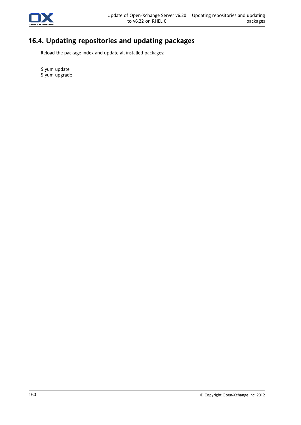

# **16.4. Updating repositories and updating packages**

Reload the package index and update all installed packages:

\$ yum update \$ yum upgrade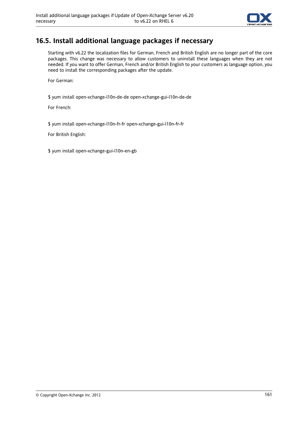

### **16.5. Install additional language packages if necessary**

Starting with v6.22 the localization files for German, French and British English are no longer part of the core packages. This change was necessary to allow customers to uninstall these languages when they are not needed. If you want to offer German, French and/or British English to your customers as language option, you need to install the corresponding packages after the update.

For German:

\$ yum install open-xchange-l10n-de-de open-xchange-gui-l10n-de-de

For French:

\$ yum install open-xchange-l10n-fr-fr open-xchange-gui-l10n-fr-fr

For British English:

\$ yum install open-xchange-gui-l10n-en-gb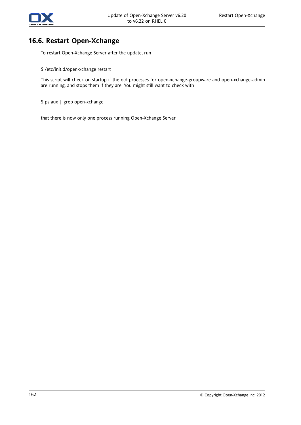

#### **16.6. Restart Open-Xchange**

To restart Open-Xchange Server after the update, run

\$ /etc/init.d/open-xchange restart

This script will check on startup if the old processes for open-xchange-groupware and open-xchange-admin are running, and stops them if they are. You might still want to check with

\$ ps aux | grep open-xchange

that there is now only one process running Open-Xchange Server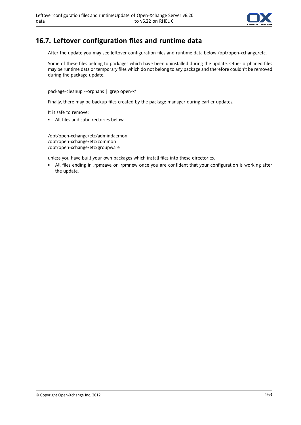

#### **16.7. Leftover configuration files and runtime data**

After the update you may see leftover configuration files and runtime data below /opt/open-xchange/etc.

Some of these files belong to packages which have been uninstalled during the update. Other orphaned files may be runtime data or temporary files which do not belong to any package and therefore couldn't be removed during the package update.

package-cleanup --orphans | grep open-x\*

Finally, there may be backup files created by the package manager during earlier updates.

It is safe to remove:

▪ All files and subdirectories below:

/opt/open-xchange/etc/admindaemon /opt/open-xchange/etc/common /opt/open-xchange/etc/groupware

unless you have built your own packages which install files into these directories.

▪ All files ending in .rpmsave or .rpmnew once you are confident that your configuration is working after the update.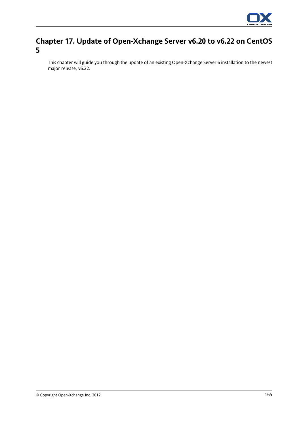

## **Chapter 17. Update of Open-Xchange Server v6.20 to v6.22 on CentOS 5**

This chapter will guide you through the update of an existing Open-Xchange Server 6 installation to the newest major release, v6.22.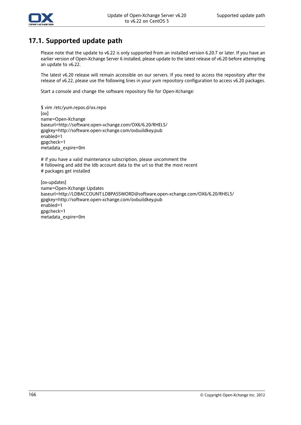

#### **17.1. Supported update path**

Please note that the update to v6.22 is only supported from an installed version 6.20.7 or later. If you have an earlier version of Open-Xchange Server 6 installed, please update to the latest release of v6.20 before attempting an update to v6.22.

The latest v6.20 release will remain accessible on our servers. If you need to access the repository after the release of v6.22, please use the following lines in your yum repository configuration to access v6.20 packages.

Start a console and change the software repository file for Open-Xchange:

\$ vim /etc/yum.repos.d/ox.repo [ox] name=Open-Xchange baseurl=http://software.open-xchange.com/OX6/6.20/RHEL5/ gpgkey=http://software.open-xchange.com/oxbuildkey.pub enabled=1 gpgcheck=1 metadata\_expire=0m

# if you have a valid maintenance subscription, please uncomment the # following and add the ldb account data to the url so that the most recent # packages get installed

[ox-updates] name=Open-Xchange Updates baseurl=http://LDBACCOUNT:LDBPASSWORD@software.open-xchange.com/OX6/6.20/RHEL5/ gpgkey=http://software.open-xchange.com/oxbuildkey.pub enabled=1 gpgcheck=1 metadata\_expire=0m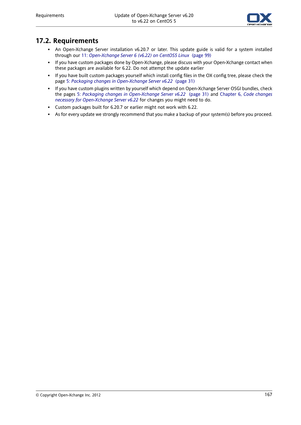

#### **17.2. Requirements**

- An Open-Xchange Server installation v6.20.7 or later. This update guide is valid for a system installed through our 11: *[Open-Xchange](#page-106-0) Server 6 (v6.22) on CentOS5 Linux* (page 99)
- If you have custom packages done by Open-Xchange, please discuss with your Open-Xchange contact when these packages are available for 6.22. Do not attempt the update earlier
- If you have built custom packages yourself which install config files in the OX config tree, please check the page 5: *Packaging changes in [Open-Xchange](#page-38-0) Server v6.22* (page 31)
- If you have custom plugins written by yourself which depend on Open-Xchange Server OSGI bundles, check the pages 5: *Packaging changes in [Open-Xchange](#page-38-0) Server v6.22* (page 31) and Chapter 6, *Code [changes](#page-42-0) necessary for [Open-Xchange](#page-42-0) Server v6.22* for changes you might need to do.
- Custom packages built for 6.20.7 or earlier might not work with 6.22.
- As for every update we strongly recommend that you make a backup of your system(s) before you proceed.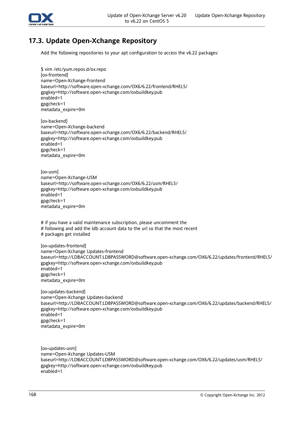

## **17.3. Update Open-Xchange Repository**

Add the following repositories to your apt configuration to access the v6.22 packages:

\$ vim /etc/yum.repos.d/ox.repo [ox-frontend] name=Open-Xchange-frontend baseurl=http://software.open-xchange.com/OX6/6.22/frontend/RHEL5/ gpgkey=http://software.open-xchange.com/oxbuildkey.pub enabled=1 gpgcheck=1 metadata\_expire=0m

[ox-backend] name=Open-Xchange-backend baseurl=http://software.open-xchange.com/OX6/6.22/backend/RHEL5/ gpgkey=http://software.open-xchange.com/oxbuildkey.pub enabled=1 gpgcheck=1 metadata\_expire=0m

[ox-usm] name=Open-Xchange-USM baseurl=http://software.open-xchange.com/OX6/6.22/usm/RHEL5/ gpgkey=http://software.open-xchange.com/oxbuildkey.pub enabled=1 gpgcheck=1 metadata\_expire=0m

# if you have a valid maintenance subscription, please uncomment the # following and add the ldb account data to the url so that the most recent # packages get installed

[ox-updates-frontend] name=Open-Xchange Updates-frontend baseurl=http://LDBACCOUNT:LDBPASSWORD@software.open-xchange.com/OX6/6.22/updates/frontend/RHEL5/ gpgkey=http://software.open-xchange.com/oxbuildkey.pub enabled=1 gpgcheck=1 metadata\_expire=0m

[ox-updates-backend] name=Open-Xchange Updates-backend baseurl=http://LDBACCOUNT:LDBPASSWORD@software.open-xchange.com/OX6/6.22/updates/backend/RHEL5/ gpgkey=http://software.open-xchange.com/oxbuildkey.pub enabled=1 gpgcheck=1 metadata\_expire=0m

[ox-updates-usm] name=Open-Xchange Updates-USM baseurl=http://LDBACCOUNT:LDBPASSWORD@software.open-xchange.com/OX6/6.22/updates/usm/RHEL5/ gpgkey=http://software.open-xchange.com/oxbuildkey.pub enabled=1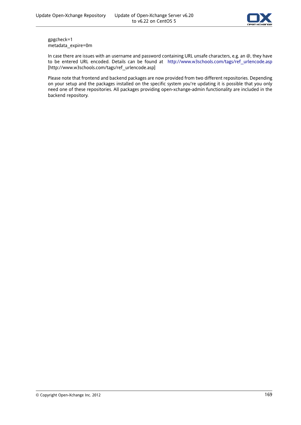

gpgcheck=1 metadata\_expire=0m

In case there are issues with an username and password containing URL unsafe characters, e.g. an @, they have to be entered URL encoded. Details can be found at [http://www.w3schools.com/tags/ref\\_urlencode.asp](http://www.w3schools.com/tags/ref_urlencode.asp) [[http://www.w3schools.com/tags/ref\\_urlencode.asp\]](http://www.w3schools.com/tags/ref_urlencode.asp)

Please note that frontend and backend packages are now provided from two different repositories. Depending on your setup and the packages installed on the specific system you're updating it is possible that you only need one of these repositories. All packages providing open-xchange-admin functionality are included in the backend repository.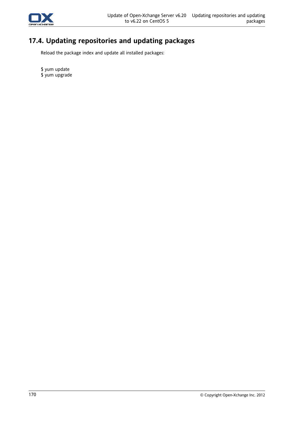

# **17.4. Updating repositories and updating packages**

Reload the package index and update all installed packages:

\$ yum update \$ yum upgrade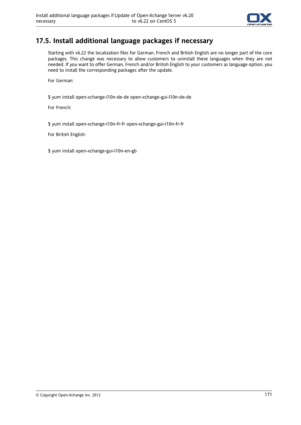

### **17.5. Install additional language packages if necessary**

Starting with v6.22 the localization files for German, French and British English are no longer part of the core packages. This change was necessary to allow customers to uninstall these languages when they are not needed. If you want to offer German, French and/or British English to your customers as language option, you need to install the corresponding packages after the update.

For German:

\$ yum install open-xchange-l10n-de-de open-xchange-gui-l10n-de-de

For French:

\$ yum install open-xchange-l10n-fr-fr open-xchange-gui-l10n-fr-fr

For British English:

\$ yum install open-xchange-gui-l10n-en-gb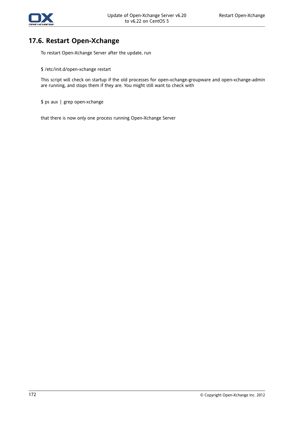

#### **17.6. Restart Open-Xchange**

To restart Open-Xchange Server after the update, run

\$ /etc/init.d/open-xchange restart

This script will check on startup if the old processes for open-xchange-groupware and open-xchange-admin are running, and stops them if they are. You might still want to check with

\$ ps aux | grep open-xchange

that there is now only one process running Open-Xchange Server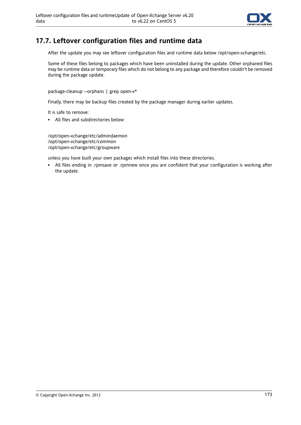

### **17.7. Leftover configuration files and runtime data**

After the update you may see leftover configuration files and runtime data below /opt/open-xchange/etc.

Some of these files belong to packages which have been uninstalled during the update. Other orphaned files may be runtime data or temporary files which do not belong to any package and therefore couldn't be removed during the package update.

package-cleanup --orphans | grep open-x\*

Finally, there may be backup files created by the package manager during earlier updates.

It is safe to remove:

▪ All files and subdirectories below:

/opt/open-xchange/etc/admindaemon /opt/open-xchange/etc/common /opt/open-xchange/etc/groupware

unless you have built your own packages which install files into these directories.

▪ All files ending in .rpmsave or .rpmnew once you are confident that your configuration is working after the update.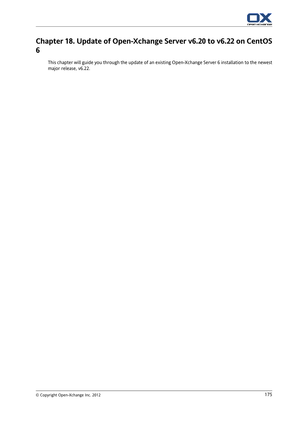

# **Chapter 18. Update of Open-Xchange Server v6.20 to v6.22 on CentOS 6**

<span id="page-182-0"></span>This chapter will guide you through the update of an existing Open-Xchange Server 6 installation to the newest major release, v6.22.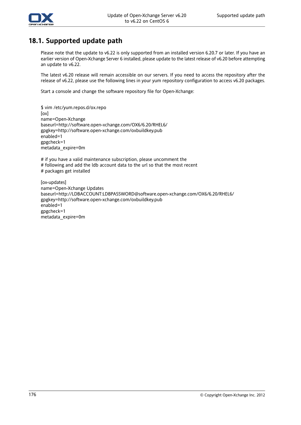

### **18.1. Supported update path**

Please note that the update to v6.22 is only supported from an installed version 6.20.7 or later. If you have an earlier version of Open-Xchange Server 6 installed, please update to the latest release of v6.20 before attempting an update to v6.22.

The latest v6.20 release will remain accessible on our servers. If you need to access the repository after the release of v6.22, please use the following lines in your yum repository configuration to access v6.20 packages.

Start a console and change the software repository file for Open-Xchange:

\$ vim /etc/yum.repos.d/ox.repo [ox] name=Open-Xchange baseurl=http://software.open-xchange.com/OX6/6.20/RHEL6/ gpgkey=http://software.open-xchange.com/oxbuildkey.pub enabled=1 gpgcheck=1 metadata\_expire=0m

# if you have a valid maintenance subscription, please uncomment the # following and add the ldb account data to the url so that the most recent # packages get installed

[ox-updates] name=Open-Xchange Updates baseurl=http://LDBACCOUNT:LDBPASSWORD@software.open-xchange.com/OX6/6.20/RHEL6/ gpgkey=http://software.open-xchange.com/oxbuildkey.pub enabled=1 gpgcheck=1 metadata\_expire=0m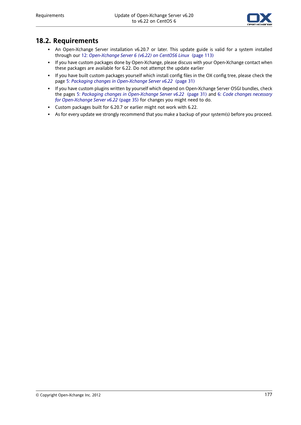

### **18.2. Requirements**

- <span id="page-184-0"></span>▪ An Open-Xchange Server installation v6.20.7 or later. This update guide is valid for a system installed through our 12: *[Open-Xchange](#page-120-0) Server 6 (v6.22) on CentOS6 Linux* (page 113)
- If you have custom packages done by Open-Xchange, please discuss with your Open-Xchange contact when these packages are available for 6.22. Do not attempt the update earlier
- If you have built custom packages yourself which install config files in the OX config tree, please check the page 5: *Packaging changes in [Open-Xchange](#page-38-0) Server v6.22* (page 31)
- If you have custom plugins written by yourself which depend on Open-Xchange Server OSGI bundles, check the pages 5: *Packaging changes in [Open-Xchange](#page-38-0) Server v6.22* (page 31) and 6: *Code changes [necessary](#page-42-0) for [Open-Xchange](#page-42-0) Server v6.22* (page 35) for changes you might need to do.
- Custom packages built for 6.20.7 or earlier might not work with 6.22.
- As for every update we strongly recommend that you make a backup of your system(s) before you proceed.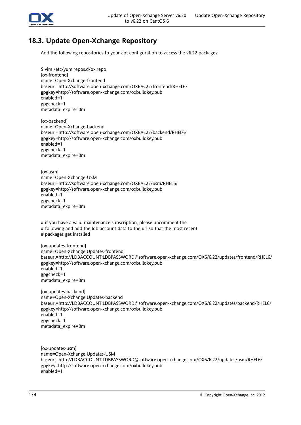

# **18.3. Update Open-Xchange Repository**

<span id="page-185-0"></span>Add the following repositories to your apt configuration to access the v6.22 packages:

\$ vim /etc/yum.repos.d/ox.repo [ox-frontend] name=Open-Xchange-frontend baseurl=http://software.open-xchange.com/OX6/6.22/frontend/RHEL6/ gpgkey=http://software.open-xchange.com/oxbuildkey.pub enabled=1 gpgcheck=1 metadata\_expire=0m

[ox-backend] name=Open-Xchange-backend baseurl=http://software.open-xchange.com/OX6/6.22/backend/RHEL6/ gpgkey=http://software.open-xchange.com/oxbuildkey.pub enabled=1 gpgcheck=1 metadata\_expire=0m

[ox-usm] name=Open-Xchange-USM baseurl=http://software.open-xchange.com/OX6/6.22/usm/RHEL6/ gpgkey=http://software.open-xchange.com/oxbuildkey.pub enabled=1 gpgcheck=1 metadata\_expire=0m

# if you have a valid maintenance subscription, please uncomment the # following and add the ldb account data to the url so that the most recent # packages get installed

[ox-updates-frontend] name=Open-Xchange Updates-frontend baseurl=http://LDBACCOUNT:LDBPASSWORD@software.open-xchange.com/OX6/6.22/updates/frontend/RHEL6/ gpgkey=http://software.open-xchange.com/oxbuildkey.pub enabled=1 gpgcheck=1 metadata\_expire=0m

[ox-updates-backend] name=Open-Xchange Updates-backend baseurl=http://LDBACCOUNT:LDBPASSWORD@software.open-xchange.com/OX6/6.22/updates/backend/RHEL6/ gpgkey=http://software.open-xchange.com/oxbuildkey.pub enabled=1 gpgcheck=1 metadata\_expire=0m

[ox-updates-usm] name=Open-Xchange Updates-USM baseurl=http://LDBACCOUNT:LDBPASSWORD@software.open-xchange.com/OX6/6.22/updates/usm/RHEL6/ gpgkey=http://software.open-xchange.com/oxbuildkey.pub enabled=1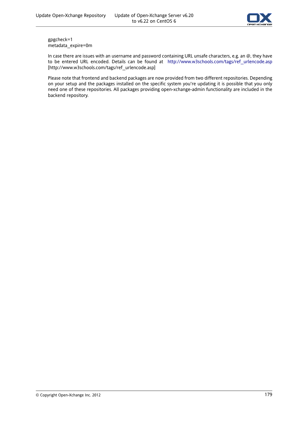

gpgcheck=1 metadata\_expire=0m

In case there are issues with an username and password containing URL unsafe characters, e.g. an @, they have to be entered URL encoded. Details can be found at [http://www.w3schools.com/tags/ref\\_urlencode.asp](http://www.w3schools.com/tags/ref_urlencode.asp) [[http://www.w3schools.com/tags/ref\\_urlencode.asp\]](http://www.w3schools.com/tags/ref_urlencode.asp)

Please note that frontend and backend packages are now provided from two different repositories. Depending on your setup and the packages installed on the specific system you're updating it is possible that you only need one of these repositories. All packages providing open-xchange-admin functionality are included in the backend repository.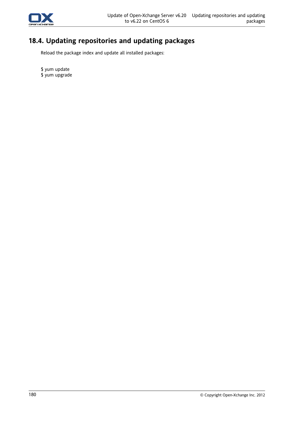

# **18.4. Updating repositories and updating packages**

<span id="page-187-0"></span>Reload the package index and update all installed packages:

\$ yum update \$ yum upgrade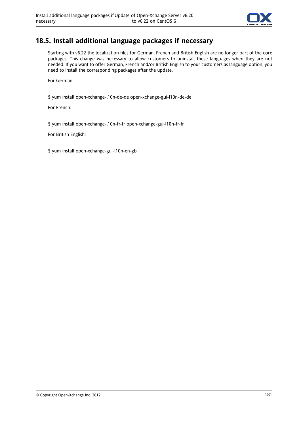

## <span id="page-188-0"></span>**18.5. Install additional language packages if necessary**

Starting with v6.22 the localization files for German, French and British English are no longer part of the core packages. This change was necessary to allow customers to uninstall these languages when they are not needed. If you want to offer German, French and/or British English to your customers as language option, you need to install the corresponding packages after the update.

For German:

\$ yum install open-xchange-l10n-de-de open-xchange-gui-l10n-de-de

For French:

\$ yum install open-xchange-l10n-fr-fr open-xchange-gui-l10n-fr-fr

For British English:

\$ yum install open-xchange-gui-l10n-en-gb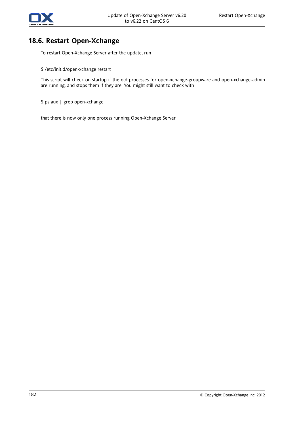

#### **18.6. Restart Open-Xchange**

To restart Open-Xchange Server after the update, run

\$ /etc/init.d/open-xchange restart

This script will check on startup if the old processes for open-xchange-groupware and open-xchange-admin are running, and stops them if they are. You might still want to check with

\$ ps aux | grep open-xchange

that there is now only one process running Open-Xchange Server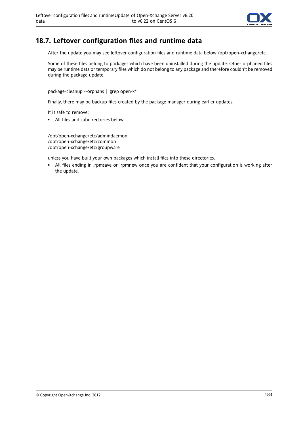

### **18.7. Leftover configuration files and runtime data**

After the update you may see leftover configuration files and runtime data below /opt/open-xchange/etc.

Some of these files belong to packages which have been uninstalled during the update. Other orphaned files may be runtime data or temporary files which do not belong to any package and therefore couldn't be removed during the package update.

package-cleanup --orphans | grep open-x\*

Finally, there may be backup files created by the package manager during earlier updates.

It is safe to remove:

▪ All files and subdirectories below:

/opt/open-xchange/etc/admindaemon /opt/open-xchange/etc/common /opt/open-xchange/etc/groupware

unless you have built your own packages which install files into these directories.

▪ All files ending in .rpmsave or .rpmnew once you are confident that your configuration is working after the update.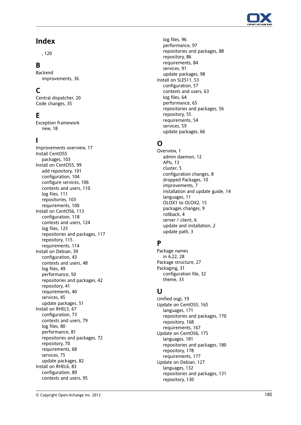

### **Index**

, [120](#page-127-0)

#### **B**

Backend improvements, [36](#page-43-0)

# **C**

Central dispatcher, [20](#page-27-0) Code changes, [35](#page-42-1)

## **E**

Exception framework new , [18](#page-25-0)

#### **I**

Improvements overview , [17](#page-24-0) Install CentOS5 packages, [103](#page-110-0) Install on CentOS5, [99](#page-106-0) add repository , [101](#page-108-0) configuration, [104](#page-111-0) configure services, [106](#page-113-0) contexts and users, [110](#page-117-0) log files, [111](#page-118-0) repositories, [103](#page-110-0) requirements, [100](#page-107-0) Install on CentOS6, [113](#page-120-1) configuration, [118](#page-125-0) contexts and users, [124](#page-131-0) log files, [125](#page-132-0) repositories and packages, [117](#page-124-0) repository , [115](#page-122-0) requirements, [114](#page-121-0) Install on Debian, [39](#page-46-0) configuration, [43](#page-50-0) contexts and users, [48](#page-55-0) log files, [49](#page-56-0) performance, [50](#page-57-0) repositories and packages, [42](#page-49-0) repository , [41](#page-48-0) requirements, [40](#page-47-0) services, [45](#page-52-0) update packages, [51](#page-58-0) Install on RHEL5, [67](#page-74-0) configuration, [73](#page-80-0) contexts and users, [79](#page-86-0) log files, [80](#page-87-0) performance, [81](#page-88-0) repositories and packages, [72](#page-79-0) repository , [70](#page-77-0) requirements, [68](#page-75-0) services, [75](#page-82-0) update packages, [82](#page-89-0) Install on RHEL6, [83](#page-90-0) configuration, [89](#page-96-0) contexts and users, [95](#page-102-0)

log files, [96](#page-103-0) performance, [97](#page-104-0) repositories and packages, [88](#page-95-0) repository , [86](#page-93-0) requirements, [84](#page-91-0) services, [91](#page-98-0) update packages, [98](#page-105-0) Install on SLES11, [53](#page-60-0) configuration, [57](#page-64-0) contexts and users, [63](#page-70-0) log files, [64](#page-71-0) performance, [65](#page-72-0) repositories and packages, [56](#page-63-0) repository , [55](#page-62-0) requirements, [54](#page-61-0) services, [59](#page-66-0) update packages, [66](#page-73-0)

# **O**

Overview , [1](#page-8-0) admin daemon, [12](#page-19-0) APIs, [13](#page-20-0) cluster, [5](#page-12-0) configuration changes, [8](#page-15-0) dropped Packages, [10](#page-17-0) improvements, [7](#page-14-0) installation and update guide, [14](#page-21-0) languages, [11](#page-18-0) OLOX1 to OLOX2, [15](#page-22-0) packages changes, [9](#page-16-0) rollback, [4](#page-11-0) server / client, [6](#page-13-0) update and installation, [2](#page-9-0) update path, [3](#page-10-0)

#### **P**

Package names in 6.22, [28](#page-35-0) Package structure, [27](#page-34-0) Packaging, [31](#page-38-1) configuration file, [32](#page-39-0) theme, [33](#page-40-0)

#### **U**

Unified osgi, [19](#page-26-0) Update on CentOS5, [165](#page-172-0) languages, [171](#page-178-0) repositories and packages, [170](#page-177-0) repository , [168](#page-175-0) requirements, [167](#page-174-0) Update on CentOS6, [175](#page-182-0) languages, [181](#page-188-0) repositories and packages, [180](#page-187-0) repository , [178](#page-185-0) requirements, [177](#page-184-0) Update on Debian, [127](#page-134-0) languages, [132](#page-139-0) repositories and packages, [131](#page-138-0) repository , [130](#page-137-0)